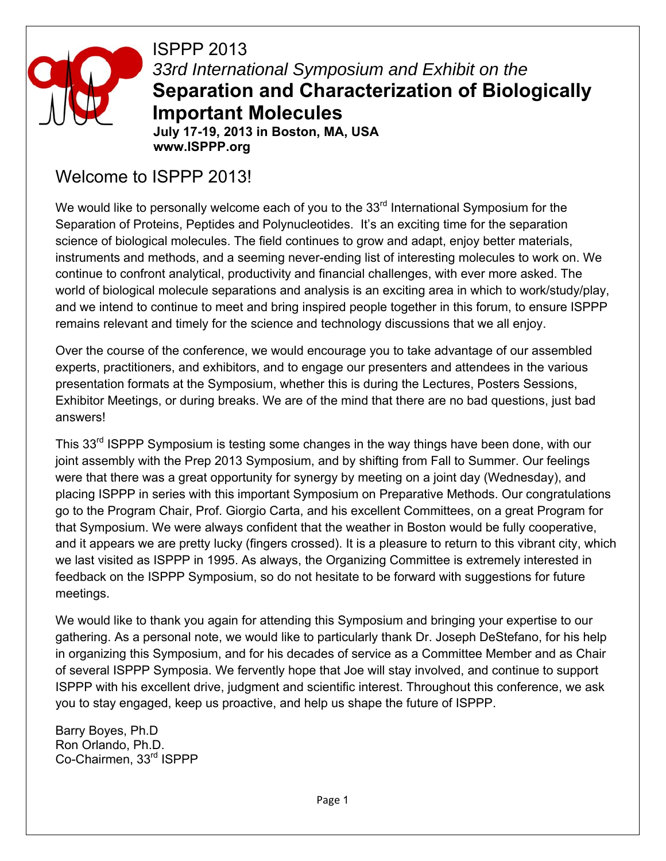

ISPPP 2013 *33rd International Symposium and Exhibit on the*  **Separation and Characterization of Biologically Important Molecules** 

**July 17-19, 2013 in Boston, MA, USA www.ISPPP.org** 

## Welcome to ISPPP 2013!

We would like to personally welcome each of you to the  $33<sup>rd</sup>$  International Symposium for the Separation of Proteins, Peptides and Polynucleotides. It's an exciting time for the separation science of biological molecules. The field continues to grow and adapt, enjoy better materials, instruments and methods, and a seeming never-ending list of interesting molecules to work on. We continue to confront analytical, productivity and financial challenges, with ever more asked. The world of biological molecule separations and analysis is an exciting area in which to work/study/play, and we intend to continue to meet and bring inspired people together in this forum, to ensure ISPPP remains relevant and timely for the science and technology discussions that we all enjoy.

Over the course of the conference, we would encourage you to take advantage of our assembled experts, practitioners, and exhibitors, and to engage our presenters and attendees in the various presentation formats at the Symposium, whether this is during the Lectures, Posters Sessions, Exhibitor Meetings, or during breaks. We are of the mind that there are no bad questions, just bad answers!

This 33<sup>rd</sup> ISPPP Symposium is testing some changes in the way things have been done, with our joint assembly with the Prep 2013 Symposium, and by shifting from Fall to Summer. Our feelings were that there was a great opportunity for synergy by meeting on a joint day (Wednesday), and placing ISPPP in series with this important Symposium on Preparative Methods. Our congratulations go to the Program Chair, Prof. Giorgio Carta, and his excellent Committees, on a great Program for that Symposium. We were always confident that the weather in Boston would be fully cooperative, and it appears we are pretty lucky (fingers crossed). It is a pleasure to return to this vibrant city, which we last visited as ISPPP in 1995. As always, the Organizing Committee is extremely interested in feedback on the ISPPP Symposium, so do not hesitate to be forward with suggestions for future meetings.

We would like to thank you again for attending this Symposium and bringing your expertise to our gathering. As a personal note, we would like to particularly thank Dr. Joseph DeStefano, for his help in organizing this Symposium, and for his decades of service as a Committee Member and as Chair of several ISPPP Symposia. We fervently hope that Joe will stay involved, and continue to support ISPPP with his excellent drive, judgment and scientific interest. Throughout this conference, we ask you to stay engaged, keep us proactive, and help us shape the future of ISPPP.

Barry Boyes, Ph.D Ron Orlando, Ph.D. Co-Chairmen, 33rd ISPPP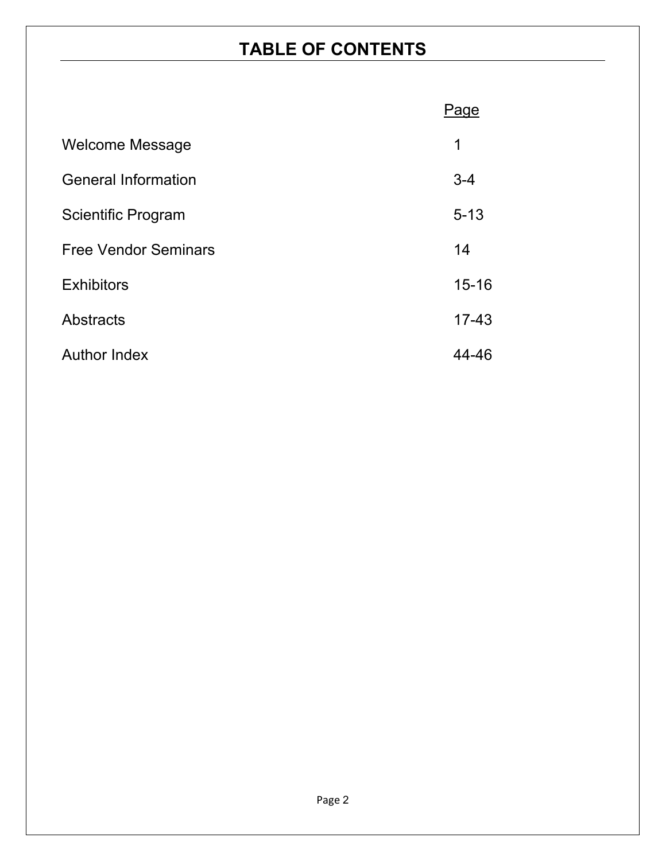## **TABLE OF CONTENTS**

|                             | Page      |
|-----------------------------|-----------|
| Welcome Message             | 1         |
| <b>General Information</b>  | $3 - 4$   |
| <b>Scientific Program</b>   | $5 - 13$  |
| <b>Free Vendor Seminars</b> | 14        |
| <b>Exhibitors</b>           | $15 - 16$ |
| Abstracts                   | $17 - 43$ |
| <b>Author Index</b>         | 44-46     |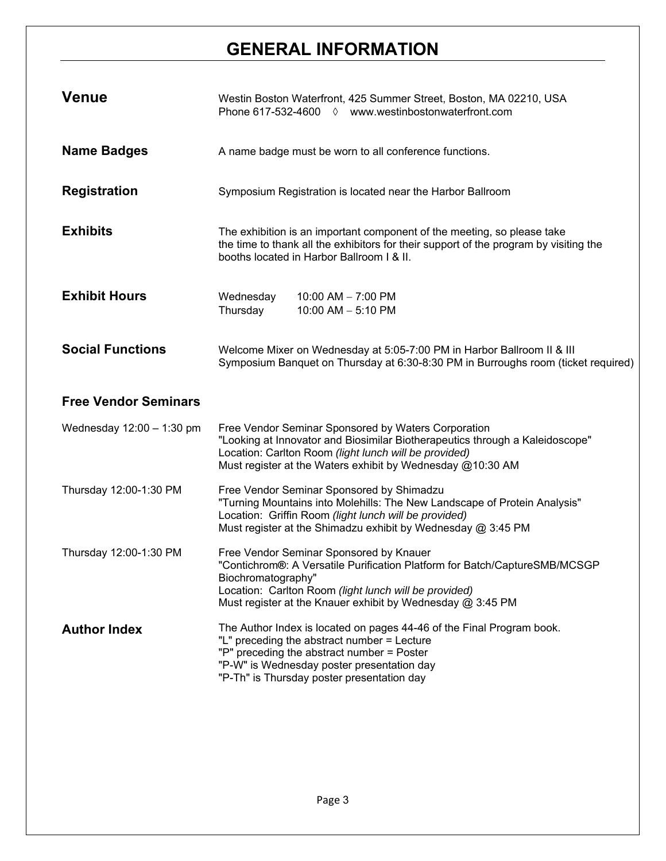## **GENERAL INFORMATION**

| <b>Venue</b>                | Westin Boston Waterfront, 425 Summer Street, Boston, MA 02210, USA<br>Phone 617-532-4600 ♦ www.westinbostonwaterfront.com                                                                                                                                          |  |
|-----------------------------|--------------------------------------------------------------------------------------------------------------------------------------------------------------------------------------------------------------------------------------------------------------------|--|
| <b>Name Badges</b>          | A name badge must be worn to all conference functions.                                                                                                                                                                                                             |  |
| <b>Registration</b>         | Symposium Registration is located near the Harbor Ballroom                                                                                                                                                                                                         |  |
| <b>Exhibits</b>             | The exhibition is an important component of the meeting, so please take<br>the time to thank all the exhibitors for their support of the program by visiting the<br>booths located in Harbor Ballroom I & II.                                                      |  |
| <b>Exhibit Hours</b>        | Wednesday<br>10:00 AM $-$ 7:00 PM<br>Thursday<br>10:00 AM $-$ 5:10 PM                                                                                                                                                                                              |  |
| <b>Social Functions</b>     | Welcome Mixer on Wednesday at 5:05-7:00 PM in Harbor Ballroom II & III<br>Symposium Banquet on Thursday at 6:30-8:30 PM in Burroughs room (ticket required)                                                                                                        |  |
|                             |                                                                                                                                                                                                                                                                    |  |
| <b>Free Vendor Seminars</b> |                                                                                                                                                                                                                                                                    |  |
| Wednesday 12:00 - 1:30 pm   | Free Vendor Seminar Sponsored by Waters Corporation<br>"Looking at Innovator and Biosimilar Biotherapeutics through a Kaleidoscope"<br>Location: Carlton Room (light lunch will be provided)<br>Must register at the Waters exhibit by Wednesday @10:30 AM         |  |
| Thursday 12:00-1:30 PM      | Free Vendor Seminar Sponsored by Shimadzu<br>"Turning Mountains into Molehills: The New Landscape of Protein Analysis"<br>Location: Griffin Room (light lunch will be provided)<br>Must register at the Shimadzu exhibit by Wednesday @ 3:45 PM                    |  |
| Thursday 12:00-1:30 PM      | Free Vendor Seminar Sponsored by Knauer<br>"Contichrom®: A Versatile Purification Platform for Batch/CaptureSMB/MCSGP<br>Biochromatography"<br>Location: Carlton Room (light lunch will be provided)<br>Must register at the Knauer exhibit by Wednesday @ 3:45 PM |  |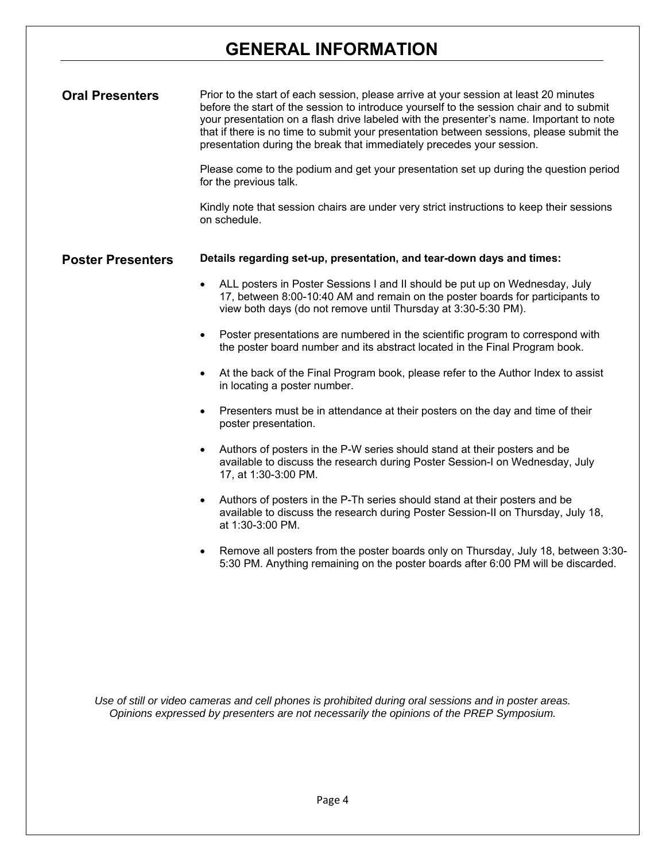## **GENERAL INFORMATION**

| <b>Oral Presenters</b>   | Prior to the start of each session, please arrive at your session at least 20 minutes<br>before the start of the session to introduce yourself to the session chair and to submit<br>your presentation on a flash drive labeled with the presenter's name. Important to note<br>that if there is no time to submit your presentation between sessions, please submit the<br>presentation during the break that immediately precedes your session.<br>Please come to the podium and get your presentation set up during the question period<br>for the previous talk.<br>Kindly note that session chairs are under very strict instructions to keep their sessions<br>on schedule.                                                                                                                                                                                                                                                                                                                                                                                                                                                                                                                                                                                                                    |
|--------------------------|------------------------------------------------------------------------------------------------------------------------------------------------------------------------------------------------------------------------------------------------------------------------------------------------------------------------------------------------------------------------------------------------------------------------------------------------------------------------------------------------------------------------------------------------------------------------------------------------------------------------------------------------------------------------------------------------------------------------------------------------------------------------------------------------------------------------------------------------------------------------------------------------------------------------------------------------------------------------------------------------------------------------------------------------------------------------------------------------------------------------------------------------------------------------------------------------------------------------------------------------------------------------------------------------------|
| <b>Poster Presenters</b> | Details regarding set-up, presentation, and tear-down days and times:<br>ALL posters in Poster Sessions I and II should be put up on Wednesday, July<br>17, between 8:00-10:40 AM and remain on the poster boards for participants to<br>view both days (do not remove until Thursday at 3:30-5:30 PM).<br>Poster presentations are numbered in the scientific program to correspond with<br>$\bullet$<br>the poster board number and its abstract located in the Final Program book.<br>At the back of the Final Program book, please refer to the Author Index to assist<br>in locating a poster number.<br>Presenters must be in attendance at their posters on the day and time of their<br>$\bullet$<br>poster presentation.<br>Authors of posters in the P-W series should stand at their posters and be<br>$\bullet$<br>available to discuss the research during Poster Session-I on Wednesday, July<br>17, at 1:30-3:00 PM.<br>Authors of posters in the P-Th series should stand at their posters and be<br>available to discuss the research during Poster Session-II on Thursday, July 18,<br>at 1:30-3:00 PM.<br>Remove all posters from the poster boards only on Thursday, July 18, between 3:30-<br>5:30 PM. Anything remaining on the poster boards after 6:00 PM will be discarded. |

*Use of still or video cameras and cell phones is prohibited during oral sessions and in poster areas. Opinions expressed by presenters are not necessarily the opinions of the PREP Symposium.*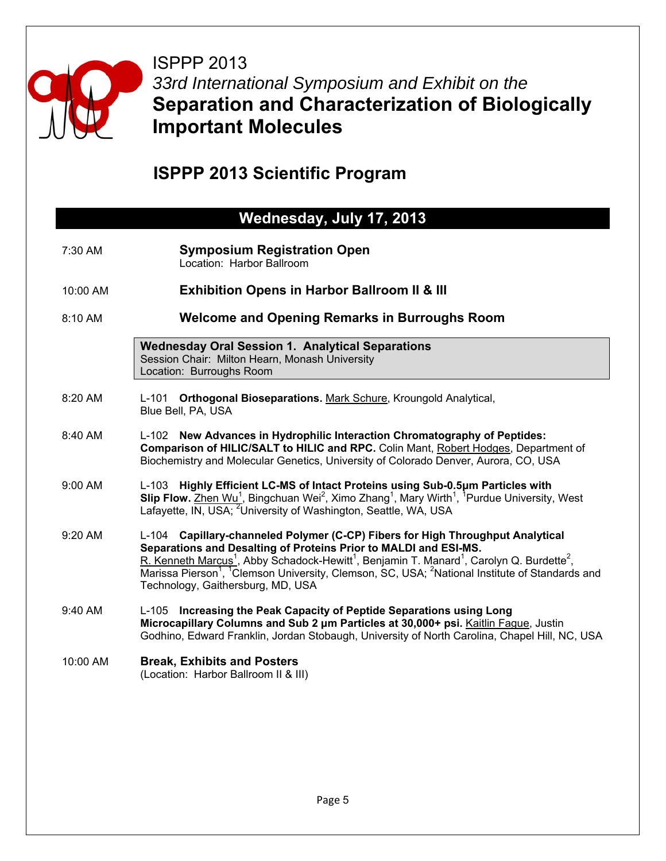

ISPPP 2013 *33rd International Symposium and Exhibit on the*  **Separation and Characterization of Biologically Important Molecules** 

## **ISPPP 2013 Scientific Program**

## **Wednesday, July 17, 2013**

- 7:30 AM **Symposium Registration Open** Location: Harbor Ballroom
- 10:00 AM **Exhibition Opens in Harbor Ballroom II & III**
- 8:10 AM **Welcome and Opening Remarks in Burroughs Room**

**Wednesday Oral Session 1. Analytical Separations**  Session Chair: Milton Hearn, Monash University Location: Burroughs Room

- 8:20 AM L-101 **Orthogonal Bioseparations.** Mark Schure, Kroungold Analytical, Blue Bell, PA, USA
- 8:40 AM L-102 **New Advances in Hydrophilic Interaction Chromatography of Peptides: Comparison of HILIC/SALT to HILIC and RPC.** Colin Mant, Robert Hodges, Department of Biochemistry and Molecular Genetics, University of Colorado Denver, Aurora, CO, USA
- 9:00 AM L-103 **Highly Efficient LC-MS of Intact Proteins using Sub-0.5μm Particles with**  Slip Flow. Zhen Wu<sup>1</sup>, Bingchuan Wei<sup>2</sup>, Ximo Zhang<sup>1</sup>, Mary Wirth<sup>1</sup>, <sup>1</sup>Purdue University, West Lafayette, IN, USA; <sup>2</sup>University of Washington, Seattle, WA, USA
- 9:20 AM L-104 **Capillary-channeled Polymer (C-CP) Fibers for High Throughput Analytical Separations and Desalting of Proteins Prior to MALDI and ESI-MS.** R. Kenneth Marcus<sup>1</sup>, Abby Schadock-Hewitt<sup>1</sup>, Benjamin T. Manard<sup>1</sup>, Carolyn Q. Burdette<sup>2</sup>, Marissa Pierson<sup>1</sup>, <sup>1</sup>Clemson University, Clemson, SC, USA; <sup>2</sup>National Institute of Standards and Technology, Gaithersburg, MD, USA
- 9:40 AM L-105 **Increasing the Peak Capacity of Peptide Separations using Long Microcapillary Columns and Sub 2 μm Particles at 30,000+ psi.** Kaitlin Fague, Justin Godhino, Edward Franklin, Jordan Stobaugh, University of North Carolina, Chapel Hill, NC, USA
- 10:00 AM **Break, Exhibits and Posters**  (Location: Harbor Ballroom II & III)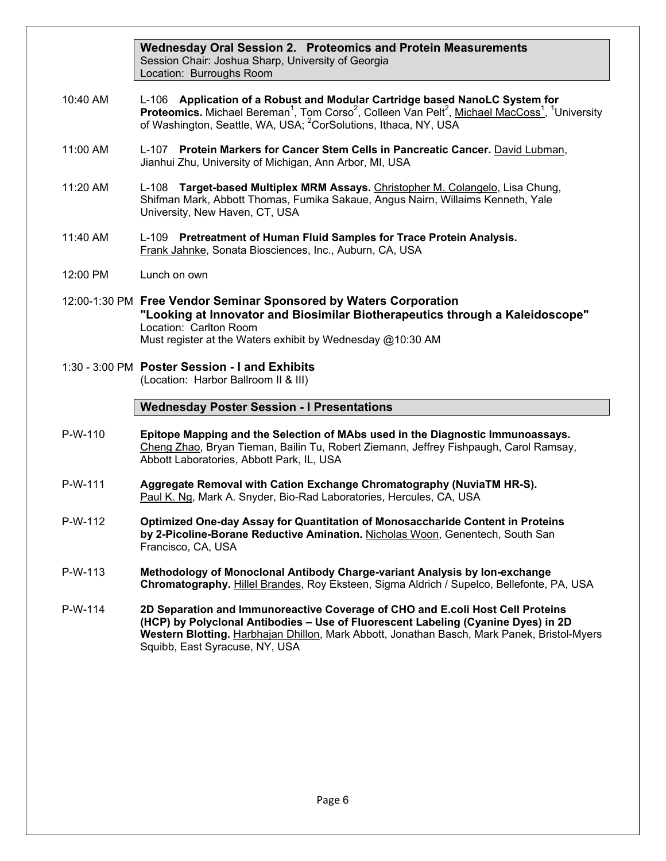**Wednesday Oral Session 2. Proteomics and Protein Measurements** Session Chair: Joshua Sharp, University of Georgia Location: Burroughs Room

- 10:40 AM L-106 **Application of a Robust and Modular Cartridge based NanoLC System for Proteomics.** Michael Bereman<sup>1</sup>, Tom Corso<sup>2</sup>, Colleen Van Pelt<sup>2</sup>, Michael MacCoss<sup>1</sup>, <sup>1</sup>University of Washington, Seattle, WA, USA; <sup>2</sup>CorSolutions, Ithaca, NY, USA
- 11:00 AM L-107 **Protein Markers for Cancer Stem Cells in Pancreatic Cancer.** David Lubman, Jianhui Zhu, University of Michigan, Ann Arbor, MI, USA
- 11:20 AM L-108 **Target-based Multiplex MRM Assays.** Christopher M. Colangelo, Lisa Chung, Shifman Mark, Abbott Thomas, Fumika Sakaue, Angus Nairn, Willaims Kenneth, Yale University, New Haven, CT, USA
- 11:40 AM L-109 **Pretreatment of Human Fluid Samples for Trace Protein Analysis.** Frank Jahnke, Sonata Biosciences, Inc., Auburn, CA, USA
- 12:00 PM Lunch on own
- 12:00-1:30 PM **Free Vendor Seminar Sponsored by Waters Corporation "Looking at Innovator and Biosimilar Biotherapeutics through a Kaleidoscope"**  Location: Carlton Room Must register at the Waters exhibit by Wednesday @10:30 AM
- 1:30 3:00 PM **Poster Session I and Exhibits**  (Location: Harbor Ballroom II & III)

#### **Wednesday Poster Session - I Presentations**

- P-W-110 **Epitope Mapping and the Selection of MAbs used in the Diagnostic Immunoassays.** Cheng Zhao, Bryan Tieman, Bailin Tu, Robert Ziemann, Jeffrey Fishpaugh, Carol Ramsay, Abbott Laboratories, Abbott Park, IL, USA
- P-W-111 **Aggregate Removal with Cation Exchange Chromatography (NuviaTM HR-S).** Paul K. Ng, Mark A. Snyder, Bio-Rad Laboratories, Hercules, CA, USA
- P-W-112 **Optimized One-day Assay for Quantitation of Monosaccharide Content in Proteins by 2-Picoline-Borane Reductive Amination.** Nicholas Woon, Genentech, South San Francisco, CA, USA
- P-W-113 **Methodology of Monoclonal Antibody Charge-variant Analysis by Ion-exchange Chromatography.** Hillel Brandes, Roy Eksteen, Sigma Aldrich / Supelco, Bellefonte, PA, USA
- P-W-114 **2D Separation and Immunoreactive Coverage of CHO and E.coli Host Cell Proteins (HCP) by Polyclonal Antibodies – Use of Fluorescent Labeling (Cyanine Dyes) in 2D Western Blotting.** Harbhajan Dhillon, Mark Abbott, Jonathan Basch, Mark Panek, Bristol-Myers Squibb, East Syracuse, NY, USA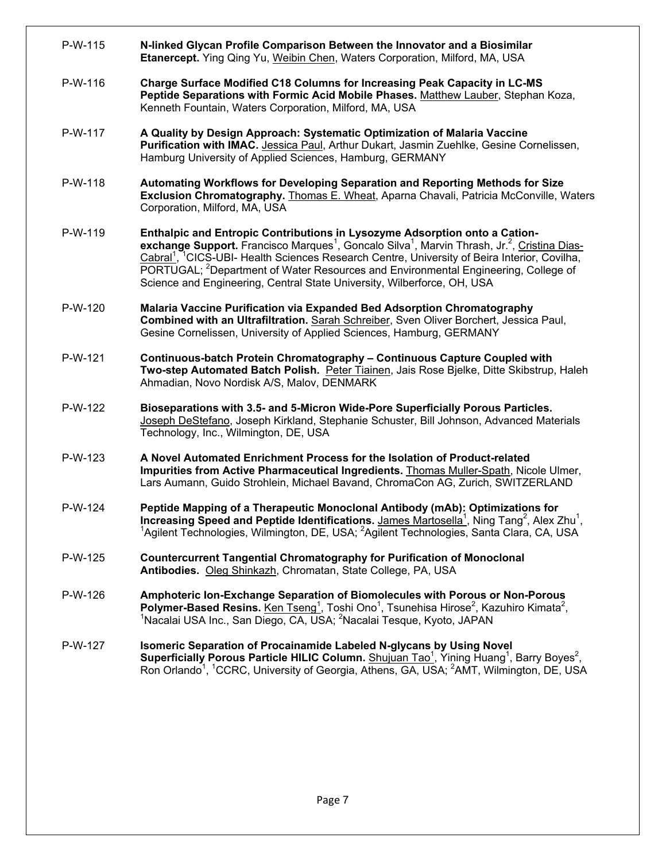P-W-115 **N-linked Glycan Profile Comparison Between the Innovator and a Biosimilar Etanercept.** Ying Qing Yu, Weibin Chen, Waters Corporation, Milford, MA, USA P-W-116 **Charge Surface Modified C18 Columns for Increasing Peak Capacity in LC-MS Peptide Separations with Formic Acid Mobile Phases.** Matthew Lauber, Stephan Koza, Kenneth Fountain, Waters Corporation, Milford, MA, USA P-W-117 **A Quality by Design Approach: Systematic Optimization of Malaria Vaccine Purification with IMAC.** Jessica Paul, Arthur Dukart, Jasmin Zuehlke, Gesine Cornelissen, Hamburg University of Applied Sciences, Hamburg, GERMANY P-W-118 **Automating Workflows for Developing Separation and Reporting Methods for Size Exclusion Chromatography.** Thomas E. Wheat, Aparna Chavali, Patricia McConville, Waters Corporation, Milford, MA, USA P-W-119 **Enthalpic and Entropic Contributions in Lysozyme Adsorption onto a Cation**exchange Support. Francisco Marques<sup>1</sup>, Goncalo Silva<sup>1</sup>, Marvin Thrash, Jr.<sup>2</sup>, Cristina Dias-Cabral<sup>1</sup>, <sup>1</sup>CICS-UBI- Health Sciences Research Centre, University of Beira Interior, Covilha, PORTUGAL; <sup>2</sup>Department of Water Resources and Environmental Engineering, College of Science and Engineering, Central State University, Wilberforce, OH, USA P-W-120 **Malaria Vaccine Purification via Expanded Bed Adsorption Chromatography Combined with an Ultrafiltration.** Sarah Schreiber, Sven Oliver Borchert, Jessica Paul, Gesine Cornelissen, University of Applied Sciences, Hamburg, GERMANY P-W-121 **Continuous-batch Protein Chromatography – Continuous Capture Coupled with Two-step Automated Batch Polish.** Peter Tiainen, Jais Rose Bjelke, Ditte Skibstrup, Haleh Ahmadian, Novo Nordisk A/S, Malov, DENMARK P-W-122 **Bioseparations with 3.5- and 5-Micron Wide-Pore Superficially Porous Particles.**  Joseph DeStefano, Joseph Kirkland, Stephanie Schuster, Bill Johnson, Advanced Materials Technology, Inc., Wilmington, DE, USA P-W-123 **A Novel Automated Enrichment Process for the Isolation of Product-related Impurities from Active Pharmaceutical Ingredients.** Thomas Muller-Spath, Nicole Ulmer, Lars Aumann, Guido Strohlein, Michael Bavand, ChromaCon AG, Zurich, SWITZERLAND P-W-124 **Peptide Mapping of a Therapeutic Monoclonal Antibody (mAb): Optimizations for Increasing Speed and Peptide Identifications.** James Martosella<sup>1</sup>, Ning Tang<sup>2</sup>, Alex Zhu<sup>1</sup>, 1.18A.<br>1Agilent Technologies, Wilmington, DE, USA: <sup>2</sup>Agilent Technologies, Sonte Clara, CA, USA. Agilent Technologies, Wilmington, DE, USA; <sup>2</sup>Agilent Technologies, Santa Clara, CA, USA P-W-125 **Countercurrent Tangential Chromatography for Purification of Monoclonal Antibodies.** Oleg Shinkazh, Chromatan, State College, PA, USA P-W-126 **Amphoteric Ion-Exchange Separation of Biomolecules with Porous or Non-Porous Polymer-Based Resins.** Ken Tseng<sup>1</sup>, Toshi Ono<sup>1</sup>, Tsunehisa Hirose<sup>2</sup>, Kazuhiro Kimata<sup>2</sup>, <sup>1</sup>Noocloi LISA Inc. Son Diogo, CA, USA: <sup>2</sup>Noocloi Tosque, Kugte, JARAN, Nacalai USA Inc., San Diego, CA, USA; <sup>2</sup>Nacalai Tesque, Kyoto, JAPAN P-W-127 **Isomeric Separation of Procainamide Labeled N-glycans by Using Novel**  Superficially Porous Particle HILIC Column. Shujuan Tao<sup>1</sup>, Yining Huang<sup>1</sup>, Barry Boyes<sup>2</sup>, Ron Orlando<sup>1</sup>, <sup>1</sup>CCRC, University of Georgia, Athens, GA, USA; <sup>2</sup>AMT, Wilmington, DE, USA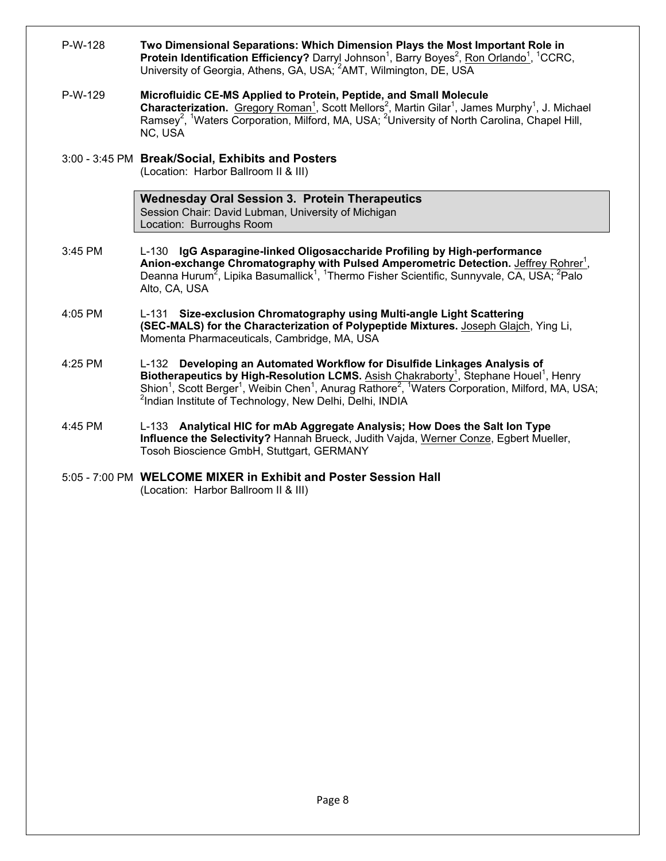| P-W-128 | Two Dimensional Separations: Which Dimension Plays the Most Important Role in<br>Protein Identification Efficiency? Darryl Johnson <sup>1</sup> , Barry Boyes <sup>2</sup> , Ron Orlando <sup>1</sup> , <sup>1</sup> CCRC,<br>University of Georgia, Athens, GA, USA; <sup>2</sup> AMT, Wilmington, DE, USA                                                                                                                        |
|---------|------------------------------------------------------------------------------------------------------------------------------------------------------------------------------------------------------------------------------------------------------------------------------------------------------------------------------------------------------------------------------------------------------------------------------------|
| P-W-129 | Microfluidic CE-MS Applied to Protein, Peptide, and Small Molecule<br>Characterization. Gregory Roman <sup>1</sup> , Scott Mellors <sup>2</sup> , Martin Gilar <sup>1</sup> , James Murphy <sup>1</sup> , J. Michael<br>Ramsey <sup>2</sup> , <sup>1</sup> Waters Corporation, Milford, MA, USA; <sup>2</sup> University of North Carolina, Chapel Hill,<br>NC, USA                                                                |
|         | 3:00 - 3:45 PM Break/Social, Exhibits and Posters<br>(Location: Harbor Ballroom II & III)                                                                                                                                                                                                                                                                                                                                          |
|         | <b>Wednesday Oral Session 3. Protein Therapeutics</b><br>Session Chair: David Lubman, University of Michigan<br>Location: Burroughs Room                                                                                                                                                                                                                                                                                           |
| 3:45 PM | L-130 IgG Asparagine-linked Oligosaccharide Profiling by High-performance<br>Anion-exchange Chromatography with Pulsed Amperometric Detection. Jeffrey Rohrer <sup>1</sup> ,<br>Deanna Hurum <sup>2</sup> , Lipika Basumallick <sup>1</sup> , <sup>1</sup> Thermo Fisher Scientific, Sunnyvale, CA, USA; <sup>2</sup> Palo<br>Alto, CA, USA                                                                                        |
| 4:05 PM | L-131 Size-exclusion Chromatography using Multi-angle Light Scattering<br>(SEC-MALS) for the Characterization of Polypeptide Mixtures. Joseph Glajch, Ying Li,<br>Momenta Pharmaceuticals, Cambridge, MA, USA                                                                                                                                                                                                                      |
| 4:25 PM | L-132 Developing an Automated Workflow for Disulfide Linkages Analysis of<br>Biotherapeutics by High-Resolution LCMS. Asish Chakraborty <sup>1</sup> , Stephane Houel <sup>1</sup> , Henry<br>Shion <sup>1</sup> , Scott Berger <sup>1</sup> , Weibin Chen <sup>1</sup> , Anurag Rathore <sup>2</sup> , <sup>1</sup> Waters Corporation, Milford, MA, USA;<br><sup>2</sup> Indian Institute of Technology, New Delhi, Delhi, INDIA |
| 4:45 PM | L-133 Analytical HIC for mAb Aggregate Analysis; How Does the Salt lon Type<br>Influence the Selectivity? Hannah Brueck, Judith Vajda, Werner Conze, Egbert Mueller,<br>Tosoh Bioscience GmbH, Stuttgart, GERMANY                                                                                                                                                                                                                  |
|         | 5:05 - 7:00 PM WELCOME MIXER in Exhibit and Poster Session Hall<br>(Location: Harbor Ballroom II & III)                                                                                                                                                                                                                                                                                                                            |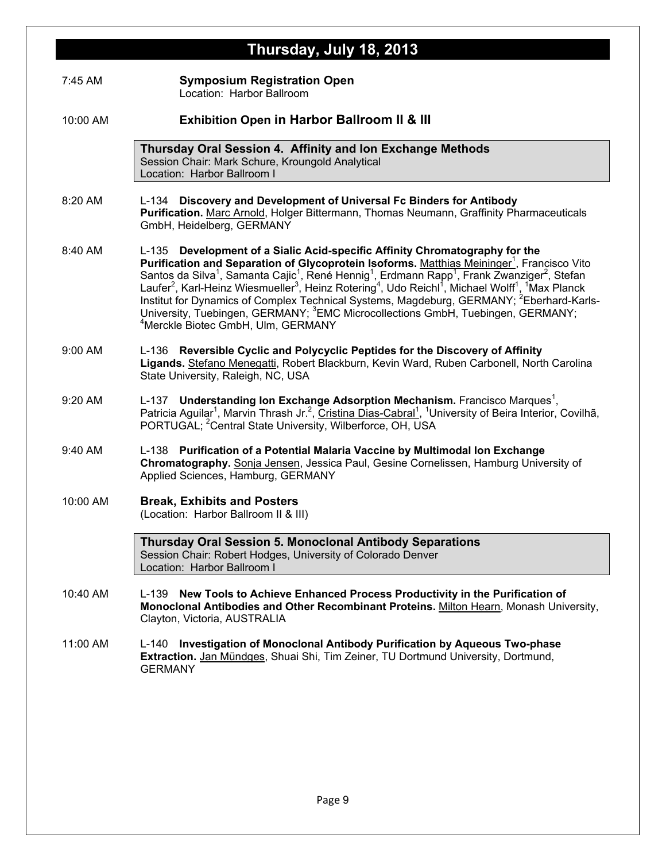|          | Thursday, July 18, 2013                                                                                                                                                                                                                                                                                                                                                                                                                                                                                                                                                                                                                                                                                                                                                                |
|----------|----------------------------------------------------------------------------------------------------------------------------------------------------------------------------------------------------------------------------------------------------------------------------------------------------------------------------------------------------------------------------------------------------------------------------------------------------------------------------------------------------------------------------------------------------------------------------------------------------------------------------------------------------------------------------------------------------------------------------------------------------------------------------------------|
| 7:45 AM  | <b>Symposium Registration Open</b><br>Location: Harbor Ballroom                                                                                                                                                                                                                                                                                                                                                                                                                                                                                                                                                                                                                                                                                                                        |
| 10:00 AM | Exhibition Open in Harbor Ballroom II & III                                                                                                                                                                                                                                                                                                                                                                                                                                                                                                                                                                                                                                                                                                                                            |
|          | Thursday Oral Session 4. Affinity and Ion Exchange Methods<br>Session Chair: Mark Schure, Kroungold Analytical<br>Location: Harbor Ballroom I                                                                                                                                                                                                                                                                                                                                                                                                                                                                                                                                                                                                                                          |
| 8:20 AM  | L-134 Discovery and Development of Universal Fc Binders for Antibody<br>Purification. Marc Arnold, Holger Bittermann, Thomas Neumann, Graffinity Pharmaceuticals<br>GmbH, Heidelberg, GERMANY                                                                                                                                                                                                                                                                                                                                                                                                                                                                                                                                                                                          |
| 8:40 AM  | L-135 Development of a Sialic Acid-specific Affinity Chromatography for the<br>Purification and Separation of Glycoprotein Isoforms. Matthias Meininger <sup>1</sup> , Francisco Vito<br>Santos da Silva <sup>1</sup> , Samanta Cajic <sup>1</sup> , René Hennig <sup>1</sup> , Erdmann Rapp <sup>1</sup> , Frank Zwanziger <sup>2</sup> , Stefan<br>Laufer <sup>2</sup> , Karl-Heinz Wiesmueller <sup>3</sup> , Heinz Rotering <sup>4</sup> , Udo Reichl <sup>1</sup> , Michael Wolff <sup>1</sup> , <sup>1</sup> Max Planck<br>Institut for Dynamics of Complex Technical Systems, Magdeburg, GERMANY; <sup>2</sup> Eberhard-Karls-<br>University, Tuebingen, GERMANY; <sup>3</sup> EMC Microcollections GmbH, Tuebingen, GERMANY;<br><sup>4</sup> Merckle Biotec GmbH, Ulm, GERMANY |
| 9:00 AM  | L-136 Reversible Cyclic and Polycyclic Peptides for the Discovery of Affinity<br>Ligands. Stefano Menegatti, Robert Blackburn, Kevin Ward, Ruben Carbonell, North Carolina<br>State University, Raleigh, NC, USA                                                                                                                                                                                                                                                                                                                                                                                                                                                                                                                                                                       |
| 9:20 AM  | L-137 Understanding Ion Exchange Adsorption Mechanism. Francisco Marques <sup>1</sup> ,<br>Patricia Aguilar <sup>1</sup> , Marvin Thrash Jr. <sup>2</sup> , Cristina Dias-Cabral <sup>1</sup> , <sup>1</sup> University of Beira Interior, Covilhã,<br>PORTUGAL; <sup>2</sup> Central State University, Wilberforce, OH, USA                                                                                                                                                                                                                                                                                                                                                                                                                                                           |
| 9:40 AM  | L-138 Purification of a Potential Malaria Vaccine by Multimodal Ion Exchange<br>Chromatography. Sonja Jensen, Jessica Paul, Gesine Cornelissen, Hamburg University of<br>Applied Sciences, Hamburg, GERMANY                                                                                                                                                                                                                                                                                                                                                                                                                                                                                                                                                                            |
| 10:00 AM | <b>Break, Exhibits and Posters</b><br>(Location: Harbor Ballroom II & III)                                                                                                                                                                                                                                                                                                                                                                                                                                                                                                                                                                                                                                                                                                             |
|          | <b>Thursday Oral Session 5. Monoclonal Antibody Separations</b><br>Session Chair: Robert Hodges, University of Colorado Denver<br>Location: Harbor Ballroom I                                                                                                                                                                                                                                                                                                                                                                                                                                                                                                                                                                                                                          |
| 10:40 AM | New Tools to Achieve Enhanced Process Productivity in the Purification of<br>L-139<br>Monoclonal Antibodies and Other Recombinant Proteins. Milton Hearn, Monash University,<br>Clayton, Victoria, AUSTRALIA                                                                                                                                                                                                                                                                                                                                                                                                                                                                                                                                                                           |
| 11:00 AM | L-140 Investigation of Monoclonal Antibody Purification by Aqueous Two-phase<br>Extraction. Jan Mündges, Shuai Shi, Tim Zeiner, TU Dortmund University, Dortmund,<br><b>GERMANY</b>                                                                                                                                                                                                                                                                                                                                                                                                                                                                                                                                                                                                    |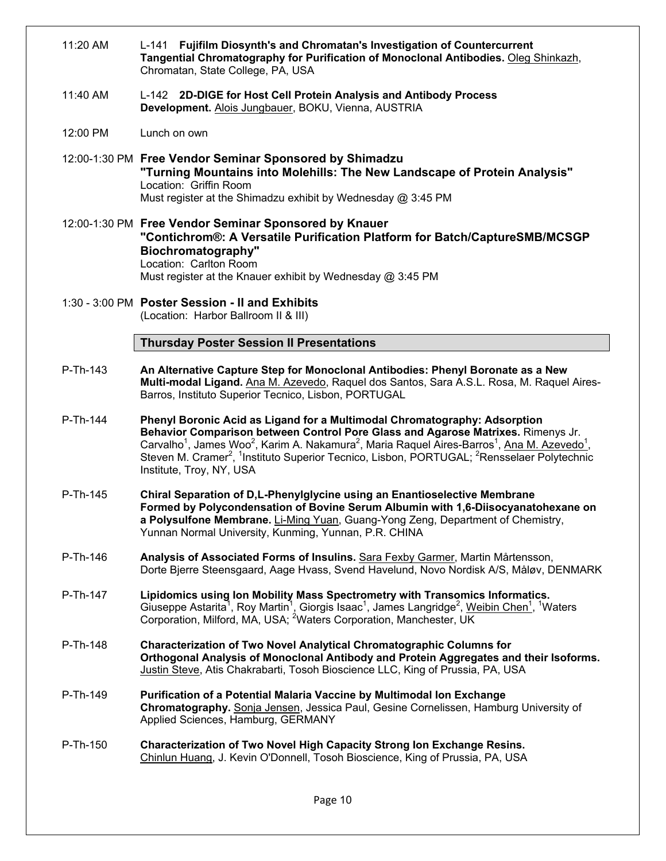|          | Tangential Chromatography for Purification of Monoclonal Antibodies. Oleg Shinkazh,<br>Chromatan, State College, PA, USA                                                                                                                                                                                                                                                                                                                                                                |
|----------|-----------------------------------------------------------------------------------------------------------------------------------------------------------------------------------------------------------------------------------------------------------------------------------------------------------------------------------------------------------------------------------------------------------------------------------------------------------------------------------------|
| 11:40 AM | L-142 2D-DIGE for Host Cell Protein Analysis and Antibody Process<br>Development. Alois Jungbauer, BOKU, Vienna, AUSTRIA                                                                                                                                                                                                                                                                                                                                                                |
| 12:00 PM | Lunch on own                                                                                                                                                                                                                                                                                                                                                                                                                                                                            |
|          | 12:00-1:30 PM Free Vendor Seminar Sponsored by Shimadzu<br>"Turning Mountains into Molehills: The New Landscape of Protein Analysis"<br>Location: Griffin Room<br>Must register at the Shimadzu exhibit by Wednesday @ 3:45 PM                                                                                                                                                                                                                                                          |
|          | 12:00-1:30 PM Free Vendor Seminar Sponsored by Knauer<br>"Contichrom®: A Versatile Purification Platform for Batch/CaptureSMB/MCSGP<br>Biochromatography"<br>Location: Carlton Room<br>Must register at the Knauer exhibit by Wednesday @ 3:45 PM                                                                                                                                                                                                                                       |
|          | 1:30 - 3:00 PM Poster Session - II and Exhibits<br>(Location: Harbor Ballroom II & III)                                                                                                                                                                                                                                                                                                                                                                                                 |
|          | <b>Thursday Poster Session II Presentations</b>                                                                                                                                                                                                                                                                                                                                                                                                                                         |
| P-Th-143 | An Alternative Capture Step for Monoclonal Antibodies: Phenyl Boronate as a New<br>Multi-modal Ligand. Ana M. Azevedo, Raquel dos Santos, Sara A.S.L. Rosa, M. Raquel Aires-<br>Barros, Instituto Superior Tecnico, Lisbon, PORTUGAL                                                                                                                                                                                                                                                    |
| P-Th-144 | Phenyl Boronic Acid as Ligand for a Multimodal Chromatography: Adsorption<br>Behavior Comparison between Control Pore Glass and Agarose Matrixes. Rimenys Jr.<br>Carvalho <sup>1</sup> , James Woo <sup>2</sup> , Karim A. Nakamura <sup>2</sup> , Maria Raquel Aires-Barros <sup>1</sup> , Ana M. Azevedo <sup>1</sup> ,<br>Steven M. Cramer <sup>2</sup> , <sup>1</sup> Instituto Superior Tecnico, Lisbon, PORTUGAL; <sup>2</sup> Rensselaer Polytechnic<br>Institute, Troy, NY, USA |
| P-Th-145 | Chiral Separation of D,L-Phenylglycine using an Enantioselective Membrane<br>Formed by Polycondensation of Bovine Serum Albumin with 1,6-Diisocyanatohexane on<br>a Polysulfone Membrane. Li-Ming Yuan, Guang-Yong Zeng, Department of Chemistry,<br>Yunnan Normal University, Kunming, Yunnan, P.R. CHINA                                                                                                                                                                              |
| P-Th-146 | Analysis of Associated Forms of Insulins. Sara Fexby Garmer, Martin Mårtensson,<br>Dorte Bjerre Steensgaard, Aage Hvass, Svend Havelund, Novo Nordisk A/S, Måløv, DENMARK                                                                                                                                                                                                                                                                                                               |
| P-Th-147 | Lipidomics using Ion Mobility Mass Spectrometry with Transomics Informatics.<br>Giuseppe Astarita <sup>1</sup> , Roy Martin <sup>1</sup> , Giorgis Isaac <sup>1</sup> , James Langridge <sup>2</sup> , <u>Weibin Chen<sup>1</sup></u> , <sup>1</sup> Waters<br>Corporation, Milford, MA, USA; <sup>2</sup> Waters Corporation, Manchester, UK                                                                                                                                           |
| P-Th-148 | <b>Characterization of Two Novel Analytical Chromatographic Columns for</b><br>Orthogonal Analysis of Monoclonal Antibody and Protein Aggregates and their Isoforms.<br>Justin Steve, Atis Chakrabarti, Tosoh Bioscience LLC, King of Prussia, PA, USA                                                                                                                                                                                                                                  |
| P-Th-149 | Purification of a Potential Malaria Vaccine by Multimodal Ion Exchange<br>Chromatography. Sonja Jensen, Jessica Paul, Gesine Cornelissen, Hamburg University of<br>Applied Sciences, Hamburg, GERMANY                                                                                                                                                                                                                                                                                   |
| P-Th-150 | <b>Characterization of Two Novel High Capacity Strong Ion Exchange Resins.</b><br>Chinlun Huang, J. Kevin O'Donnell, Tosoh Bioscience, King of Prussia, PA, USA                                                                                                                                                                                                                                                                                                                         |
|          |                                                                                                                                                                                                                                                                                                                                                                                                                                                                                         |

11:20 AM L-141 **Fujifilm Diosynth's and Chromatan's Investigation of Countercurrent**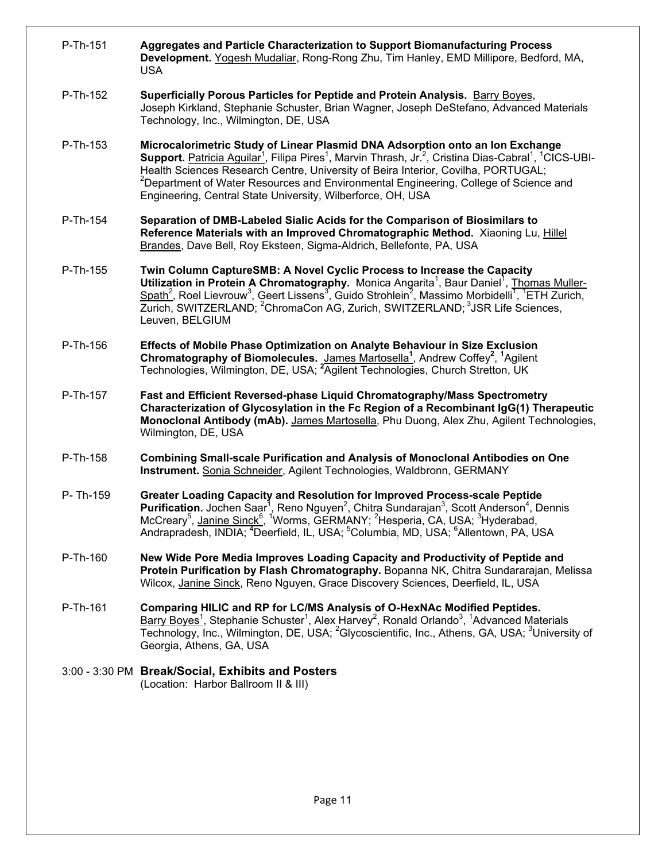| P-Th-151 | Aggregates and Particle Characterization to Support Biomanufacturing Process<br>Development. Yogesh Mudaliar, Rong-Rong Zhu, Tim Hanley, EMD Millipore, Bedford, MA,<br><b>USA</b>                                                                                                                                                                                                                                                                                                                         |
|----------|------------------------------------------------------------------------------------------------------------------------------------------------------------------------------------------------------------------------------------------------------------------------------------------------------------------------------------------------------------------------------------------------------------------------------------------------------------------------------------------------------------|
| P-Th-152 | Superficially Porous Particles for Peptide and Protein Analysis. Barry Boyes,<br>Joseph Kirkland, Stephanie Schuster, Brian Wagner, Joseph DeStefano, Advanced Materials<br>Technology, Inc., Wilmington, DE, USA                                                                                                                                                                                                                                                                                          |
| P-Th-153 | Microcalorimetric Study of Linear Plasmid DNA Adsorption onto an Ion Exchange<br>Support. Patricia Aguilar <sup>1</sup> , Filipa Pires <sup>1</sup> , Marvin Thrash, Jr. <sup>2</sup> , Cristina Dias-Cabral <sup>1</sup> , <sup>1</sup> CICS-UBI-<br>Health Sciences Research Centre, University of Beira Interior, Covilha, PORTUGAL;<br><sup>2</sup> Department of Water Resources and Environmental Engineering, College of Science and<br>Engineering, Central State University, Wilberforce, OH, USA |
| P-Th-154 | Separation of DMB-Labeled Sialic Acids for the Comparison of Biosimilars to<br>Reference Materials with an Improved Chromatographic Method. Xiaoning Lu, Hillel<br>Brandes, Dave Bell, Roy Eksteen, Sigma-Aldrich, Bellefonte, PA, USA                                                                                                                                                                                                                                                                     |
| P-Th-155 | Twin Column CaptureSMB: A Novel Cyclic Process to Increase the Capacity<br>Utilization in Protein A Chromatography. Monica Angarita <sup>1</sup> , Baur Daniel <sup>1</sup> , Thomas Muller-<br>Spath <sup>2</sup> , Roel Lievrouw <sup>3</sup> , Geert Lissens <sup>3</sup> , Guido Strohlein <sup>2</sup> , Massimo Morbidelli <sup>1</sup> , <sup>1</sup> ETH Zurich,<br>Zurich, SWITZERLAND; <sup>2</sup> ChromaCon AG, Zurich, SWITZERLAND; <sup>3</sup> JSR Life Sciences,<br>Leuven, BELGIUM        |
| P-Th-156 | Effects of Mobile Phase Optimization on Analyte Behaviour in Size Exclusion<br>Chromatography of Biomolecules. James Martosella <sup>1</sup> , Andrew Coffey <sup>2</sup> , <sup>1</sup> Agilent<br>Technologies, Wilmington, DE, USA; <sup>2</sup> Agilent Technologies, Church Stretton, UK                                                                                                                                                                                                              |
| P-Th-157 | Fast and Efficient Reversed-phase Liquid Chromatography/Mass Spectrometry<br>Characterization of Glycosylation in the Fc Region of a Recombinant IgG(1) Therapeutic<br>Monoclonal Antibody (mAb). James Martosella, Phu Duong, Alex Zhu, Agilent Technologies,<br>Wilmington, DE, USA                                                                                                                                                                                                                      |
| P-Th-158 | <b>Combining Small-scale Purification and Analysis of Monoclonal Antibodies on One</b><br>Instrument. Sonja Schneider, Agilent Technologies, Waldbronn, GERMANY                                                                                                                                                                                                                                                                                                                                            |
| P-Th-159 | Greater Loading Capacity and Resolution for Improved Process-scale Peptide<br>Purification. Jochen Saar <sup>1</sup> , Reno Nguyen <sup>2</sup> , Chitra Sundarajan <sup>3</sup> , Scott Anderson <sup>4</sup> , Dennis<br>McCreary <sup>5</sup> , Janine Sinck <sup>6</sup> , <sup>1</sup> Worms, GERMANY; <sup>2</sup> Hesperia, CA, USA; <sup>3</sup> Hyderabad,<br>Andrapradesh, INDIA; <sup>4</sup> Deerfield, IL, USA; <sup>5</sup> Columbia, MD, USA; <sup>6</sup> Allentown, PA, USA               |
| P-Th-160 | New Wide Pore Media Improves Loading Capacity and Productivity of Peptide and<br>Protein Purification by Flash Chromatography. Bopanna NK, Chitra Sundararajan, Melissa<br>Wilcox, Janine Sinck, Reno Nguyen, Grace Discovery Sciences, Deerfield, IL, USA                                                                                                                                                                                                                                                 |
| P-Th-161 | Comparing HILIC and RP for LC/MS Analysis of O-HexNAc Modified Peptides.<br>$Barry Boyes1$ , Stephanie Schuster <sup>1</sup> , Alex Harvey <sup>2</sup> , Ronald Orlando <sup>3</sup> , <sup>1</sup> Advanced Materials<br>Technology, Inc., Wilmington, DE, USA; <sup>2</sup> Glycoscientific, Inc., Athens, GA, USA; <sup>3</sup> University of<br>Georgia, Athens, GA, USA                                                                                                                              |
|          | 3:00 - 3:30 PM Break/Social, Exhibits and Posters<br>(Location: Harbor Ballroom II & III)                                                                                                                                                                                                                                                                                                                                                                                                                  |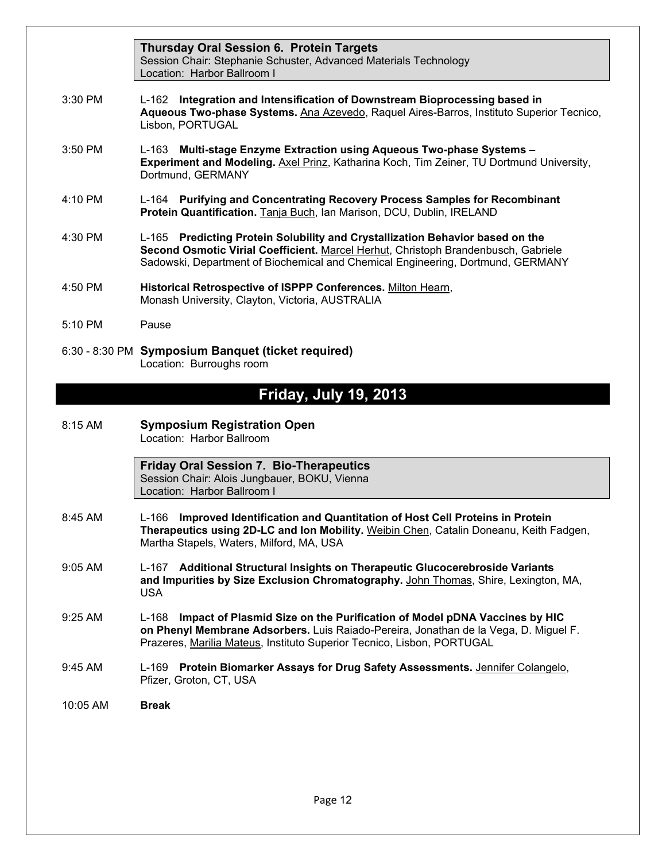|                   | <b>Thursday Oral Session 6. Protein Targets</b><br>Session Chair: Stephanie Schuster, Advanced Materials Technology<br>Location: Harbor Ballroom I                                                                                                     |
|-------------------|--------------------------------------------------------------------------------------------------------------------------------------------------------------------------------------------------------------------------------------------------------|
| $3:30$ PM         | L-162 Integration and Intensification of Downstream Bioprocessing based in<br>Aqueous Two-phase Systems. Ana Azevedo, Raquel Aires-Barros, Instituto Superior Tecnico,<br>Lisbon, PORTUGAL                                                             |
| $3:50$ PM         | L-163 Multi-stage Enzyme Extraction using Aqueous Two-phase Systems -<br>Experiment and Modeling. Axel Prinz, Katharina Koch, Tim Zeiner, TU Dortmund University,<br>Dortmund, GERMANY                                                                 |
| 4:10 PM           | L-164 Purifying and Concentrating Recovery Process Samples for Recombinant<br>Protein Quantification. Tanja Buch, Ian Marison, DCU, Dublin, IRELAND                                                                                                    |
| $4:30$ PM         | L-165 Predicting Protein Solubility and Crystallization Behavior based on the<br>Second Osmotic Virial Coefficient. Marcel Herhut, Christoph Brandenbusch, Gabriele<br>Sadowski, Department of Biochemical and Chemical Engineering, Dortmund, GERMANY |
| 4:50 PM           | Historical Retrospective of ISPPP Conferences. Milton Hearn,<br>Monash University, Clayton, Victoria, AUSTRALIA                                                                                                                                        |
| $5:10 \text{ PM}$ | Pause                                                                                                                                                                                                                                                  |
|                   | 6:30 - 8:30 PM Symposium Banquet (ticket required)<br>Location: Burroughs room                                                                                                                                                                         |

## **Friday, July 19, 2013**

| 8:15 AM | <b>Symposium Registration Open</b> |
|---------|------------------------------------|
|         | Location: Harbor Ballroom          |

**Friday Oral Session 7. Bio-Therapeutics**  Session Chair: Alois Jungbauer, BOKU, Vienna Location: Harbor Ballroom I

- 8:45 AM L-166 **Improved Identification and Quantitation of Host Cell Proteins in Protein Therapeutics using 2D-LC and Ion Mobility.** Weibin Chen, Catalin Doneanu, Keith Fadgen, Martha Stapels, Waters, Milford, MA, USA
- 9:05 AM L-167 **Additional Structural Insights on Therapeutic Glucocerebroside Variants and Impurities by Size Exclusion Chromatography.** John Thomas, Shire, Lexington, MA, USA
- 9:25 AM L-168 **Impact of Plasmid Size on the Purification of Model pDNA Vaccines by HIC on Phenyl Membrane Adsorbers.** Luis Raiado-Pereira, Jonathan de la Vega, D. Miguel F. Prazeres, Marilia Mateus, Instituto Superior Tecnico, Lisbon, PORTUGAL
- 9:45 AM L-169 **Protein Biomarker Assays for Drug Safety Assessments.** Jennifer Colangelo, Pfizer, Groton, CT, USA
- 10:05 AM **Break**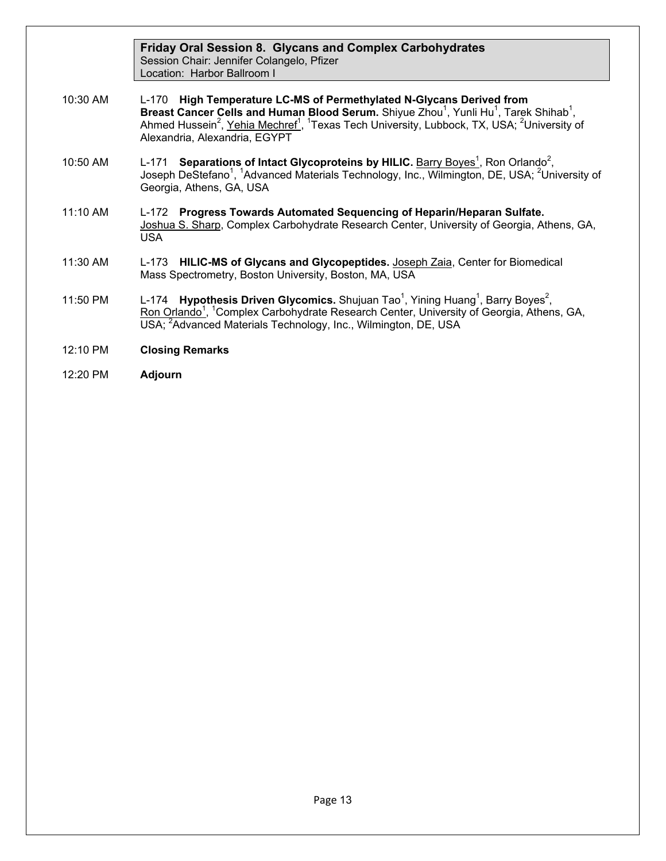|          | <b>Friday Oral Session 8. Glycans and Complex Carbohydrates</b><br>Session Chair: Jennifer Colangelo, Pfizer<br>Location: Harbor Ballroom I                                                                                                                                                                                                                                      |
|----------|----------------------------------------------------------------------------------------------------------------------------------------------------------------------------------------------------------------------------------------------------------------------------------------------------------------------------------------------------------------------------------|
| 10:30 AM | L-170 High Temperature LC-MS of Permethylated N-Glycans Derived from<br>Breast Cancer Cells and Human Blood Serum. Shiyue Zhou <sup>1</sup> , Yunli Hu <sup>1</sup> , Tarek Shihab <sup>1</sup> ,<br>Ahmed Hussein <sup>2</sup> , Yehia Mechref <sup>1</sup> , <sup>1</sup> Texas Tech University, Lubbock, TX, USA; <sup>2</sup> University of<br>Alexandria, Alexandria, EGYPT |
| 10:50 AM | Separations of Intact Glycoproteins by HILIC. Barry Boyes <sup>1</sup> , Ron Orlando <sup>2</sup> ,<br>L-171<br>Joseph DeStefano <sup>1</sup> , <sup>1</sup> Advanced Materials Technology, Inc., Wilmington, DE, USA; <sup>2</sup> University of<br>Georgia, Athens, GA, USA                                                                                                    |
| 11:10 AM | L-172 Progress Towards Automated Sequencing of Heparin/Heparan Sulfate.<br>Joshua S. Sharp, Complex Carbohydrate Research Center, University of Georgia, Athens, GA,<br><b>USA</b>                                                                                                                                                                                               |
| 11:30 AM | L-173 HILIC-MS of Glycans and Glycopeptides. Joseph Zaia, Center for Biomedical<br>Mass Spectrometry, Boston University, Boston, MA, USA                                                                                                                                                                                                                                         |
| 11:50 PM | L-174 <b>Hypothesis Driven Glycomics.</b> Shujuan Tao <sup>1</sup> , Yining Huang <sup>1</sup> , Barry Boyes <sup>2</sup> ,<br>Ron Orlando <sup>1</sup> , <sup>1</sup> Complex Carbohydrate Research Center, University of Georgia, Athens, GA,<br>USA; <sup>2</sup> Advanced Materials Technology, Inc., Wilmington, DE, USA                                                    |
| 12:10 PM | <b>Closing Remarks</b>                                                                                                                                                                                                                                                                                                                                                           |
| 12:20 PM | <b>Adjourn</b>                                                                                                                                                                                                                                                                                                                                                                   |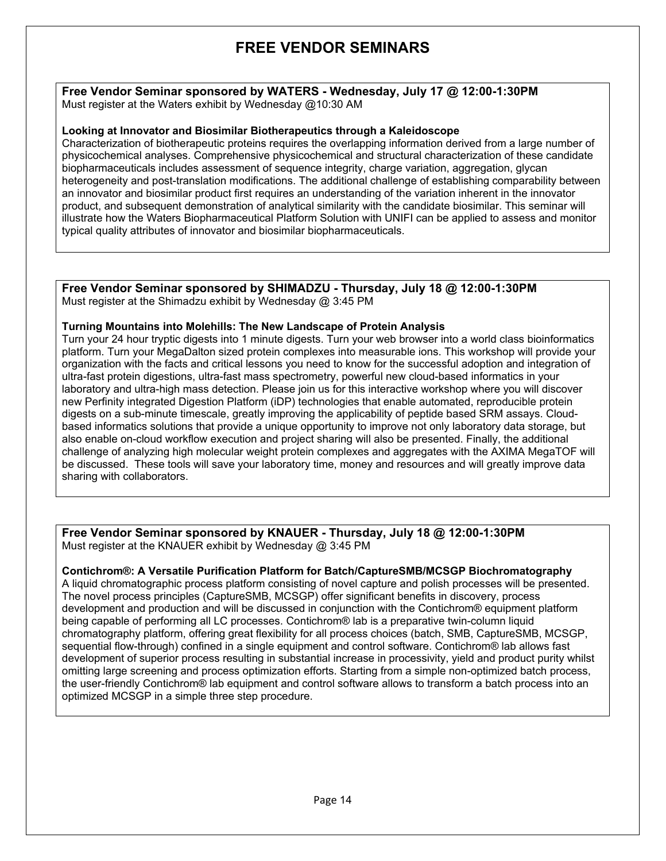## **FREE VENDOR SEMINARS**

**Free Vendor Seminar sponsored by WATERS - Wednesday, July 17 @ 12:00-1:30PM**  Must register at the Waters exhibit by Wednesday @10:30 AM

#### **Looking at Innovator and Biosimilar Biotherapeutics through a Kaleidoscope**

Characterization of biotherapeutic proteins requires the overlapping information derived from a large number of physicochemical analyses. Comprehensive physicochemical and structural characterization of these candidate biopharmaceuticals includes assessment of sequence integrity, charge variation, aggregation, glycan heterogeneity and post-translation modifications. The additional challenge of establishing comparability between an innovator and biosimilar product first requires an understanding of the variation inherent in the innovator product, and subsequent demonstration of analytical similarity with the candidate biosimilar. This seminar will illustrate how the Waters Biopharmaceutical Platform Solution with UNIFI can be applied to assess and monitor typical quality attributes of innovator and biosimilar biopharmaceuticals.

**Free Vendor Seminar sponsored by SHIMADZU - Thursday, July 18 @ 12:00-1:30PM**  Must register at the Shimadzu exhibit by Wednesday @ 3:45 PM

#### **Turning Mountains into Molehills: The New Landscape of Protein Analysis**

Turn your 24 hour tryptic digests into 1 minute digests. Turn your web browser into a world class bioinformatics platform. Turn your MegaDalton sized protein complexes into measurable ions. This workshop will provide your organization with the facts and critical lessons you need to know for the successful adoption and integration of ultra-fast protein digestions, ultra-fast mass spectrometry, powerful new cloud-based informatics in your laboratory and ultra-high mass detection. Please join us for this interactive workshop where you will discover new Perfinity integrated Digestion Platform (iDP) technologies that enable automated, reproducible protein digests on a sub-minute timescale, greatly improving the applicability of peptide based SRM assays. Cloudbased informatics solutions that provide a unique opportunity to improve not only laboratory data storage, but also enable on-cloud workflow execution and project sharing will also be presented. Finally, the additional challenge of analyzing high molecular weight protein complexes and aggregates with the AXIMA MegaTOF will be discussed. These tools will save your laboratory time, money and resources and will greatly improve data sharing with collaborators.

**Free Vendor Seminar sponsored by KNAUER - Thursday, July 18 @ 12:00-1:30PM**  Must register at the KNAUER exhibit by Wednesday @ 3:45 PM

#### **Contichrom®: A Versatile Purification Platform for Batch/CaptureSMB/MCSGP Biochromatography**

A liquid chromatographic process platform consisting of novel capture and polish processes will be presented. The novel process principles (CaptureSMB, MCSGP) offer significant benefits in discovery, process development and production and will be discussed in conjunction with the Contichrom® equipment platform being capable of performing all LC processes. Contichrom® lab is a preparative twin-column liquid chromatography platform, offering great flexibility for all process choices (batch, SMB, CaptureSMB, MCSGP, sequential flow-through) confined in a single equipment and control software. Contichrom® lab allows fast development of superior process resulting in substantial increase in processivity, yield and product purity whilst omitting large screening and process optimization efforts. Starting from a simple non-optimized batch process, the user-friendly Contichrom® lab equipment and control software allows to transform a batch process into an optimized MCSGP in a simple three step procedure.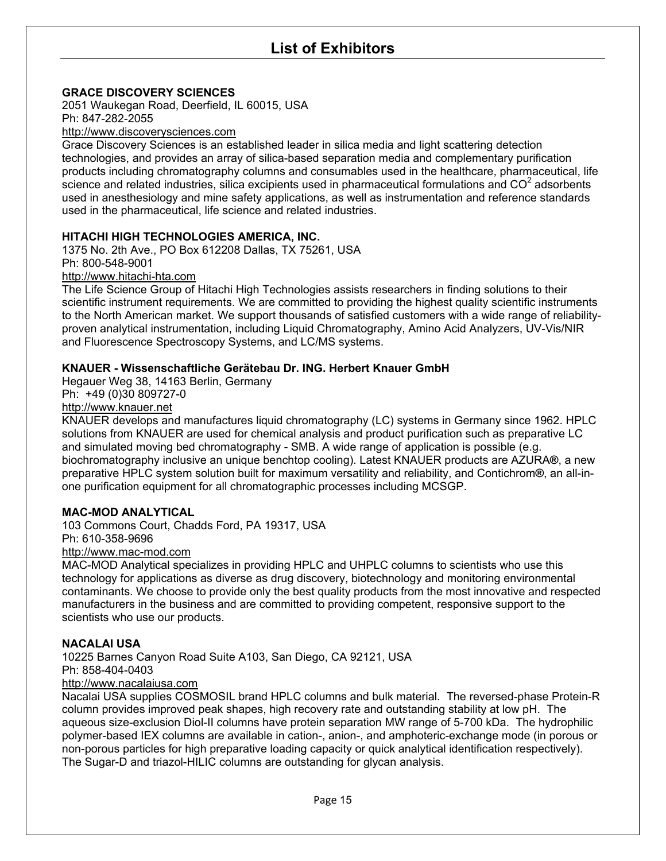## **List of Exhibitors**

#### **GRACE DISCOVERY SCIENCES**

2051 Waukegan Road, Deerfield, IL 60015, USA Ph: 847-282-2055

#### http://www.discoverysciences.com

Grace Discovery Sciences is an established leader in silica media and light scattering detection technologies, and provides an array of silica-based separation media and complementary purification products including chromatography columns and consumables used in the healthcare, pharmaceutical, life science and related industries, silica excipients used in pharmaceutical formulations and  $\mathsf{CO}^2$  adsorbents used in anesthesiology and mine safety applications, as well as instrumentation and reference standards used in the pharmaceutical, life science and related industries.

#### **HITACHI HIGH TECHNOLOGIES AMERICA, INC.**

1375 No. 2th Ave., PO Box 612208 Dallas, TX 75261, USA Ph: 800-548-9001

http://www.hitachi-hta.com

The Life Science Group of Hitachi High Technologies assists researchers in finding solutions to their scientific instrument requirements. We are committed to providing the highest quality scientific instruments to the North American market. We support thousands of satisfied customers with a wide range of reliabilityproven analytical instrumentation, including Liquid Chromatography, Amino Acid Analyzers, UV-Vis/NIR and Fluorescence Spectroscopy Systems, and LC/MS systems.

#### **KNAUER - Wissenschaftliche Gerätebau Dr. ING. Herbert Knauer GmbH**

Hegauer Weg 38, 14163 Berlin, Germany

Ph: +49 (0)30 809727-0

http://www.knauer.net

KNAUER develops and manufactures liquid chromatography (LC) systems in Germany since 1962. HPLC solutions from KNAUER are used for chemical analysis and product purification such as preparative LC and simulated moving bed chromatography - SMB. A wide range of application is possible (e.g. biochromatography inclusive an unique benchtop cooling). Latest KNAUER products are AZURA**®**, a new preparative HPLC system solution built for maximum versatility and reliability, and Contichrom**®**, an all-inone purification equipment for all chromatographic processes including MCSGP.

#### **MAC-MOD ANALYTICAL**

103 Commons Court, Chadds Ford, PA 19317, USA Ph: 610-358-9696

http://www.mac-mod.com

MAC-MOD Analytical specializes in providing HPLC and UHPLC columns to scientists who use this technology for applications as diverse as drug discovery, biotechnology and monitoring environmental contaminants. We choose to provide only the best quality products from the most innovative and respected manufacturers in the business and are committed to providing competent, responsive support to the scientists who use our products.

#### **NACALAI USA**

10225 Barnes Canyon Road Suite A103, San Diego, CA 92121, USA Ph: 858-404-0403

#### http://www.nacalaiusa.com

Nacalai USA supplies COSMOSIL brand HPLC columns and bulk material. The reversed-phase Protein-R column provides improved peak shapes, high recovery rate and outstanding stability at low pH. The aqueous size-exclusion Diol-II columns have protein separation MW range of 5-700 kDa. The hydrophilic polymer-based IEX columns are available in cation-, anion-, and amphoteric-exchange mode (in porous or non-porous particles for high preparative loading capacity or quick analytical identification respectively). The Sugar-D and triazol-HILIC columns are outstanding for glycan analysis.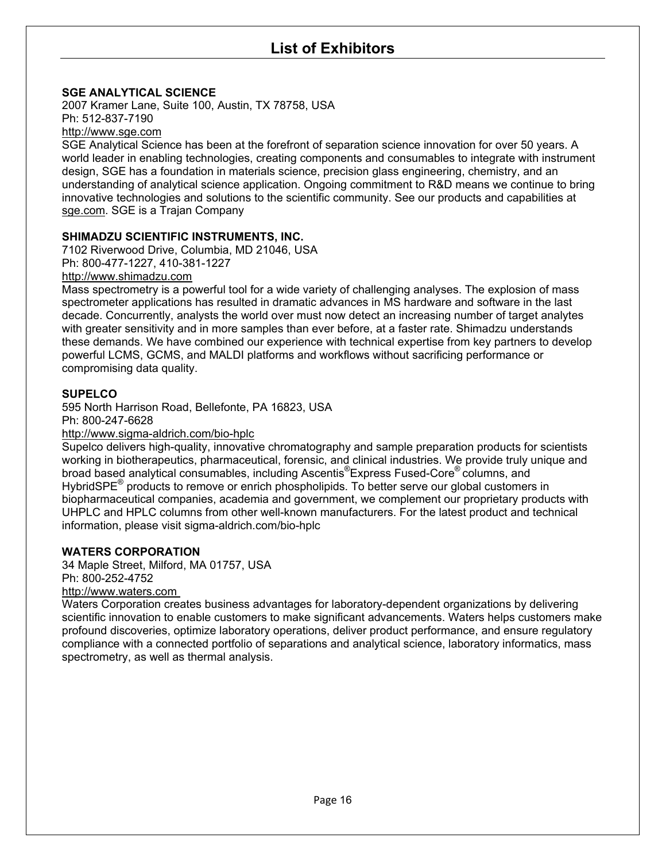### **SGE ANALYTICAL SCIENCE**

2007 Kramer Lane, Suite 100, Austin, TX 78758, USA Ph: 512-837-7190

http://www.sge.com

SGE Analytical Science has been at the forefront of separation science innovation for over 50 years. A world leader in enabling technologies, creating components and consumables to integrate with instrument design, SGE has a foundation in materials science, precision glass engineering, chemistry, and an understanding of analytical science application. Ongoing commitment to R&D means we continue to bring innovative technologies and solutions to the scientific community. See our products and capabilities at sge.com. SGE is a Trajan Company

#### **SHIMADZU SCIENTIFIC INSTRUMENTS, INC.**

7102 Riverwood Drive, Columbia, MD 21046, USA Ph: 800-477-1227, 410-381-1227

http://www.shimadzu.com

Mass spectrometry is a powerful tool for a wide variety of challenging analyses. The explosion of mass spectrometer applications has resulted in dramatic advances in MS hardware and software in the last decade. Concurrently, analysts the world over must now detect an increasing number of target analytes with greater sensitivity and in more samples than ever before, at a faster rate. Shimadzu understands these demands. We have combined our experience with technical expertise from key partners to develop powerful LCMS, GCMS, and MALDI platforms and workflows without sacrificing performance or compromising data quality.

#### **SUPELCO**

595 North Harrison Road, Bellefonte, PA 16823, USA Ph: 800-247-6628

#### http://www.sigma-aldrich.com/bio-hplc

Supelco delivers high-quality, innovative chromatography and sample preparation products for scientists working in biotherapeutics, pharmaceutical, forensic, and clinical industries. We provide truly unique and broad based analytical consumables, including Ascentis®Express Fused-Core® columns, and HybridSPE<sup>®</sup> products to remove or enrich phospholipids. To better serve our global customers in biopharmaceutical companies, academia and government, we complement our proprietary products with UHPLC and HPLC columns from other well-known manufacturers. For the latest product and technical information, please visit sigma-aldrich.com/bio-hplc

#### **WATERS CORPORATION**

34 Maple Street, Milford, MA 01757, USA Ph: 800-252-4752

### http://www.waters.com

Waters Corporation creates business advantages for laboratory-dependent organizations by delivering scientific innovation to enable customers to make significant advancements. Waters helps customers make profound discoveries, optimize laboratory operations, deliver product performance, and ensure regulatory compliance with a connected portfolio of separations and analytical science, laboratory informatics, mass spectrometry, as well as thermal analysis.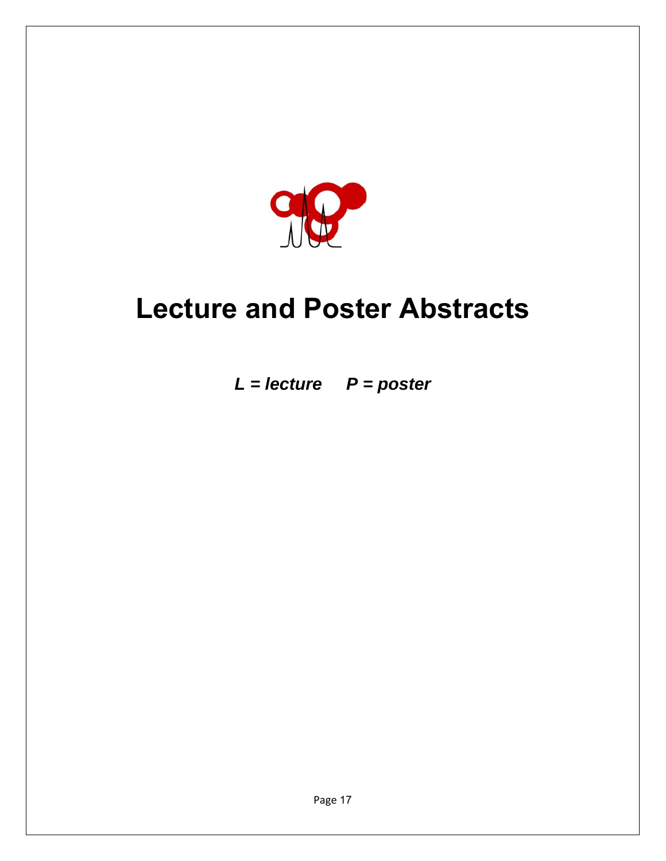

# **Lecture and Poster Abstracts**

*L = lecture P = poster*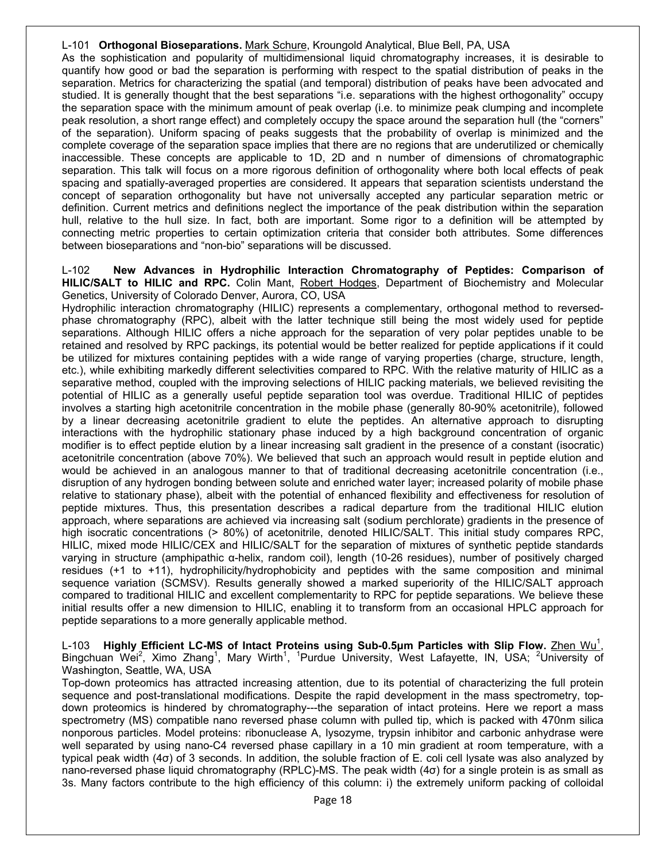#### L-101 **Orthogonal Bioseparations.** Mark Schure, Kroungold Analytical, Blue Bell, PA, USA

As the sophistication and popularity of multidimensional liquid chromatography increases, it is desirable to quantify how good or bad the separation is performing with respect to the spatial distribution of peaks in the separation. Metrics for characterizing the spatial (and temporal) distribution of peaks have been advocated and studied. It is generally thought that the best separations "i.e. separations with the highest orthogonality" occupy the separation space with the minimum amount of peak overlap (i.e. to minimize peak clumping and incomplete peak resolution, a short range effect) and completely occupy the space around the separation hull (the "corners" of the separation). Uniform spacing of peaks suggests that the probability of overlap is minimized and the complete coverage of the separation space implies that there are no regions that are underutilized or chemically inaccessible. These concepts are applicable to 1D, 2D and n number of dimensions of chromatographic separation. This talk will focus on a more rigorous definition of orthogonality where both local effects of peak spacing and spatially-averaged properties are considered. It appears that separation scientists understand the concept of separation orthogonality but have not universally accepted any particular separation metric or definition. Current metrics and definitions neglect the importance of the peak distribution within the separation hull, relative to the hull size. In fact, both are important. Some rigor to a definition will be attempted by connecting metric properties to certain optimization criteria that consider both attributes. Some differences between bioseparations and "non-bio" separations will be discussed.

L-102 **New Advances in Hydrophilic Interaction Chromatography of Peptides: Comparison of HILIC/SALT to HILIC and RPC.** Colin Mant, Robert Hodges, Department of Biochemistry and Molecular Genetics, University of Colorado Denver, Aurora, CO, USA

Hydrophilic interaction chromatography (HILIC) represents a complementary, orthogonal method to reversedphase chromatography (RPC), albeit with the latter technique still being the most widely used for peptide separations. Although HILIC offers a niche approach for the separation of very polar peptides unable to be retained and resolved by RPC packings, its potential would be better realized for peptide applications if it could be utilized for mixtures containing peptides with a wide range of varying properties (charge, structure, length, etc.), while exhibiting markedly different selectivities compared to RPC. With the relative maturity of HILIC as a separative method, coupled with the improving selections of HILIC packing materials, we believed revisiting the potential of HILIC as a generally useful peptide separation tool was overdue. Traditional HILIC of peptides involves a starting high acetonitrile concentration in the mobile phase (generally 80-90% acetonitrile), followed by a linear decreasing acetonitrile gradient to elute the peptides. An alternative approach to disrupting interactions with the hydrophilic stationary phase induced by a high background concentration of organic modifier is to effect peptide elution by a linear increasing salt gradient in the presence of a constant (isocratic) acetonitrile concentration (above 70%). We believed that such an approach would result in peptide elution and would be achieved in an analogous manner to that of traditional decreasing acetonitrile concentration (i.e., disruption of any hydrogen bonding between solute and enriched water layer; increased polarity of mobile phase relative to stationary phase), albeit with the potential of enhanced flexibility and effectiveness for resolution of peptide mixtures. Thus, this presentation describes a radical departure from the traditional HILIC elution approach, where separations are achieved via increasing salt (sodium perchlorate) gradients in the presence of high isocratic concentrations (> 80%) of acetonitrile, denoted HILIC/SALT. This initial study compares RPC, HILIC, mixed mode HILIC/CEX and HILIC/SALT for the separation of mixtures of synthetic peptide standards varying in structure (amphipathic α-helix, random coil), length (10-26 residues), number of positively charged residues (+1 to +11), hydrophilicity/hydrophobicity and peptides with the same composition and minimal sequence variation (SCMSV). Results generally showed a marked superiority of the HILIC/SALT approach compared to traditional HILIC and excellent complementarity to RPC for peptide separations. We believe these initial results offer a new dimension to HILIC, enabling it to transform from an occasional HPLC approach for peptide separations to a more generally applicable method.

L-103 Highly Efficient LC-MS of Intact Proteins using Sub-0.5µm Particles with Slip Flow. <u>Zhen Wu<sup>1</sup>,</u> Bingchuan Wei<sup>2</sup>, Ximo Zhang<sup>1</sup>, Mary Wirth<sup>1</sup>, <sup>1</sup>Purdue University, West Lafayette, IN, USA; <sup>2</sup>University of Washington, Seattle, WA, USA

Top-down proteomics has attracted increasing attention, due to its potential of characterizing the full protein sequence and post-translational modifications. Despite the rapid development in the mass spectrometry, topdown proteomics is hindered by chromatography---the separation of intact proteins. Here we report a mass spectrometry (MS) compatible nano reversed phase column with pulled tip, which is packed with 470nm silica nonporous particles. Model proteins: ribonuclease A, lysozyme, trypsin inhibitor and carbonic anhydrase were well separated by using nano-C4 reversed phase capillary in a 10 min gradient at room temperature, with a typical peak width (4σ) of 3 seconds. In addition, the soluble fraction of E. coli cell lysate was also analyzed by nano-reversed phase liquid chromatography (RPLC)-MS. The peak width (4σ) for a single protein is as small as 3s. Many factors contribute to the high efficiency of this column: i) the extremely uniform packing of colloidal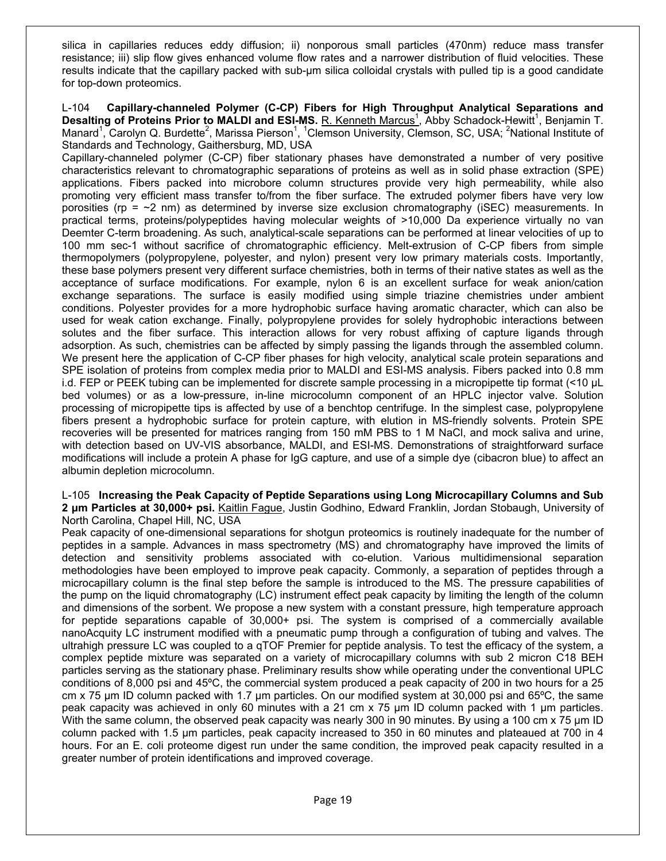silica in capillaries reduces eddy diffusion; ii) nonporous small particles (470nm) reduce mass transfer resistance; iii) slip flow gives enhanced volume flow rates and a narrower distribution of fluid velocities. These results indicate that the capillary packed with sub-μm silica colloidal crystals with pulled tip is a good candidate for top-down proteomics.

L-104 **Capillary-channeled Polymer (C-CP) Fibers for High Throughput Analytical Separations and**  Desalting of Proteins Prior to MALDI and ESI-MS. R. Kenneth Marcus<sup>1</sup>, Abby Schadock-Hewitt<sup>1</sup>, Benjamin T. Manard<sup>1</sup>, Carolyn Q. Burdette<sup>2</sup>, Marissa Pierson<sup>1</sup>, <sup>1</sup>Clemson University, Clemson, SC, USA; <sup>2</sup>National Institute of Standards and Technology, Gaithersburg, MD, USA

Capillary-channeled polymer (C-CP) fiber stationary phases have demonstrated a number of very positive characteristics relevant to chromatographic separations of proteins as well as in solid phase extraction (SPE) applications. Fibers packed into microbore column structures provide very high permeability, while also promoting very efficient mass transfer to/from the fiber surface. The extruded polymer fibers have very low porosities (rp =  $\sim$ 2 nm) as determined by inverse size exclusion chromatography (iSEC) measurements. In practical terms, proteins/polypeptides having molecular weights of >10,000 Da experience virtually no van Deemter C-term broadening. As such, analytical-scale separations can be performed at linear velocities of up to 100 mm sec-1 without sacrifice of chromatographic efficiency. Melt-extrusion of C-CP fibers from simple thermopolymers (polypropylene, polyester, and nylon) present very low primary materials costs. Importantly, these base polymers present very different surface chemistries, both in terms of their native states as well as the acceptance of surface modifications. For example, nylon 6 is an excellent surface for weak anion/cation exchange separations. The surface is easily modified using simple triazine chemistries under ambient conditions. Polyester provides for a more hydrophobic surface having aromatic character, which can also be used for weak cation exchange. Finally, polypropylene provides for solely hydrophobic interactions between solutes and the fiber surface. This interaction allows for very robust affixing of capture ligands through adsorption. As such, chemistries can be affected by simply passing the ligands through the assembled column. We present here the application of C-CP fiber phases for high velocity, analytical scale protein separations and SPE isolation of proteins from complex media prior to MALDI and ESI-MS analysis. Fibers packed into 0.8 mm i.d. FEP or PEEK tubing can be implemented for discrete sample processing in a micropipette tip format (<10 μL bed volumes) or as a low-pressure, in-line microcolumn component of an HPLC injector valve. Solution processing of micropipette tips is affected by use of a benchtop centrifuge. In the simplest case, polypropylene fibers present a hydrophobic surface for protein capture, with elution in MS-friendly solvents. Protein SPE recoveries will be presented for matrices ranging from 150 mM PBS to 1 M NaCl, and mock saliva and urine, with detection based on UV-VIS absorbance, MALDI, and ESI-MS. Demonstrations of straightforward surface modifications will include a protein A phase for IgG capture, and use of a simple dye (cibacron blue) to affect an albumin depletion microcolumn.

L-105 **Increasing the Peak Capacity of Peptide Separations using Long Microcapillary Columns and Sub 2 μm Particles at 30,000+ psi.** Kaitlin Fague, Justin Godhino, Edward Franklin, Jordan Stobaugh, University of North Carolina, Chapel Hill, NC, USA

Peak capacity of one-dimensional separations for shotgun proteomics is routinely inadequate for the number of peptides in a sample. Advances in mass spectrometry (MS) and chromatography have improved the limits of detection and sensitivity problems associated with co-elution. Various multidimensional separation methodologies have been employed to improve peak capacity. Commonly, a separation of peptides through a microcapillary column is the final step before the sample is introduced to the MS. The pressure capabilities of the pump on the liquid chromatography (LC) instrument effect peak capacity by limiting the length of the column and dimensions of the sorbent. We propose a new system with a constant pressure, high temperature approach for peptide separations capable of 30,000+ psi. The system is comprised of a commercially available nanoAcquity LC instrument modified with a pneumatic pump through a configuration of tubing and valves. The ultrahigh pressure LC was coupled to a qTOF Premier for peptide analysis. To test the efficacy of the system, a complex peptide mixture was separated on a variety of microcapillary columns with sub 2 micron C18 BEH particles serving as the stationary phase. Preliminary results show while operating under the conventional UPLC conditions of 8,000 psi and 45ºC, the commercial system produced a peak capacity of 200 in two hours for a 25 cm x 75 μm ID column packed with 1.7 μm particles. On our modified system at 30,000 psi and 65ºC, the same peak capacity was achieved in only 60 minutes with a 21 cm x 75 μm ID column packed with 1 μm particles. With the same column, the observed peak capacity was nearly 300 in 90 minutes. By using a 100 cm x 75 μm ID column packed with 1.5 µm particles, peak capacity increased to 350 in 60 minutes and plateaued at 700 in 4 hours. For an E. coli proteome digest run under the same condition, the improved peak capacity resulted in a greater number of protein identifications and improved coverage.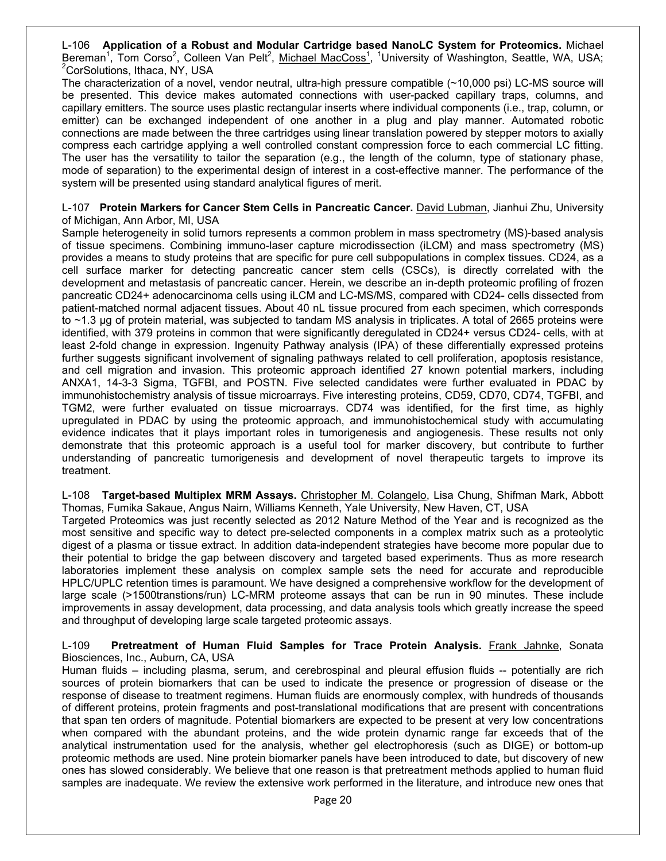L-106 **Application of a Robust and Modular Cartridge based NanoLC System for Proteomics.** Michael Bereman<sup>1</sup>, Tom Corso<sup>2</sup>, Colleen Van Pelt<sup>2</sup>, <u>Michael MacCoss<sup>1</sup>, 1University of Washington, Seattle, WA, USA;<br><sup>2</sup>CerSelutians Ithese NY USA</u> <sup>2</sup>CorSolutions, Ithaca, NY, USA

The characterization of a novel, vendor neutral, ultra-high pressure compatible (~10,000 psi) LC-MS source will be presented. This device makes automated connections with user-packed capillary traps, columns, and capillary emitters. The source uses plastic rectangular inserts where individual components (i.e., trap, column, or emitter) can be exchanged independent of one another in a plug and play manner. Automated robotic connections are made between the three cartridges using linear translation powered by stepper motors to axially compress each cartridge applying a well controlled constant compression force to each commercial LC fitting. The user has the versatility to tailor the separation (e.g., the length of the column, type of stationary phase, mode of separation) to the experimental design of interest in a cost-effective manner. The performance of the system will be presented using standard analytical figures of merit.

#### L-107 **Protein Markers for Cancer Stem Cells in Pancreatic Cancer.** David Lubman, Jianhui Zhu, University of Michigan, Ann Arbor, MI, USA

Sample heterogeneity in solid tumors represents a common problem in mass spectrometry (MS)-based analysis of tissue specimens. Combining immuno-laser capture microdissection (iLCM) and mass spectrometry (MS) provides a means to study proteins that are specific for pure cell subpopulations in complex tissues. CD24, as a cell surface marker for detecting pancreatic cancer stem cells (CSCs), is directly correlated with the development and metastasis of pancreatic cancer. Herein, we describe an in-depth proteomic profiling of frozen pancreatic CD24+ adenocarcinoma cells using iLCM and LC-MS/MS, compared with CD24- cells dissected from patient-matched normal adjacent tissues. About 40 nL tissue procured from each specimen, which corresponds to ~1.3 μg of protein material, was subjected to tandam MS analysis in triplicates. A total of 2665 proteins were identified, with 379 proteins in common that were significantly deregulated in CD24+ versus CD24- cells, with at least 2-fold change in expression. Ingenuity Pathway analysis (IPA) of these differentially expressed proteins further suggests significant involvement of signaling pathways related to cell proliferation, apoptosis resistance, and cell migration and invasion. This proteomic approach identified 27 known potential markers, including ANXA1, 14-3-3 Sigma, TGFBI, and POSTN. Five selected candidates were further evaluated in PDAC by immunohistochemistry analysis of tissue microarrays. Five interesting proteins, CD59, CD70, CD74, TGFBI, and TGM2, were further evaluated on tissue microarrays. CD74 was identified, for the first time, as highly upregulated in PDAC by using the proteomic approach, and immunohistochemical study with accumulating evidence indicates that it plays important roles in tumorigenesis and angiogenesis. These results not only demonstrate that this proteomic approach is a useful tool for marker discovery, but contribute to further understanding of pancreatic tumorigenesis and development of novel therapeutic targets to improve its treatment.

L-108 **Target-based Multiplex MRM Assays.** Christopher M. Colangelo, Lisa Chung, Shifman Mark, Abbott Thomas, Fumika Sakaue, Angus Nairn, Williams Kenneth, Yale University, New Haven, CT, USA

Targeted Proteomics was just recently selected as 2012 Nature Method of the Year and is recognized as the most sensitive and specific way to detect pre-selected components in a complex matrix such as a proteolytic digest of a plasma or tissue extract. In addition data-independent strategies have become more popular due to their potential to bridge the gap between discovery and targeted based experiments. Thus as more research laboratories implement these analysis on complex sample sets the need for accurate and reproducible HPLC/UPLC retention times is paramount. We have designed a comprehensive workflow for the development of large scale (>1500transtions/run) LC-MRM proteome assays that can be run in 90 minutes. These include improvements in assay development, data processing, and data analysis tools which greatly increase the speed and throughput of developing large scale targeted proteomic assays.

#### L-109 **Pretreatment of Human Fluid Samples for Trace Protein Analysis.** Frank Jahnke, Sonata Biosciences, Inc., Auburn, CA, USA

Human fluids – including plasma, serum, and cerebrospinal and pleural effusion fluids -- potentially are rich sources of protein biomarkers that can be used to indicate the presence or progression of disease or the response of disease to treatment regimens. Human fluids are enormously complex, with hundreds of thousands of different proteins, protein fragments and post-translational modifications that are present with concentrations that span ten orders of magnitude. Potential biomarkers are expected to be present at very low concentrations when compared with the abundant proteins, and the wide protein dynamic range far exceeds that of the analytical instrumentation used for the analysis, whether gel electrophoresis (such as DIGE) or bottom-up proteomic methods are used. Nine protein biomarker panels have been introduced to date, but discovery of new ones has slowed considerably. We believe that one reason is that pretreatment methods applied to human fluid samples are inadequate. We review the extensive work performed in the literature, and introduce new ones that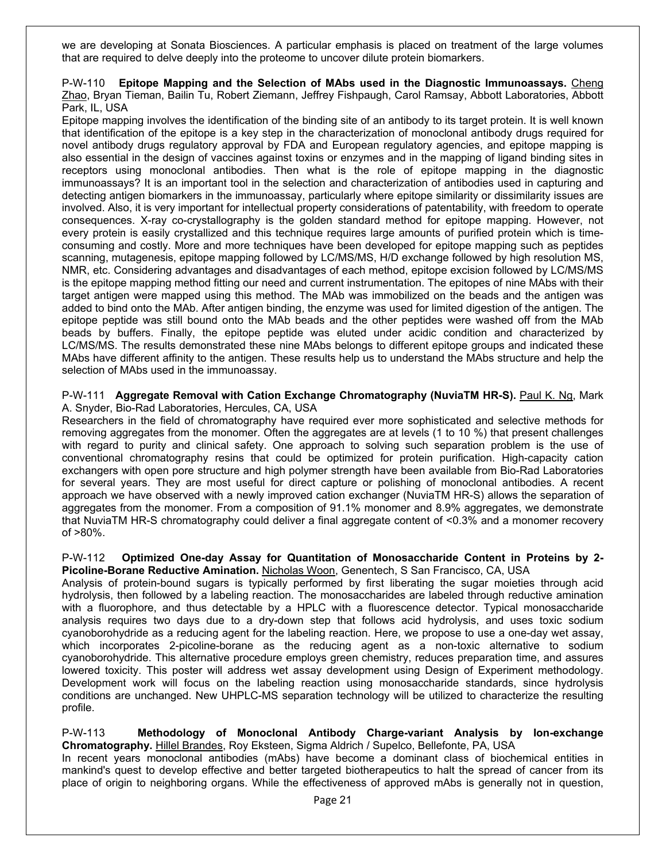we are developing at Sonata Biosciences. A particular emphasis is placed on treatment of the large volumes that are required to delve deeply into the proteome to uncover dilute protein biomarkers.

#### P-W-110 **Epitope Mapping and the Selection of MAbs used in the Diagnostic Immunoassays.** Cheng Zhao, Bryan Tieman, Bailin Tu, Robert Ziemann, Jeffrey Fishpaugh, Carol Ramsay, Abbott Laboratories, Abbott Park, IL, USA

Epitope mapping involves the identification of the binding site of an antibody to its target protein. It is well known that identification of the epitope is a key step in the characterization of monoclonal antibody drugs required for novel antibody drugs regulatory approval by FDA and European regulatory agencies, and epitope mapping is also essential in the design of vaccines against toxins or enzymes and in the mapping of ligand binding sites in receptors using monoclonal antibodies. Then what is the role of epitope mapping in the diagnostic immunoassays? It is an important tool in the selection and characterization of antibodies used in capturing and detecting antigen biomarkers in the immunoassay, particularly where epitope similarity or dissimilarity issues are involved. Also, it is very important for intellectual property considerations of patentability, with freedom to operate consequences. X-ray co-crystallography is the golden standard method for epitope mapping. However, not every protein is easily crystallized and this technique requires large amounts of purified protein which is timeconsuming and costly. More and more techniques have been developed for epitope mapping such as peptides scanning, mutagenesis, epitope mapping followed by LC/MS/MS, H/D exchange followed by high resolution MS, NMR, etc. Considering advantages and disadvantages of each method, epitope excision followed by LC/MS/MS is the epitope mapping method fitting our need and current instrumentation. The epitopes of nine MAbs with their target antigen were mapped using this method. The MAb was immobilized on the beads and the antigen was added to bind onto the MAb. After antigen binding, the enzyme was used for limited digestion of the antigen. The epitope peptide was still bound onto the MAb beads and the other peptides were washed off from the MAb beads by buffers. Finally, the epitope peptide was eluted under acidic condition and characterized by LC/MS/MS. The results demonstrated these nine MAbs belongs to different epitope groups and indicated these MAbs have different affinity to the antigen. These results help us to understand the MAbs structure and help the selection of MAbs used in the immunoassay.

#### P-W-111 **Aggregate Removal with Cation Exchange Chromatography (NuviaTM HR-S).** Paul K. Ng, Mark A. Snyder, Bio-Rad Laboratories, Hercules, CA, USA

Researchers in the field of chromatography have required ever more sophisticated and selective methods for removing aggregates from the monomer. Often the aggregates are at levels (1 to 10 %) that present challenges with regard to purity and clinical safety. One approach to solving such separation problem is the use of conventional chromatography resins that could be optimized for protein purification. High-capacity cation exchangers with open pore structure and high polymer strength have been available from Bio-Rad Laboratories for several years. They are most useful for direct capture or polishing of monoclonal antibodies. A recent approach we have observed with a newly improved cation exchanger (NuviaTM HR-S) allows the separation of aggregates from the monomer. From a composition of 91.1% monomer and 8.9% aggregates, we demonstrate that NuviaTM HR-S chromatography could deliver a final aggregate content of <0.3% and a monomer recovery of >80%.

#### P-W-112 **Optimized One-day Assay for Quantitation of Monosaccharide Content in Proteins by 2- Picoline-Borane Reductive Amination.** Nicholas Woon, Genentech, S San Francisco, CA, USA

Analysis of protein-bound sugars is typically performed by first liberating the sugar moieties through acid hydrolysis, then followed by a labeling reaction. The monosaccharides are labeled through reductive amination with a fluorophore, and thus detectable by a HPLC with a fluorescence detector. Typical monosaccharide analysis requires two days due to a dry-down step that follows acid hydrolysis, and uses toxic sodium cyanoborohydride as a reducing agent for the labeling reaction. Here, we propose to use a one-day wet assay, which incorporates 2-picoline-borane as the reducing agent as a non-toxic alternative to sodium cyanoborohydride. This alternative procedure employs green chemistry, reduces preparation time, and assures lowered toxicity. This poster will address wet assay development using Design of Experiment methodology. Development work will focus on the labeling reaction using monosaccharide standards, since hydrolysis conditions are unchanged. New UHPLC-MS separation technology will be utilized to characterize the resulting profile.

#### P-W-113 **Methodology of Monoclonal Antibody Charge-variant Analysis by Ion-exchange Chromatography.** Hillel Brandes, Roy Eksteen, Sigma Aldrich / Supelco, Bellefonte, PA, USA

In recent years monoclonal antibodies (mAbs) have become a dominant class of biochemical entities in mankind's quest to develop effective and better targeted biotherapeutics to halt the spread of cancer from its place of origin to neighboring organs. While the effectiveness of approved mAbs is generally not in question,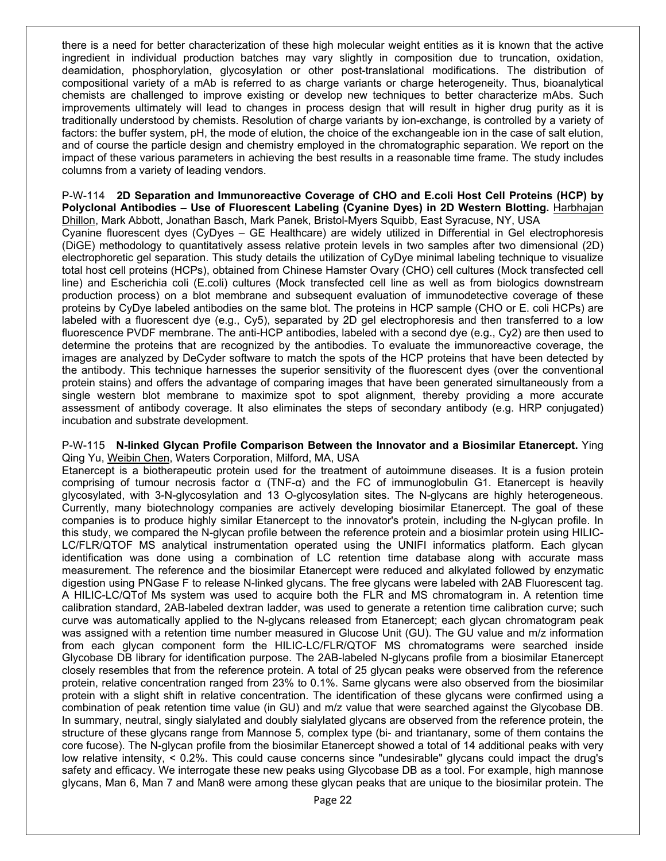there is a need for better characterization of these high molecular weight entities as it is known that the active ingredient in individual production batches may vary slightly in composition due to truncation, oxidation, deamidation, phosphorylation, glycosylation or other post-translational modifications. The distribution of compositional variety of a mAb is referred to as charge variants or charge heterogeneity. Thus, bioanalytical chemists are challenged to improve existing or develop new techniques to better characterize mAbs. Such improvements ultimately will lead to changes in process design that will result in higher drug purity as it is traditionally understood by chemists. Resolution of charge variants by ion-exchange, is controlled by a variety of factors: the buffer system, pH, the mode of elution, the choice of the exchangeable ion in the case of salt elution, and of course the particle design and chemistry employed in the chromatographic separation. We report on the impact of these various parameters in achieving the best results in a reasonable time frame. The study includes columns from a variety of leading vendors.

#### P-W-114 **2D Separation and Immunoreactive Coverage of CHO and E.coli Host Cell Proteins (HCP) by Polyclonal Antibodies – Use of Fluorescent Labeling (Cyanine Dyes) in 2D Western Blotting.** Harbhajan Dhillon, Mark Abbott, Jonathan Basch, Mark Panek, Bristol-Myers Squibb, East Syracuse, NY, USA

Cyanine fluorescent dyes (CyDyes – GE Healthcare) are widely utilized in Differential in Gel electrophoresis (DiGE) methodology to quantitatively assess relative protein levels in two samples after two dimensional (2D) electrophoretic gel separation. This study details the utilization of CyDye minimal labeling technique to visualize total host cell proteins (HCPs), obtained from Chinese Hamster Ovary (CHO) cell cultures (Mock transfected cell line) and Escherichia coli (E.coli) cultures (Mock transfected cell line as well as from biologics downstream production process) on a blot membrane and subsequent evaluation of immunodetective coverage of these proteins by CyDye labeled antibodies on the same blot. The proteins in HCP sample (CHO or E. coli HCPs) are labeled with a fluorescent dye (e.g., Cy5), separated by 2D gel electrophoresis and then transferred to a low fluorescence PVDF membrane. The anti-HCP antibodies, labeled with a second dye (e.g., Cy2) are then used to determine the proteins that are recognized by the antibodies. To evaluate the immunoreactive coverage, the images are analyzed by DeCyder software to match the spots of the HCP proteins that have been detected by the antibody. This technique harnesses the superior sensitivity of the fluorescent dyes (over the conventional protein stains) and offers the advantage of comparing images that have been generated simultaneously from a single western blot membrane to maximize spot to spot alignment, thereby providing a more accurate assessment of antibody coverage. It also eliminates the steps of secondary antibody (e.g. HRP conjugated) incubation and substrate development.

#### P-W-115 **N-linked Glycan Profile Comparison Between the Innovator and a Biosimilar Etanercept.** Ying Qing Yu, Weibin Chen, Waters Corporation, Milford, MA, USA

Etanercept is a biotherapeutic protein used for the treatment of autoimmune diseases. It is a fusion protein comprising of tumour necrosis factor α (TNF-α) and the FC of immunoglobulin G1. Etanercept is heavily glycosylated, with 3-N-glycosylation and 13 O-glycosylation sites. The N-glycans are highly heterogeneous. Currently, many biotechnology companies are actively developing biosimilar Etanercept. The goal of these companies is to produce highly similar Etanercept to the innovator's protein, including the N-glycan profile. In this study, we compared the N-glycan profile between the reference protein and a biosimlar protein using HILIC-LC/FLR/QTOF MS analytical instrumentation operated using the UNIFI informatics platform. Each glycan identification was done using a combination of LC retention time database along with accurate mass measurement. The reference and the biosimilar Etanercept were reduced and alkylated followed by enzymatic digestion using PNGase F to release N-linked glycans. The free glycans were labeled with 2AB Fluorescent tag. A HILIC-LC/QTof Ms system was used to acquire both the FLR and MS chromatogram in. A retention time calibration standard, 2AB-labeled dextran ladder, was used to generate a retention time calibration curve; such curve was automatically applied to the N-glycans released from Etanercept; each glycan chromatogram peak was assigned with a retention time number measured in Glucose Unit (GU). The GU value and m/z information from each glycan component form the HILIC-LC/FLR/QTOF MS chromatograms were searched inside Glycobase DB library for identification purpose. The 2AB-labeled N-glycans profile from a biosimilar Etanercept closely resembles that from the reference protein. A total of 25 glycan peaks were observed from the reference protein, relative concentration ranged from 23% to 0.1%. Same glycans were also observed from the biosimilar protein with a slight shift in relative concentration. The identification of these glycans were confirmed using a combination of peak retention time value (in GU) and m/z value that were searched against the Glycobase DB. In summary, neutral, singly sialylated and doubly sialylated glycans are observed from the reference protein, the structure of these glycans range from Mannose 5, complex type (bi- and triantanary, some of them contains the core fucose). The N-glycan profile from the biosimilar Etanercept showed a total of 14 additional peaks with very low relative intensity, < 0.2%. This could cause concerns since "undesirable" glycans could impact the drug's safety and efficacy. We interrogate these new peaks using Glycobase DB as a tool. For example, high mannose glycans, Man 6, Man 7 and Man8 were among these glycan peaks that are unique to the biosimilar protein. The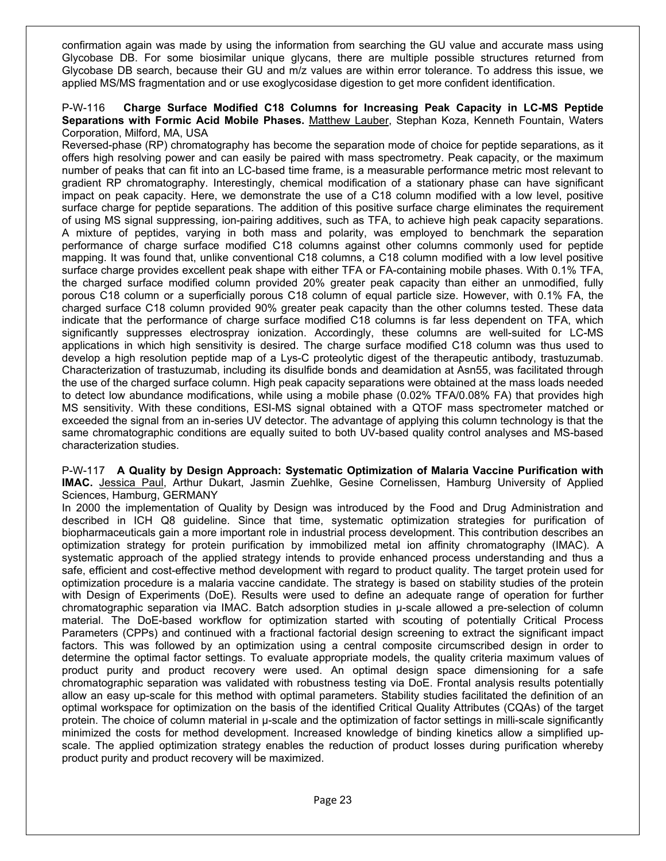confirmation again was made by using the information from searching the GU value and accurate mass using Glycobase DB. For some biosimilar unique glycans, there are multiple possible structures returned from Glycobase DB search, because their GU and m/z values are within error tolerance. To address this issue, we applied MS/MS fragmentation and or use exoglycosidase digestion to get more confident identification.

#### P-W-116 **Charge Surface Modified C18 Columns for Increasing Peak Capacity in LC-MS Peptide Separations with Formic Acid Mobile Phases.** Matthew Lauber, Stephan Koza, Kenneth Fountain, Waters Corporation, Milford, MA, USA

Reversed-phase (RP) chromatography has become the separation mode of choice for peptide separations, as it offers high resolving power and can easily be paired with mass spectrometry. Peak capacity, or the maximum number of peaks that can fit into an LC-based time frame, is a measurable performance metric most relevant to gradient RP chromatography. Interestingly, chemical modification of a stationary phase can have significant impact on peak capacity. Here, we demonstrate the use of a C18 column modified with a low level, positive surface charge for peptide separations. The addition of this positive surface charge eliminates the requirement of using MS signal suppressing, ion-pairing additives, such as TFA, to achieve high peak capacity separations. A mixture of peptides, varying in both mass and polarity, was employed to benchmark the separation performance of charge surface modified C18 columns against other columns commonly used for peptide mapping. It was found that, unlike conventional C18 columns, a C18 column modified with a low level positive surface charge provides excellent peak shape with either TFA or FA-containing mobile phases. With 0.1% TFA, the charged surface modified column provided 20% greater peak capacity than either an unmodified, fully porous C18 column or a superficially porous C18 column of equal particle size. However, with 0.1% FA, the charged surface C18 column provided 90% greater peak capacity than the other columns tested. These data indicate that the performance of charge surface modified C18 columns is far less dependent on TFA, which significantly suppresses electrospray ionization. Accordingly, these columns are well-suited for LC-MS applications in which high sensitivity is desired. The charge surface modified C18 column was thus used to develop a high resolution peptide map of a Lys-C proteolytic digest of the therapeutic antibody, trastuzumab. Characterization of trastuzumab, including its disulfide bonds and deamidation at Asn55, was facilitated through the use of the charged surface column. High peak capacity separations were obtained at the mass loads needed to detect low abundance modifications, while using a mobile phase (0.02% TFA/0.08% FA) that provides high MS sensitivity. With these conditions, ESI-MS signal obtained with a QTOF mass spectrometer matched or exceeded the signal from an in-series UV detector. The advantage of applying this column technology is that the same chromatographic conditions are equally suited to both UV-based quality control analyses and MS-based characterization studies.

#### P-W-117 **A Quality by Design Approach: Systematic Optimization of Malaria Vaccine Purification with IMAC.** Jessica Paul, Arthur Dukart, Jasmin Zuehlke, Gesine Cornelissen, Hamburg University of Applied Sciences, Hamburg, GERMANY

In 2000 the implementation of Quality by Design was introduced by the Food and Drug Administration and described in ICH Q8 guideline. Since that time, systematic optimization strategies for purification of biopharmaceuticals gain a more important role in industrial process development. This contribution describes an optimization strategy for protein purification by immobilized metal ion affinity chromatography (IMAC). A systematic approach of the applied strategy intends to provide enhanced process understanding and thus a safe, efficient and cost-effective method development with regard to product quality. The target protein used for optimization procedure is a malaria vaccine candidate. The strategy is based on stability studies of the protein with Design of Experiments (DoE). Results were used to define an adequate range of operation for further chromatographic separation via IMAC. Batch adsorption studies in µ-scale allowed a pre-selection of column material. The DoE-based workflow for optimization started with scouting of potentially Critical Process Parameters (CPPs) and continued with a fractional factorial design screening to extract the significant impact factors. This was followed by an optimization using a central composite circumscribed design in order to determine the optimal factor settings. To evaluate appropriate models, the quality criteria maximum values of product purity and product recovery were used. An optimal design space dimensioning for a safe chromatographic separation was validated with robustness testing via DoE. Frontal analysis results potentially allow an easy up-scale for this method with optimal parameters. Stability studies facilitated the definition of an optimal workspace for optimization on the basis of the identified Critical Quality Attributes (CQAs) of the target protein. The choice of column material in µ-scale and the optimization of factor settings in milli-scale significantly minimized the costs for method development. Increased knowledge of binding kinetics allow a simplified upscale. The applied optimization strategy enables the reduction of product losses during purification whereby product purity and product recovery will be maximized.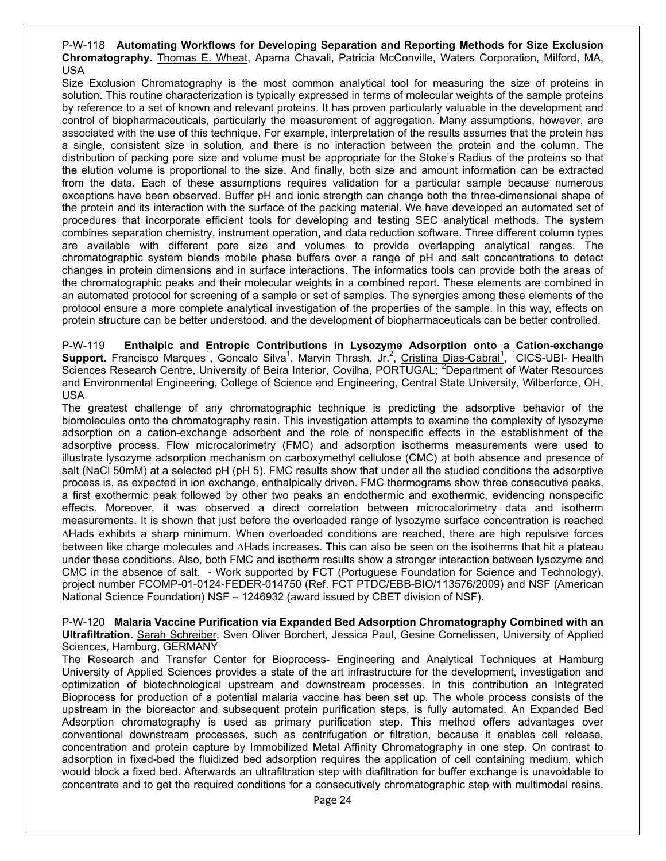#### P-W-118 **Automating Workflows for Developing Separation and Reporting Methods for Size Exclusion Chromatography.** Thomas E. Wheat, Aparna Chavali, Patricia McConville, Waters Corporation, Milford, MA, USA

Size Exclusion Chromatography is the most common analytical tool for measuring the size of proteins in solution. This routine characterization is typically expressed in terms of molecular weights of the sample proteins by reference to a set of known and relevant proteins. It has proven particularly valuable in the development and control of biopharmaceuticals, particularly the measurement of aggregation. Many assumptions, however, are associated with the use of this technique. For example, interpretation of the results assumes that the protein has a single, consistent size in solution, and there is no interaction between the protein and the column. The distribution of packing pore size and volume must be appropriate for the Stoke's Radius of the proteins so that the elution volume is proportional to the size. And finally, both size and amount information can be extracted from the data. Each of these assumptions requires validation for a particular sample because numerous exceptions have been observed. Buffer pH and ionic strength can change both the three-dimensional shape of the protein and its interaction with the surface of the packing material. We have developed an automated set of procedures that incorporate efficient tools for developing and testing SEC analytical methods. The system combines separation chemistry, instrument operation, and data reduction software. Three different column types are available with different pore size and volumes to provide overlapping analytical ranges. The chromatographic system blends mobile phase buffers over a range of pH and salt concentrations to detect changes in protein dimensions and in surface interactions. The informatics tools can provide both the areas of the chromatographic peaks and their molecular weights in a combined report. These elements are combined in an automated protocol for screening of a sample or set of samples. The synergies among these elements of the protocol ensure a more complete analytical investigation of the properties of the sample. In this way, effects on protein structure can be better understood, and the development of biopharmaceuticals can be better controlled.

P-W-119 **Enthalpic and Entropic Contributions in Lysozyme Adsorption onto a Cation-exchange**  Support. Francisco Marques<sup>1</sup>, Goncalo Silva<sup>1</sup>, Marvin Thrash, Jr.<sup>2</sup>, Cristina Dias-Cabral<sup>1</sup>, <sup>1</sup>CICS-UBI- Health Sciences Research Centre, University of Beira Interior, Covilha, PORTUGAL; <sup>2</sup>Department of Water Resources and Environmental Engineering, College of Science and Engineering, Central State University, Wilberforce, OH, USA

The greatest challenge of any chromatographic technique is predicting the adsorptive behavior of the biomolecules onto the chromatography resin. This investigation attempts to examine the complexity of lysozyme adsorption on a cation-exchange adsorbent and the role of nonspecific effects in the establishment of the adsorptive process. Flow microcalorimetry (FMC) and adsorption isotherms measurements were used to illustrate lysozyme adsorption mechanism on carboxymethyl cellulose (CMC) at both absence and presence of salt (NaCl 50mM) at a selected pH (pH 5). FMC results show that under all the studied conditions the adsorptive process is, as expected in ion exchange, enthalpically driven. FMC thermograms show three consecutive peaks, a first exothermic peak followed by other two peaks an endothermic and exothermic, evidencing nonspecific effects. Moreover, it was observed a direct correlation between microcalorimetry data and isotherm measurements. It is shown that just before the overloaded range of lysozyme surface concentration is reached ΔHads exhibits a sharp minimum. When overloaded conditions are reached, there are high repulsive forces between like charge molecules and ΔHads increases. This can also be seen on the isotherms that hit a plateau under these conditions. Also, both FMC and isotherm results show a stronger interaction between lysozyme and CMC in the absence of salt. - Work supported by FCT (Portuguese Foundation for Science and Technology), project number FCOMP-01-0124-FEDER-014750 (Ref. FCT PTDC/EBB-BIO/113576/2009) and NSF (American National Science Foundation) NSF – 1246932 (award issued by CBET division of NSF).

P-W-120 **Malaria Vaccine Purification via Expanded Bed Adsorption Chromatography Combined with an Ultrafiltration.** Sarah Schreiber, Sven Oliver Borchert, Jessica Paul, Gesine Cornelissen, University of Applied Sciences, Hamburg, GERMANY

The Research and Transfer Center for Bioprocess- Engineering and Analytical Techniques at Hamburg University of Applied Sciences provides a state of the art infrastructure for the development, investigation and optimization of biotechnological upstream and downstream processes. In this contribution an Integrated Bioprocess for production of a potential malaria vaccine has been set up. The whole process consists of the upstream in the bioreactor and subsequent protein purification steps, is fully automated. An Expanded Bed Adsorption chromatography is used as primary purification step. This method offers advantages over conventional downstream processes, such as centrifugation or filtration, because it enables cell release, concentration and protein capture by Immobilized Metal Affinity Chromatography in one step. On contrast to adsorption in fixed-bed the fluidized bed adsorption requires the application of cell containing medium, which would block a fixed bed. Afterwards an ultrafiltration step with diafiltration for buffer exchange is unavoidable to concentrate and to get the required conditions for a consecutively chromatographic step with multimodal resins.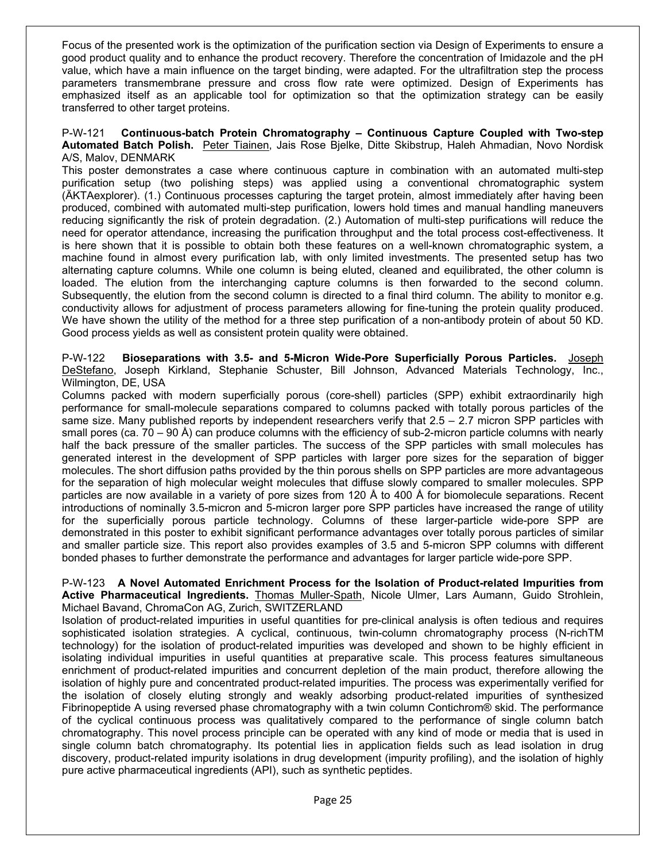Focus of the presented work is the optimization of the purification section via Design of Experiments to ensure a good product quality and to enhance the product recovery. Therefore the concentration of Imidazole and the pH value, which have a main influence on the target binding, were adapted. For the ultrafiltration step the process parameters transmembrane pressure and cross flow rate were optimized. Design of Experiments has emphasized itself as an applicable tool for optimization so that the optimization strategy can be easily transferred to other target proteins.

P-W-121 **Continuous-batch Protein Chromatography – Continuous Capture Coupled with Two-step Automated Batch Polish.** Peter Tiainen, Jais Rose Bjelke, Ditte Skibstrup, Haleh Ahmadian, Novo Nordisk A/S, Malov, DENMARK

This poster demonstrates a case where continuous capture in combination with an automated multi-step purification setup (two polishing steps) was applied using a conventional chromatographic system (ÄKTAexplorer). (1.) Continuous processes capturing the target protein, almost immediately after having been produced, combined with automated multi-step purification, lowers hold times and manual handling maneuvers reducing significantly the risk of protein degradation. (2.) Automation of multi-step purifications will reduce the need for operator attendance, increasing the purification throughput and the total process cost-effectiveness. It is here shown that it is possible to obtain both these features on a well-known chromatographic system, a machine found in almost every purification lab, with only limited investments. The presented setup has two alternating capture columns. While one column is being eluted, cleaned and equilibrated, the other column is loaded. The elution from the interchanging capture columns is then forwarded to the second column. Subsequently, the elution from the second column is directed to a final third column. The ability to monitor e.g. conductivity allows for adjustment of process parameters allowing for fine-tuning the protein quality produced. We have shown the utility of the method for a three step purification of a non-antibody protein of about 50 KD. Good process yields as well as consistent protein quality were obtained.

P-W-122 **Bioseparations with 3.5- and 5-Micron Wide-Pore Superficially Porous Particles.** Joseph DeStefano, Joseph Kirkland, Stephanie Schuster, Bill Johnson, Advanced Materials Technology, Inc., Wilmington, DE, USA

Columns packed with modern superficially porous (core-shell) particles (SPP) exhibit extraordinarily high performance for small-molecule separations compared to columns packed with totally porous particles of the same size. Many published reports by independent researchers verify that 2.5 – 2.7 micron SPP particles with small pores (ca. 70 – 90 Å) can produce columns with the efficiency of sub-2-micron particle columns with nearly half the back pressure of the smaller particles. The success of the SPP particles with small molecules has generated interest in the development of SPP particles with larger pore sizes for the separation of bigger molecules. The short diffusion paths provided by the thin porous shells on SPP particles are more advantageous for the separation of high molecular weight molecules that diffuse slowly compared to smaller molecules. SPP particles are now available in a variety of pore sizes from 120 Å to 400 Å for biomolecule separations. Recent introductions of nominally 3.5-micron and 5-micron larger pore SPP particles have increased the range of utility for the superficially porous particle technology. Columns of these larger-particle wide-pore SPP are demonstrated in this poster to exhibit significant performance advantages over totally porous particles of similar and smaller particle size. This report also provides examples of 3.5 and 5-micron SPP columns with different bonded phases to further demonstrate the performance and advantages for larger particle wide-pore SPP.

P-W-123 **A Novel Automated Enrichment Process for the Isolation of Product-related Impurities from Active Pharmaceutical Ingredients.** Thomas Muller-Spath, Nicole Ulmer, Lars Aumann, Guido Strohlein, Michael Bavand, ChromaCon AG, Zurich, SWITZERLAND

Isolation of product-related impurities in useful quantities for pre-clinical analysis is often tedious and requires sophisticated isolation strategies. A cyclical, continuous, twin-column chromatography process (N-richTM technology) for the isolation of product-related impurities was developed and shown to be highly efficient in isolating individual impurities in useful quantities at preparative scale. This process features simultaneous enrichment of product-related impurities and concurrent depletion of the main product, therefore allowing the isolation of highly pure and concentrated product-related impurities. The process was experimentally verified for the isolation of closely eluting strongly and weakly adsorbing product-related impurities of synthesized Fibrinopeptide A using reversed phase chromatography with a twin column Contichrom® skid. The performance of the cyclical continuous process was qualitatively compared to the performance of single column batch chromatography. This novel process principle can be operated with any kind of mode or media that is used in single column batch chromatography. Its potential lies in application fields such as lead isolation in drug discovery, product-related impurity isolations in drug development (impurity profiling), and the isolation of highly pure active pharmaceutical ingredients (API), such as synthetic peptides.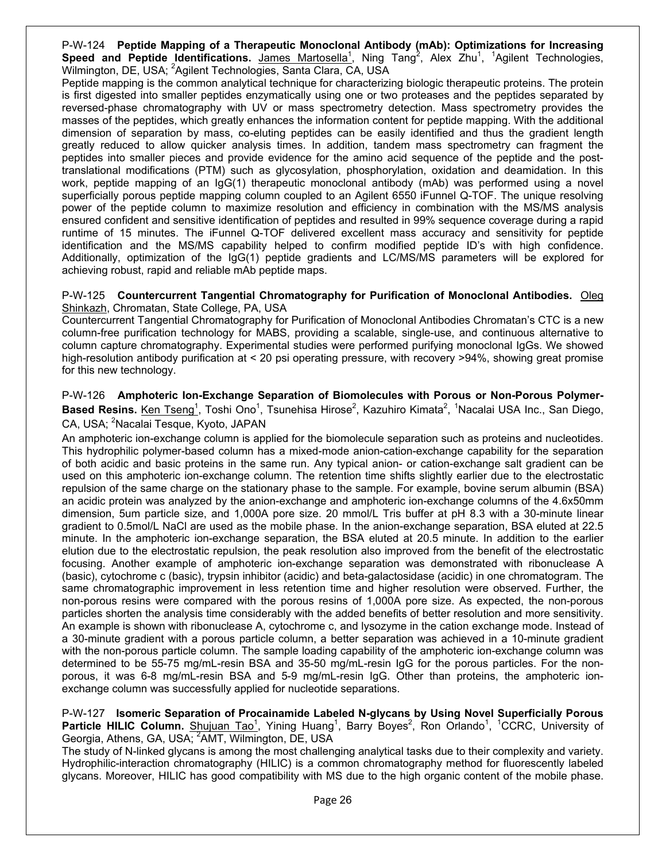P-W-124 **Peptide Mapping of a Therapeutic Monoclonal Antibody (mAb): Optimizations for Increasing**  Speed and Peptide Identifications. **James Martosella<sup>1</sup>, Ning Tang<sup>2</sup>, Alex Zhu<sup>1</sup>, <sup>1</sup>Agilent Technologies,** Wilmington, DE, USA; <sup>2</sup>Agilent Technologies, Santa Clara, CA, USA

Peptide mapping is the common analytical technique for characterizing biologic therapeutic proteins. The protein is first digested into smaller peptides enzymatically using one or two proteases and the peptides separated by reversed-phase chromatography with UV or mass spectrometry detection. Mass spectrometry provides the masses of the peptides, which greatly enhances the information content for peptide mapping. With the additional dimension of separation by mass, co-eluting peptides can be easily identified and thus the gradient length greatly reduced to allow quicker analysis times. In addition, tandem mass spectrometry can fragment the peptides into smaller pieces and provide evidence for the amino acid sequence of the peptide and the posttranslational modifications (PTM) such as glycosylation, phosphorylation, oxidation and deamidation. In this work, peptide mapping of an IgG(1) therapeutic monoclonal antibody (mAb) was performed using a novel superficially porous peptide mapping column coupled to an Agilent 6550 iFunnel Q-TOF. The unique resolving power of the peptide column to maximize resolution and efficiency in combination with the MS/MS analysis ensured confident and sensitive identification of peptides and resulted in 99% sequence coverage during a rapid runtime of 15 minutes. The iFunnel Q-TOF delivered excellent mass accuracy and sensitivity for peptide identification and the MS/MS capability helped to confirm modified peptide ID's with high confidence. Additionally, optimization of the IgG(1) peptide gradients and LC/MS/MS parameters will be explored for achieving robust, rapid and reliable mAb peptide maps.

#### P-W-125 **Countercurrent Tangential Chromatography for Purification of Monoclonal Antibodies.** Oleg Shinkazh, Chromatan, State College, PA, USA

Countercurrent Tangential Chromatography for Purification of Monoclonal Antibodies Chromatan's CTC is a new column-free purification technology for MABS, providing a scalable, single-use, and continuous alternative to column capture chromatography. Experimental studies were performed purifying monoclonal IgGs. We showed high-resolution antibody purification at < 20 psi operating pressure, with recovery >94%, showing great promise for this new technology.

#### P-W-126 **Amphoteric Ion-Exchange Separation of Biomolecules with Porous or Non-Porous Polymer-**Based Resins. Ken Tseng<sup>1</sup>, Toshi Ono<sup>1</sup>, Tsunehisa Hirose<sup>2</sup>, Kazuhiro Kimata<sup>2</sup>, <sup>1</sup>Nacalai USA Inc., San Diego, CA, USA; <sup>2</sup>Nacalai Tesque, Kyoto, JAPAN

An amphoteric ion-exchange column is applied for the biomolecule separation such as proteins and nucleotides. This hydrophilic polymer-based column has a mixed-mode anion-cation-exchange capability for the separation of both acidic and basic proteins in the same run. Any typical anion- or cation-exchange salt gradient can be used on this amphoteric ion-exchange column. The retention time shifts slightly earlier due to the electrostatic repulsion of the same charge on the stationary phase to the sample. For example, bovine serum albumin (BSA) an acidic protein was analyzed by the anion-exchange and amphoteric ion-exchange columns of the 4.6x50mm dimension, 5um particle size, and 1,000A pore size. 20 mmol/L Tris buffer at pH 8.3 with a 30-minute linear gradient to 0.5mol/L NaCl are used as the mobile phase. In the anion-exchange separation, BSA eluted at 22.5 minute. In the amphoteric ion-exchange separation, the BSA eluted at 20.5 minute. In addition to the earlier elution due to the electrostatic repulsion, the peak resolution also improved from the benefit of the electrostatic focusing. Another example of amphoteric ion-exchange separation was demonstrated with ribonuclease A (basic), cytochrome c (basic), trypsin inhibitor (acidic) and beta-galactosidase (acidic) in one chromatogram. The same chromatographic improvement in less retention time and higher resolution were observed. Further, the non-porous resins were compared with the porous resins of 1,000A pore size. As expected, the non-porous particles shorten the analysis time considerably with the added benefits of better resolution and more sensitivity. An example is shown with ribonuclease A, cytochrome c, and lysozyme in the cation exchange mode. Instead of a 30-minute gradient with a porous particle column, a better separation was achieved in a 10-minute gradient with the non-porous particle column. The sample loading capability of the amphoteric ion-exchange column was determined to be 55-75 mg/mL-resin BSA and 35-50 mg/mL-resin IgG for the porous particles. For the nonporous, it was 6-8 mg/mL-resin BSA and 5-9 mg/mL-resin IgG. Other than proteins, the amphoteric ionexchange column was successfully applied for nucleotide separations.

#### P-W-127 **Isomeric Separation of Procainamide Labeled N-glycans by Using Novel Superficially Porous**  Particle HILIC Column. Shujuan Tao<sup>1</sup>, Yining Huang<sup>1</sup>, Barry Boyes<sup>2</sup>, Ron Orlando<sup>1</sup>, <sup>1</sup>CCRC, University of Georgia, Athens, GA, USA; <sup>2</sup>AMT, Wilmington, DE, USA

The study of N-linked glycans is among the most challenging analytical tasks due to their complexity and variety. Hydrophilic-interaction chromatography (HILIC) is a common chromatography method for fluorescently labeled glycans. Moreover, HILIC has good compatibility with MS due to the high organic content of the mobile phase.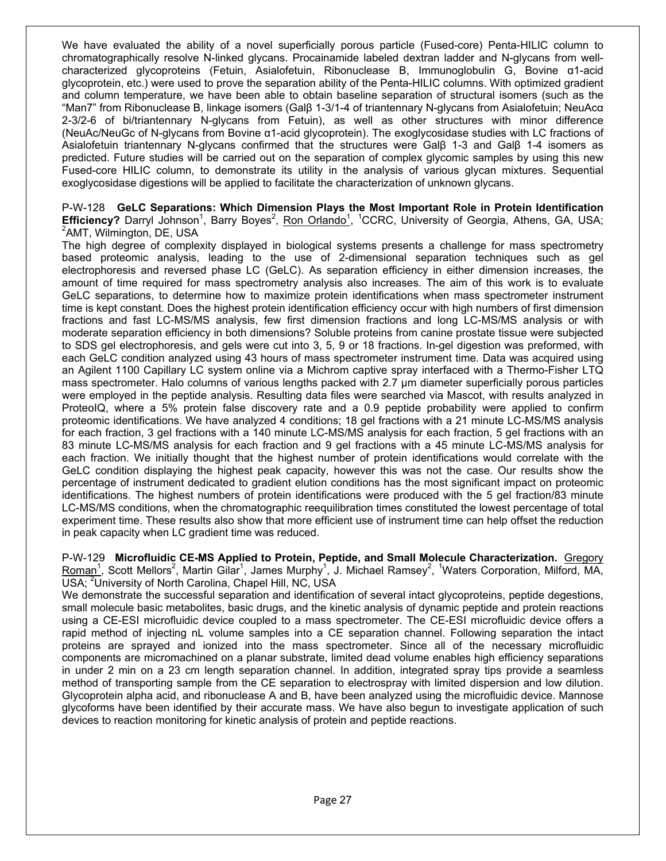We have evaluated the ability of a novel superficially porous particle (Fused-core) Penta-HILIC column to chromatographically resolve N-linked glycans. Procainamide labeled dextran ladder and N-glycans from wellcharacterized glycoproteins (Fetuin, Asialofetuin, Ribonuclease B, Immunoglobulin G, Bovine α1-acid glycoprotein, etc.) were used to prove the separation ability of the Penta-HILIC columns. With optimized gradient and column temperature, we have been able to obtain baseline separation of structural isomers (such as the "Man7" from Ribonuclease B, linkage isomers (Galβ 1-3/1-4 of triantennary N-glycans from Asialofetuin; NeuAcα 2-3/2-6 of bi/triantennary N-glycans from Fetuin), as well as other structures with minor difference (NeuAc/NeuGc of N-glycans from Bovine α1-acid glycoprotein). The exoglycosidase studies with LC fractions of Asialofetuin triantennary N-glycans confirmed that the structures were Galβ 1-3 and Galβ 1-4 isomers as predicted. Future studies will be carried out on the separation of complex glycomic samples by using this new Fused-core HILIC column, to demonstrate its utility in the analysis of various glycan mixtures. Sequential exoglycosidase digestions will be applied to facilitate the characterization of unknown glycans.

P-W-128 **GeLC Separations: Which Dimension Plays the Most Important Role in Protein Identification Efficiency?** Darryl Johnson<sup>1</sup>, Barry Boyes<sup>2</sup>, Ron Orlando<sup>1</sup>, <sup>1</sup>CCRC, University of Georgia, Athens, GA, USA;<br><sup>2</sup>AMT, Wilmington, DE, USA <sup>2</sup>AMT, Wilmington, DE, USA

The high degree of complexity displayed in biological systems presents a challenge for mass spectrometry based proteomic analysis, leading to the use of 2-dimensional separation techniques such as gel electrophoresis and reversed phase LC (GeLC). As separation efficiency in either dimension increases, the amount of time required for mass spectrometry analysis also increases. The aim of this work is to evaluate GeLC separations, to determine how to maximize protein identifications when mass spectrometer instrument time is kept constant. Does the highest protein identification efficiency occur with high numbers of first dimension fractions and fast LC-MS/MS analysis, few first dimension fractions and long LC-MS/MS analysis or with moderate separation efficiency in both dimensions? Soluble proteins from canine prostate tissue were subjected to SDS gel electrophoresis, and gels were cut into 3, 5, 9 or 18 fractions. In-gel digestion was preformed, with each GeLC condition analyzed using 43 hours of mass spectrometer instrument time. Data was acquired using an Agilent 1100 Capillary LC system online via a Michrom captive spray interfaced with a Thermo-Fisher LTQ mass spectrometer. Halo columns of various lengths packed with 2.7 µm diameter superficially porous particles were employed in the peptide analysis. Resulting data files were searched via Mascot, with results analyzed in ProteoIQ, where a 5% protein false discovery rate and a 0.9 peptide probability were applied to confirm proteomic identifications. We have analyzed 4 conditions; 18 gel fractions with a 21 minute LC-MS/MS analysis for each fraction, 3 gel fractions with a 140 minute LC-MS/MS analysis for each fraction, 5 gel fractions with an 83 minute LC-MS/MS analysis for each fraction and 9 gel fractions with a 45 minute LC-MS/MS analysis for each fraction. We initially thought that the highest number of protein identifications would correlate with the GeLC condition displaying the highest peak capacity, however this was not the case. Our results show the percentage of instrument dedicated to gradient elution conditions has the most significant impact on proteomic identifications. The highest numbers of protein identifications were produced with the 5 gel fraction/83 minute LC-MS/MS conditions, when the chromatographic reequilibration times constituted the lowest percentage of total experiment time. These results also show that more efficient use of instrument time can help offset the reduction in peak capacity when LC gradient time was reduced.

P-W-129 **Microfluidic CE-MS Applied to Protein, Peptide, and Small Molecule Characterization.** Gregory Roman<sup>1</sup>, Scott Mellors<sup>2</sup>, Martin Gilar<sup>1</sup>, James Murphy<sup>1</sup>, J. Michael Ramsey<sup>2</sup>, <sup>1</sup>Waters Corporation, Milford, MA, USA; <sup>2</sup>University of North Carolina, Chapel Hill, NC, USA

We demonstrate the successful separation and identification of several intact glycoproteins, peptide degestions, small molecule basic metabolites, basic drugs, and the kinetic analysis of dynamic peptide and protein reactions using a CE-ESI microfluidic device coupled to a mass spectrometer. The CE-ESI microfluidic device offers a rapid method of injecting nL volume samples into a CE separation channel. Following separation the intact proteins are sprayed and ionized into the mass spectrometer. Since all of the necessary microfluidic components are micromachined on a planar substrate, limited dead volume enables high efficiency separations in under 2 min on a 23 cm length separation channel. In addition, integrated spray tips provide a seamless method of transporting sample from the CE separation to electrospray with limited dispersion and low dilution. Glycoprotein alpha acid, and ribonuclease A and B, have been analyzed using the microfluidic device. Mannose glycoforms have been identified by their accurate mass. We have also begun to investigate application of such devices to reaction monitoring for kinetic analysis of protein and peptide reactions.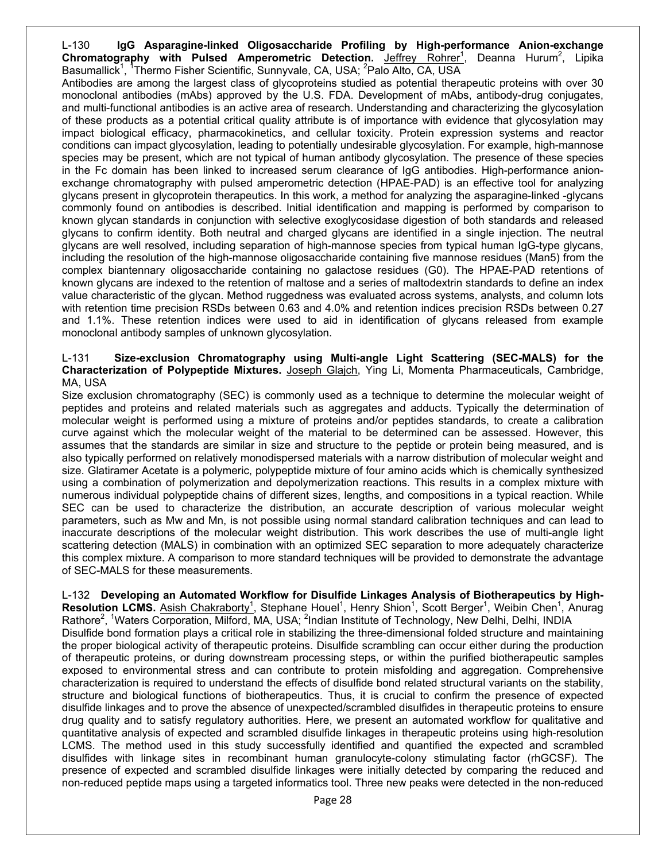L-130 **IgG Asparagine-linked Oligosaccharide Profiling by High-performance Anion-exchange**  Chromatography with Pulsed Amperometric Detection. Jeffrey Rohrer<sup>1</sup>, Deanna Hurum<sup>2</sup>, Lipika Basumallick<sup>1</sup>, <sup>1</sup>Thermo Fisher Scientific, Sunnyvale, CA, USA; <sup>2</sup>Palo Alto, CA, USA

Antibodies are among the largest class of glycoproteins studied as potential therapeutic proteins with over 30 monoclonal antibodies (mAbs) approved by the U.S. FDA. Development of mAbs, antibody-drug conjugates, and multi-functional antibodies is an active area of research. Understanding and characterizing the glycosylation of these products as a potential critical quality attribute is of importance with evidence that glycosylation may impact biological efficacy, pharmacokinetics, and cellular toxicity. Protein expression systems and reactor conditions can impact glycosylation, leading to potentially undesirable glycosylation. For example, high-mannose species may be present, which are not typical of human antibody glycosylation. The presence of these species in the Fc domain has been linked to increased serum clearance of IgG antibodies. High-performance anionexchange chromatography with pulsed amperometric detection (HPAE-PAD) is an effective tool for analyzing glycans present in glycoprotein therapeutics. In this work, a method for analyzing the asparagine-linked -glycans commonly found on antibodies is described. Initial identification and mapping is performed by comparison to known glycan standards in conjunction with selective exoglycosidase digestion of both standards and released glycans to confirm identity. Both neutral and charged glycans are identified in a single injection. The neutral glycans are well resolved, including separation of high-mannose species from typical human IgG-type glycans, including the resolution of the high-mannose oligosaccharide containing five mannose residues (Man5) from the complex biantennary oligosaccharide containing no galactose residues (G0). The HPAE-PAD retentions of known glycans are indexed to the retention of maltose and a series of maltodextrin standards to define an index value characteristic of the glycan. Method ruggedness was evaluated across systems, analysts, and column lots with retention time precision RSDs between 0.63 and 4.0% and retention indices precision RSDs between 0.27 and 1.1%. These retention indices were used to aid in identification of glycans released from example monoclonal antibody samples of unknown glycosylation.

#### L-131 **Size-exclusion Chromatography using Multi-angle Light Scattering (SEC-MALS) for the Characterization of Polypeptide Mixtures.** Joseph Glajch, Ying Li, Momenta Pharmaceuticals, Cambridge, MA, USA

Size exclusion chromatography (SEC) is commonly used as a technique to determine the molecular weight of peptides and proteins and related materials such as aggregates and adducts. Typically the determination of molecular weight is performed using a mixture of proteins and/or peptides standards, to create a calibration curve against which the molecular weight of the material to be determined can be assessed. However, this assumes that the standards are similar in size and structure to the peptide or protein being measured, and is also typically performed on relatively monodispersed materials with a narrow distribution of molecular weight and size. Glatiramer Acetate is a polymeric, polypeptide mixture of four amino acids which is chemically synthesized using a combination of polymerization and depolymerization reactions. This results in a complex mixture with numerous individual polypeptide chains of different sizes, lengths, and compositions in a typical reaction. While SEC can be used to characterize the distribution, an accurate description of various molecular weight parameters, such as Mw and Mn, is not possible using normal standard calibration techniques and can lead to inaccurate descriptions of the molecular weight distribution. This work describes the use of multi-angle light scattering detection (MALS) in combination with an optimized SEC separation to more adequately characterize this complex mixture. A comparison to more standard techniques will be provided to demonstrate the advantage of SEC-MALS for these measurements.

L-132 **Developing an Automated Workflow for Disulfide Linkages Analysis of Biotherapeutics by High-**Resolution LCMS. Asish Chakraborty<sup>1</sup>, Stephane Houel<sup>1</sup>, Henry Shion<sup>1</sup>, Scott Berger<sup>1</sup>, Weibin Chen<sup>1</sup>, Anurag Rathore<sup>2</sup>, <sup>1</sup>Waters Corporation, Milford, MA, USA; <sup>2</sup>Indian Institute of Technology, New Delhi, Delhi, INDIA Disulfide bond formation plays a critical role in stabilizing the three-dimensional folded structure and maintaining the proper biological activity of therapeutic proteins. Disulfide scrambling can occur either during the production of therapeutic proteins, or during downstream processing steps, or within the purified biotherapeutic samples exposed to environmental stress and can contribute to protein misfolding and aggregation. Comprehensive characterization is required to understand the effects of disulfide bond related structural variants on the stability, structure and biological functions of biotherapeutics. Thus, it is crucial to confirm the presence of expected disulfide linkages and to prove the absence of unexpected/scrambled disulfides in therapeutic proteins to ensure drug quality and to satisfy regulatory authorities. Here, we present an automated workflow for qualitative and quantitative analysis of expected and scrambled disulfide linkages in therapeutic proteins using high-resolution LCMS. The method used in this study successfully identified and quantified the expected and scrambled disulfides with linkage sites in recombinant human granulocyte-colony stimulating factor (rhGCSF). The presence of expected and scrambled disulfide linkages were initially detected by comparing the reduced and non-reduced peptide maps using a targeted informatics tool. Three new peaks were detected in the non-reduced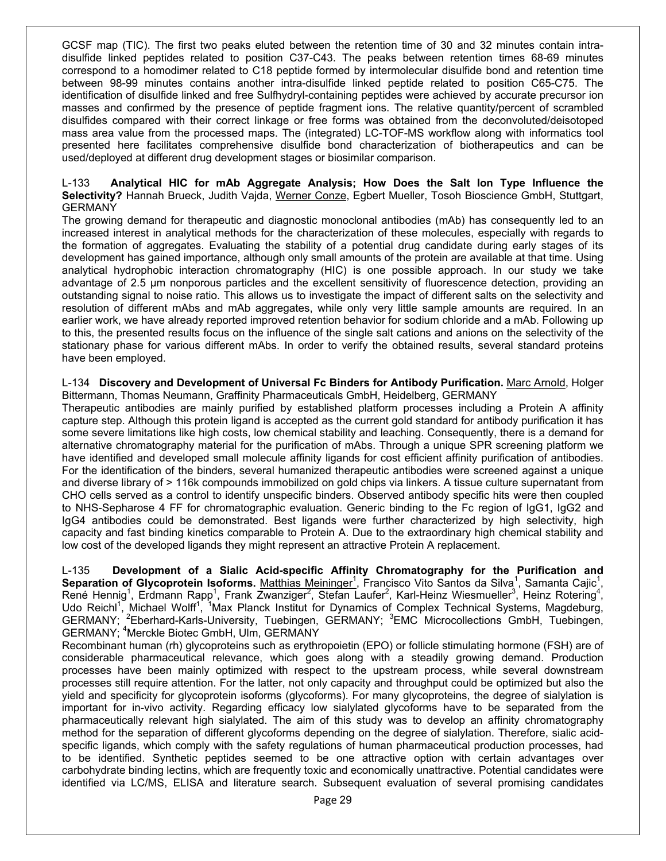GCSF map (TIC). The first two peaks eluted between the retention time of 30 and 32 minutes contain intradisulfide linked peptides related to position C37-C43. The peaks between retention times 68-69 minutes correspond to a homodimer related to C18 peptide formed by intermolecular disulfide bond and retention time between 98-99 minutes contains another intra-disulfide linked peptide related to position C65-C75. The identification of disulfide linked and free Sulfhydryl-containing peptides were achieved by accurate precursor ion masses and confirmed by the presence of peptide fragment ions. The relative quantity/percent of scrambled disulfides compared with their correct linkage or free forms was obtained from the deconvoluted/deisotoped mass area value from the processed maps. The (integrated) LC-TOF-MS workflow along with informatics tool presented here facilitates comprehensive disulfide bond characterization of biotherapeutics and can be used/deployed at different drug development stages or biosimilar comparison.

#### L-133 **Analytical HIC for mAb Aggregate Analysis; How Does the Salt Ion Type Influence the Selectivity?** Hannah Brueck, Judith Vajda, Werner Conze, Egbert Mueller, Tosoh Bioscience GmbH, Stuttgart, **GERMANY**

The growing demand for therapeutic and diagnostic monoclonal antibodies (mAb) has consequently led to an increased interest in analytical methods for the characterization of these molecules, especially with regards to the formation of aggregates. Evaluating the stability of a potential drug candidate during early stages of its development has gained importance, although only small amounts of the protein are available at that time. Using analytical hydrophobic interaction chromatography (HIC) is one possible approach. In our study we take advantage of 2.5 µm nonporous particles and the excellent sensitivity of fluorescence detection, providing an outstanding signal to noise ratio. This allows us to investigate the impact of different salts on the selectivity and resolution of different mAbs and mAb aggregates, while only very little sample amounts are required. In an earlier work, we have already reported improved retention behavior for sodium chloride and a mAb. Following up to this, the presented results focus on the influence of the single salt cations and anions on the selectivity of the stationary phase for various different mAbs. In order to verify the obtained results, several standard proteins have been employed.

L-134 **Discovery and Development of Universal Fc Binders for Antibody Purification.** Marc Arnold, Holger Bittermann, Thomas Neumann, Graffinity Pharmaceuticals GmbH, Heidelberg, GERMANY

Therapeutic antibodies are mainly purified by established platform processes including a Protein A affinity capture step. Although this protein ligand is accepted as the current gold standard for antibody purification it has some severe limitations like high costs, low chemical stability and leaching. Consequently, there is a demand for alternative chromatography material for the purification of mAbs. Through a unique SPR screening platform we have identified and developed small molecule affinity ligands for cost efficient affinity purification of antibodies. For the identification of the binders, several humanized therapeutic antibodies were screened against a unique and diverse library of > 116k compounds immobilized on gold chips via linkers. A tissue culture supernatant from CHO cells served as a control to identify unspecific binders. Observed antibody specific hits were then coupled to NHS-Sepharose 4 FF for chromatographic evaluation. Generic binding to the Fc region of IgG1, IgG2 and IgG4 antibodies could be demonstrated. Best ligands were further characterized by high selectivity, high capacity and fast binding kinetics comparable to Protein A. Due to the extraordinary high chemical stability and low cost of the developed ligands they might represent an attractive Protein A replacement.

L-135 **Development of a Sialic Acid-specific Affinity Chromatography for the Purification and**  Separation of Glycoprotein Isoforms. Matthias Meininger<sup>1</sup>, Francisco Vito Santos da Silva<sup>1</sup>, Samanta Cajic<sup>1</sup>, René Hennig<sup>1</sup>, Erdmann Rapp<sup>1</sup>, Frank Zwanziger<sup>2</sup>, Stefan Laufer<sup>2</sup>, Karl-Heinz Wiesmueller<sup>3</sup>, Heinz Rotering<sup>4</sup>, Udo Reichl<sup>1</sup>, Michael Wolff<sup>1</sup>, <sup>1</sup>Max Planck Institut for Dynamics of Complex Technical Systems, Magdeburg, GERMANY; <sup>2</sup>Eberhard-Karls-University, Tuebingen, GERMANY; <sup>3</sup>EMC Microcollections GmbH, Tuebingen, GERMANY; 4 Merckle Biotec GmbH, Ulm, GERMANY

Recombinant human (rh) glycoproteins such as erythropoietin (EPO) or follicle stimulating hormone (FSH) are of considerable pharmaceutical relevance, which goes along with a steadily growing demand. Production processes have been mainly optimized with respect to the upstream process, while several downstream processes still require attention. For the latter, not only capacity and throughput could be optimized but also the yield and specificity for glycoprotein isoforms (glycoforms). For many glycoproteins, the degree of sialylation is important for in-vivo activity. Regarding efficacy low sialylated glycoforms have to be separated from the pharmaceutically relevant high sialylated. The aim of this study was to develop an affinity chromatography method for the separation of different glycoforms depending on the degree of sialylation. Therefore, sialic acidspecific ligands, which comply with the safety regulations of human pharmaceutical production processes, had to be identified. Synthetic peptides seemed to be one attractive option with certain advantages over carbohydrate binding lectins, which are frequently toxic and economically unattractive. Potential candidates were identified via LC/MS, ELISA and literature search. Subsequent evaluation of several promising candidates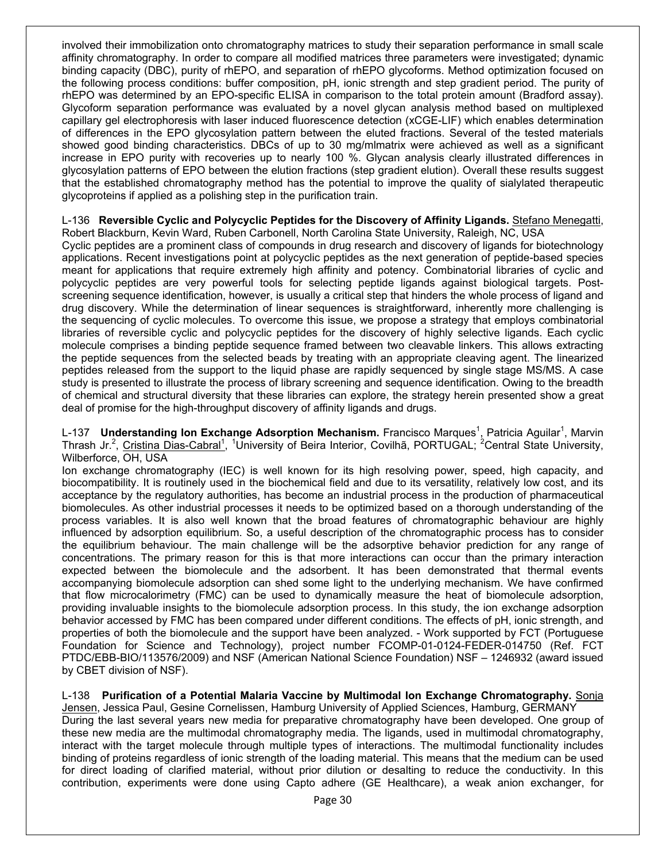involved their immobilization onto chromatography matrices to study their separation performance in small scale affinity chromatography. In order to compare all modified matrices three parameters were investigated; dynamic binding capacity (DBC), purity of rhEPO, and separation of rhEPO glycoforms. Method optimization focused on the following process conditions: buffer composition, pH, ionic strength and step gradient period. The purity of rhEPO was determined by an EPO-specific ELISA in comparison to the total protein amount (Bradford assay). Glycoform separation performance was evaluated by a novel glycan analysis method based on multiplexed capillary gel electrophoresis with laser induced fluorescence detection (xCGE-LIF) which enables determination of differences in the EPO glycosylation pattern between the eluted fractions. Several of the tested materials showed good binding characteristics. DBCs of up to 30 mg/mlmatrix were achieved as well as a significant increase in EPO purity with recoveries up to nearly 100 %. Glycan analysis clearly illustrated differences in glycosylation patterns of EPO between the elution fractions (step gradient elution). Overall these results suggest that the established chromatography method has the potential to improve the quality of sialylated therapeutic glycoproteins if applied as a polishing step in the purification train.

#### L-136 **Reversible Cyclic and Polycyclic Peptides for the Discovery of Affinity Ligands.** Stefano Menegatti, Robert Blackburn, Kevin Ward, Ruben Carbonell, North Carolina State University, Raleigh, NC, USA

Cyclic peptides are a prominent class of compounds in drug research and discovery of ligands for biotechnology applications. Recent investigations point at polycyclic peptides as the next generation of peptide-based species meant for applications that require extremely high affinity and potency. Combinatorial libraries of cyclic and polycyclic peptides are very powerful tools for selecting peptide ligands against biological targets. Postscreening sequence identification, however, is usually a critical step that hinders the whole process of ligand and drug discovery. While the determination of linear sequences is straightforward, inherently more challenging is the sequencing of cyclic molecules. To overcome this issue, we propose a strategy that employs combinatorial libraries of reversible cyclic and polycyclic peptides for the discovery of highly selective ligands. Each cyclic molecule comprises a binding peptide sequence framed between two cleavable linkers. This allows extracting the peptide sequences from the selected beads by treating with an appropriate cleaving agent. The linearized peptides released from the support to the liquid phase are rapidly sequenced by single stage MS/MS. A case study is presented to illustrate the process of library screening and sequence identification. Owing to the breadth of chemical and structural diversity that these libraries can explore, the strategy herein presented show a great deal of promise for the high-throughput discovery of affinity ligands and drugs.

L-137 **Understanding Ion Exchange Adsorption Mechanism.** Francisco Marques<sup>1</sup>, Patricia Aguilar<sup>1</sup>, Marvin Thrash Jr.<sup>2</sup>, Cristina Dias-Cabral<sup>1</sup>, <sup>1</sup>University of Beira Interior, Covilhã, PORTUGAL; <sup>2</sup>Central State University, Wilberforce, OH, USA

Ion exchange chromatography (IEC) is well known for its high resolving power, speed, high capacity, and biocompatibility. It is routinely used in the biochemical field and due to its versatility, relatively low cost, and its acceptance by the regulatory authorities, has become an industrial process in the production of pharmaceutical biomolecules. As other industrial processes it needs to be optimized based on a thorough understanding of the process variables. It is also well known that the broad features of chromatographic behaviour are highly influenced by adsorption equilibrium. So, a useful description of the chromatographic process has to consider the equilibrium behaviour. The main challenge will be the adsorptive behavior prediction for any range of concentrations. The primary reason for this is that more interactions can occur than the primary interaction expected between the biomolecule and the adsorbent. It has been demonstrated that thermal events accompanying biomolecule adsorption can shed some light to the underlying mechanism. We have confirmed that flow microcalorimetry (FMC) can be used to dynamically measure the heat of biomolecule adsorption, providing invaluable insights to the biomolecule adsorption process. In this study, the ion exchange adsorption behavior accessed by FMC has been compared under different conditions. The effects of pH, ionic strength, and properties of both the biomolecule and the support have been analyzed. - Work supported by FCT (Portuguese Foundation for Science and Technology), project number FCOMP-01-0124-FEDER-014750 (Ref. FCT PTDC/EBB-BIO/113576/2009) and NSF (American National Science Foundation) NSF – 1246932 (award issued by CBET division of NSF).

L-138 **Purification of a Potential Malaria Vaccine by Multimodal Ion Exchange Chromatography.** Sonja Jensen, Jessica Paul, Gesine Cornelissen, Hamburg University of Applied Sciences, Hamburg, GERMANY During the last several years new media for preparative chromatography have been developed. One group of these new media are the multimodal chromatography media. The ligands, used in multimodal chromatography, interact with the target molecule through multiple types of interactions. The multimodal functionality includes binding of proteins regardless of ionic strength of the loading material. This means that the medium can be used for direct loading of clarified material, without prior dilution or desalting to reduce the conductivity. In this contribution, experiments were done using Capto adhere (GE Healthcare), a weak anion exchanger, for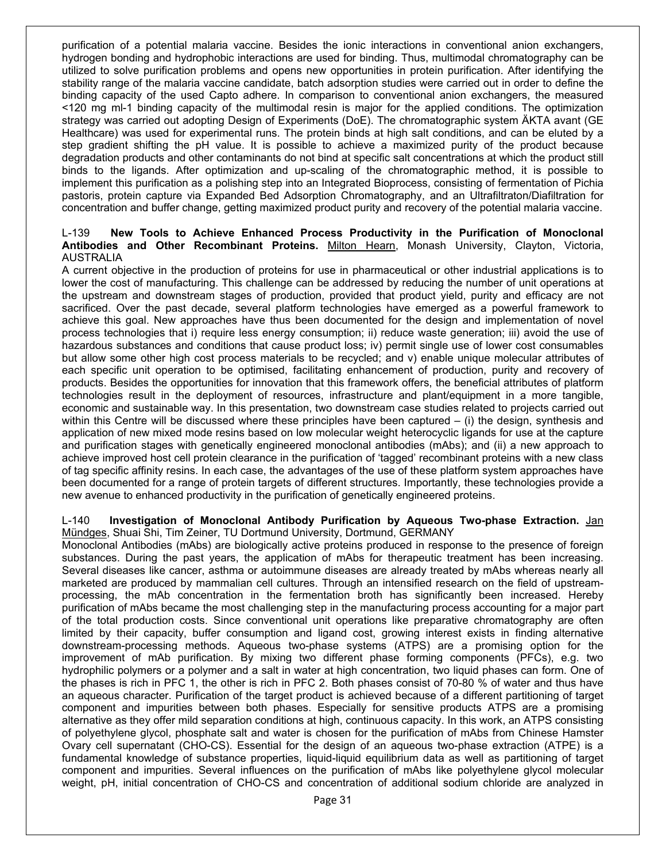purification of a potential malaria vaccine. Besides the ionic interactions in conventional anion exchangers, hydrogen bonding and hydrophobic interactions are used for binding. Thus, multimodal chromatography can be utilized to solve purification problems and opens new opportunities in protein purification. After identifying the stability range of the malaria vaccine candidate, batch adsorption studies were carried out in order to define the binding capacity of the used Capto adhere. In comparison to conventional anion exchangers, the measured <120 mg ml-1 binding capacity of the multimodal resin is major for the applied conditions. The optimization strategy was carried out adopting Design of Experiments (DoE). The chromatographic system ÄKTA avant (GE Healthcare) was used for experimental runs. The protein binds at high salt conditions, and can be eluted by a step gradient shifting the pH value. It is possible to achieve a maximized purity of the product because degradation products and other contaminants do not bind at specific salt concentrations at which the product still binds to the ligands. After optimization and up-scaling of the chromatographic method, it is possible to implement this purification as a polishing step into an Integrated Bioprocess, consisting of fermentation of Pichia pastoris, protein capture via Expanded Bed Adsorption Chromatography, and an Ultrafiltraton/Diafiltration for concentration and buffer change, getting maximized product purity and recovery of the potential malaria vaccine.

#### L-139 **New Tools to Achieve Enhanced Process Productivity in the Purification of Monoclonal Antibodies and Other Recombinant Proteins.** Milton Hearn, Monash University, Clayton, Victoria, AUSTRALIA

A current objective in the production of proteins for use in pharmaceutical or other industrial applications is to lower the cost of manufacturing. This challenge can be addressed by reducing the number of unit operations at the upstream and downstream stages of production, provided that product yield, purity and efficacy are not sacrificed. Over the past decade, several platform technologies have emerged as a powerful framework to achieve this goal. New approaches have thus been documented for the design and implementation of novel process technologies that i) require less energy consumption; ii) reduce waste generation; iii) avoid the use of hazardous substances and conditions that cause product loss; iv) permit single use of lower cost consumables but allow some other high cost process materials to be recycled; and v) enable unique molecular attributes of each specific unit operation to be optimised, facilitating enhancement of production, purity and recovery of products. Besides the opportunities for innovation that this framework offers, the beneficial attributes of platform technologies result in the deployment of resources, infrastructure and plant/equipment in a more tangible, economic and sustainable way. In this presentation, two downstream case studies related to projects carried out within this Centre will be discussed where these principles have been captured – (i) the design, synthesis and application of new mixed mode resins based on low molecular weight heterocyclic ligands for use at the capture and purification stages with genetically engineered monoclonal antibodies (mAbs); and (ii) a new approach to achieve improved host cell protein clearance in the purification of 'tagged' recombinant proteins with a new class of tag specific affinity resins. In each case, the advantages of the use of these platform system approaches have been documented for a range of protein targets of different structures. Importantly, these technologies provide a new avenue to enhanced productivity in the purification of genetically engineered proteins.

#### L-140 **Investigation of Monoclonal Antibody Purification by Aqueous Two-phase Extraction.** Jan Mündges, Shuai Shi, Tim Zeiner, TU Dortmund University, Dortmund, GERMANY

Monoclonal Antibodies (mAbs) are biologically active proteins produced in response to the presence of foreign substances. During the past years, the application of mAbs for therapeutic treatment has been increasing. Several diseases like cancer, asthma or autoimmune diseases are already treated by mAbs whereas nearly all marketed are produced by mammalian cell cultures. Through an intensified research on the field of upstreamprocessing, the mAb concentration in the fermentation broth has significantly been increased. Hereby purification of mAbs became the most challenging step in the manufacturing process accounting for a major part of the total production costs. Since conventional unit operations like preparative chromatography are often limited by their capacity, buffer consumption and ligand cost, growing interest exists in finding alternative downstream-processing methods. Aqueous two-phase systems (ATPS) are a promising option for the improvement of mAb purification. By mixing two different phase forming components (PFCs), e.g. two hydrophilic polymers or a polymer and a salt in water at high concentration, two liquid phases can form. One of the phases is rich in PFC 1, the other is rich in PFC 2. Both phases consist of 70-80 % of water and thus have an aqueous character. Purification of the target product is achieved because of a different partitioning of target component and impurities between both phases. Especially for sensitive products ATPS are a promising alternative as they offer mild separation conditions at high, continuous capacity. In this work, an ATPS consisting of polyethylene glycol, phosphate salt and water is chosen for the purification of mAbs from Chinese Hamster Ovary cell supernatant (CHO-CS). Essential for the design of an aqueous two-phase extraction (ATPE) is a fundamental knowledge of substance properties, liquid-liquid equilibrium data as well as partitioning of target component and impurities. Several influences on the purification of mAbs like polyethylene glycol molecular weight, pH, initial concentration of CHO-CS and concentration of additional sodium chloride are analyzed in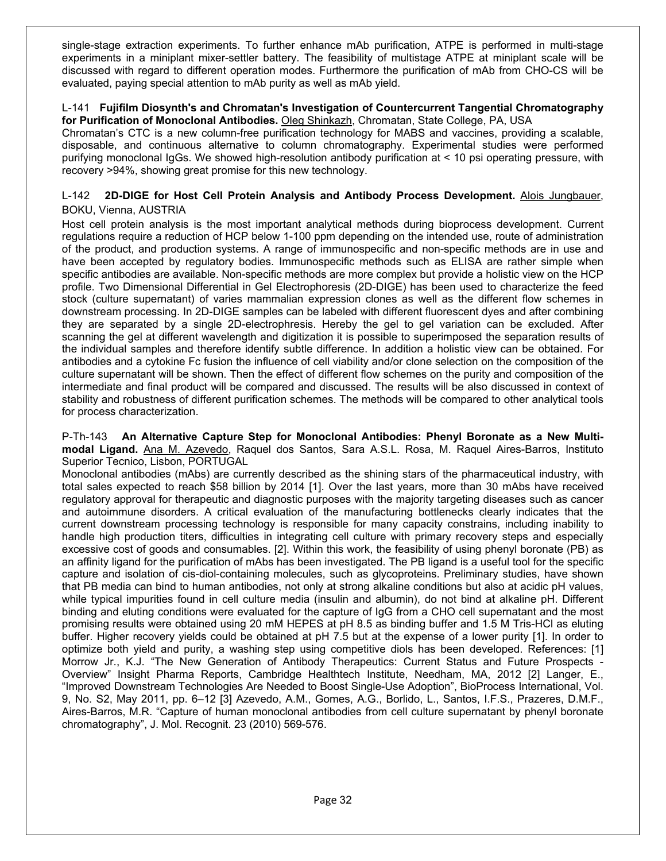single-stage extraction experiments. To further enhance mAb purification, ATPE is performed in multi-stage experiments in a miniplant mixer-settler battery. The feasibility of multistage ATPE at miniplant scale will be discussed with regard to different operation modes. Furthermore the purification of mAb from CHO-CS will be evaluated, paying special attention to mAb purity as well as mAb yield.

#### L-141 **Fujifilm Diosynth's and Chromatan's Investigation of Countercurrent Tangential Chromatography for Purification of Monoclonal Antibodies.** Oleg Shinkazh, Chromatan, State College, PA, USA

Chromatan's CTC is a new column-free purification technology for MABS and vaccines, providing a scalable, disposable, and continuous alternative to column chromatography. Experimental studies were performed purifying monoclonal IgGs. We showed high-resolution antibody purification at < 10 psi operating pressure, with recovery >94%, showing great promise for this new technology.

#### L-142 **2D-DIGE for Host Cell Protein Analysis and Antibody Process Development.** Alois Jungbauer, BOKU, Vienna, AUSTRIA

Host cell protein analysis is the most important analytical methods during bioprocess development. Current regulations require a reduction of HCP below 1-100 ppm depending on the intended use, route of administration of the product, and production systems. A range of immunospecific and non-specific methods are in use and have been accepted by regulatory bodies. Immunospecific methods such as ELISA are rather simple when specific antibodies are available. Non-specific methods are more complex but provide a holistic view on the HCP profile. Two Dimensional Differential in Gel Electrophoresis (2D-DIGE) has been used to characterize the feed stock (culture supernatant) of varies mammalian expression clones as well as the different flow schemes in downstream processing. In 2D-DIGE samples can be labeled with different fluorescent dyes and after combining they are separated by a single 2D-electrophresis. Hereby the gel to gel variation can be excluded. After scanning the gel at different wavelength and digitization it is possible to superimposed the separation results of the individual samples and therefore identify subtle difference. In addition a holistic view can be obtained. For antibodies and a cytokine Fc fusion the influence of cell viability and/or clone selection on the composition of the culture supernatant will be shown. Then the effect of different flow schemes on the purity and composition of the intermediate and final product will be compared and discussed. The results will be also discussed in context of stability and robustness of different purification schemes. The methods will be compared to other analytical tools for process characterization.

#### P-Th-143 **An Alternative Capture Step for Monoclonal Antibodies: Phenyl Boronate as a New Multimodal Ligand.** Ana M. Azevedo, Raquel dos Santos, Sara A.S.L. Rosa, M. Raquel Aires-Barros, Instituto Superior Tecnico, Lisbon, PORTUGAL

Monoclonal antibodies (mAbs) are currently described as the shining stars of the pharmaceutical industry, with total sales expected to reach \$58 billion by 2014 [1]. Over the last years, more than 30 mAbs have received regulatory approval for therapeutic and diagnostic purposes with the majority targeting diseases such as cancer and autoimmune disorders. A critical evaluation of the manufacturing bottlenecks clearly indicates that the current downstream processing technology is responsible for many capacity constrains, including inability to handle high production titers, difficulties in integrating cell culture with primary recovery steps and especially excessive cost of goods and consumables. [2]. Within this work, the feasibility of using phenyl boronate (PB) as an affinity ligand for the purification of mAbs has been investigated. The PB ligand is a useful tool for the specific capture and isolation of cis-diol-containing molecules, such as glycoproteins. Preliminary studies, have shown that PB media can bind to human antibodies, not only at strong alkaline conditions but also at acidic pH values, while typical impurities found in cell culture media (insulin and albumin), do not bind at alkaline pH. Different binding and eluting conditions were evaluated for the capture of IgG from a CHO cell supernatant and the most promising results were obtained using 20 mM HEPES at pH 8.5 as binding buffer and 1.5 M Tris-HCl as eluting buffer. Higher recovery yields could be obtained at pH 7.5 but at the expense of a lower purity [1]. In order to optimize both yield and purity, a washing step using competitive diols has been developed. References: [1] Morrow Jr., K.J. "The New Generation of Antibody Therapeutics: Current Status and Future Prospects - Overview" Insight Pharma Reports, Cambridge Healthtech Institute, Needham, MA, 2012 [2] Langer, E., "Improved Downstream Technologies Are Needed to Boost Single-Use Adoption", BioProcess International, Vol. 9, No. S2, May 2011, pp. 6–12 [3] Azevedo, A.M., Gomes, A.G., Borlido, L., Santos, I.F.S., Prazeres, D.M.F., Aires-Barros, M.R. "Capture of human monoclonal antibodies from cell culture supernatant by phenyl boronate chromatography", J. Mol. Recognit. 23 (2010) 569-576.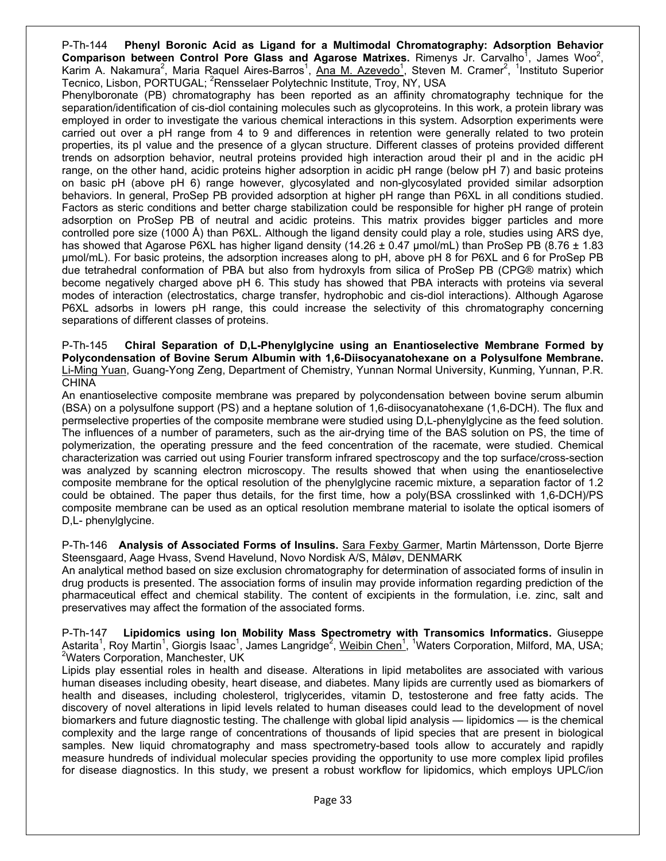P-Th-144 **Phenyl Boronic Acid as Ligand for a Multimodal Chromatography: Adsorption Behavior**  Comparison between Control Pore Glass and Agarose Matrixes. Rimenys Jr. Carvalho<sup>1</sup>, James Woo<sup>2</sup>, Karim A. Nakamura<sup>2</sup>, Maria Raquel Aires-Barros<sup>1</sup>, Ana M. Azevedo<sup>1</sup>, Steven M. Cramer<sup>2</sup>, <sup>1</sup>Instituto Superior Tecnico, Lisbon, PORTUGAL; <sup>2</sup>Rensselaer Polytechnic Institute, Troy, NY, USA

Phenylboronate (PB) chromatography has been reported as an affinity chromatography technique for the separation/identification of cis-diol containing molecules such as glycoproteins. In this work, a protein library was employed in order to investigate the various chemical interactions in this system. Adsorption experiments were carried out over a pH range from 4 to 9 and differences in retention were generally related to two protein properties, its pI value and the presence of a glycan structure. Different classes of proteins provided different trends on adsorption behavior, neutral proteins provided high interaction aroud their pI and in the acidic pH range, on the other hand, acidic proteins higher adsorption in acidic pH range (below pH 7) and basic proteins on basic pH (above pH 6) range however, glycosylated and non-glycosylated provided similar adsorption behaviors. In general, ProSep PB provided adsorption at higher pH range than P6XL in all conditions studied. Factors as steric conditions and better charge stabilization could be responsible for higher pH range of protein adsorption on ProSep PB of neutral and acidic proteins. This matrix provides bigger particles and more controlled pore size (1000 Å) than P6XL. Although the ligand density could play a role, studies using ARS dye, has showed that Agarose P6XL has higher ligand density (14.26  $\pm$  0.47 µmol/mL) than ProSep PB (8.76  $\pm$  1.83 µmol/mL). For basic proteins, the adsorption increases along to pH, above pH 8 for P6XL and 6 for ProSep PB due tetrahedral conformation of PBA but also from hydroxyls from silica of ProSep PB (CPG® matrix) which become negatively charged above pH 6. This study has showed that PBA interacts with proteins via several modes of interaction (electrostatics, charge transfer, hydrophobic and cis-diol interactions). Although Agarose P6XL adsorbs in lowers pH range, this could increase the selectivity of this chromatography concerning separations of different classes of proteins.

P-Th-145 **Chiral Separation of D,L-Phenylglycine using an Enantioselective Membrane Formed by Polycondensation of Bovine Serum Albumin with 1,6-Diisocyanatohexane on a Polysulfone Membrane.**  Li-Ming Yuan, Guang-Yong Zeng, Department of Chemistry, Yunnan Normal University, Kunming, Yunnan, P.R. CHINA

An enantioselective composite membrane was prepared by polycondensation between bovine serum albumin (BSA) on a polysulfone support (PS) and a heptane solution of 1,6-diisocyanatohexane (1,6-DCH). The flux and permselective properties of the composite membrane were studied using D,L-phenylglycine as the feed solution. The influences of a number of parameters, such as the air-drying time of the BAS solution on PS, the time of polymerization, the operating pressure and the feed concentration of the racemate, were studied. Chemical characterization was carried out using Fourier transform infrared spectroscopy and the top surface/cross-section was analyzed by scanning electron microscopy. The results showed that when using the enantioselective composite membrane for the optical resolution of the phenylglycine racemic mixture, a separation factor of 1.2 could be obtained. The paper thus details, for the first time, how a poly(BSA crosslinked with 1,6-DCH)/PS composite membrane can be used as an optical resolution membrane material to isolate the optical isomers of D,L- phenylglycine.

P-Th-146 **Analysis of Associated Forms of Insulins.** Sara Fexby Garmer, Martin Mårtensson, Dorte Bjerre Steensgaard, Aage Hvass, Svend Havelund, Novo Nordisk A/S, Måløv, DENMARK

An analytical method based on size exclusion chromatography for determination of associated forms of insulin in drug products is presented. The association forms of insulin may provide information regarding prediction of the pharmaceutical effect and chemical stability. The content of excipients in the formulation, i.e. zinc, salt and preservatives may affect the formation of the associated forms.

P-Th-147 **Lipidomics using Ion Mobility Mass Spectrometry with Transomics Informatics.** Giuseppe Astarita<sup>1</sup>, Roy Martin<sup>1</sup>, Giorgis Isaac<sup>1</sup>, James Langridge<sup>2</sup>, <u>Weibin Chen<sup>1</sup>, 1Waters Corporation, Milford, MA, USA;</u><br><sup>2</sup>Weters Corporation, Manabostor, UK <sup>2</sup>Waters Corporation, Manchester, UK

Lipids play essential roles in health and disease. Alterations in lipid metabolites are associated with various human diseases including obesity, heart disease, and diabetes. Many lipids are currently used as biomarkers of health and diseases, including cholesterol, triglycerides, vitamin D, testosterone and free fatty acids. The discovery of novel alterations in lipid levels related to human diseases could lead to the development of novel biomarkers and future diagnostic testing. The challenge with global lipid analysis — lipidomics — is the chemical complexity and the large range of concentrations of thousands of lipid species that are present in biological samples. New liquid chromatography and mass spectrometry-based tools allow to accurately and rapidly measure hundreds of individual molecular species providing the opportunity to use more complex lipid profiles for disease diagnostics. In this study, we present a robust workflow for lipidomics, which employs UPLC/ion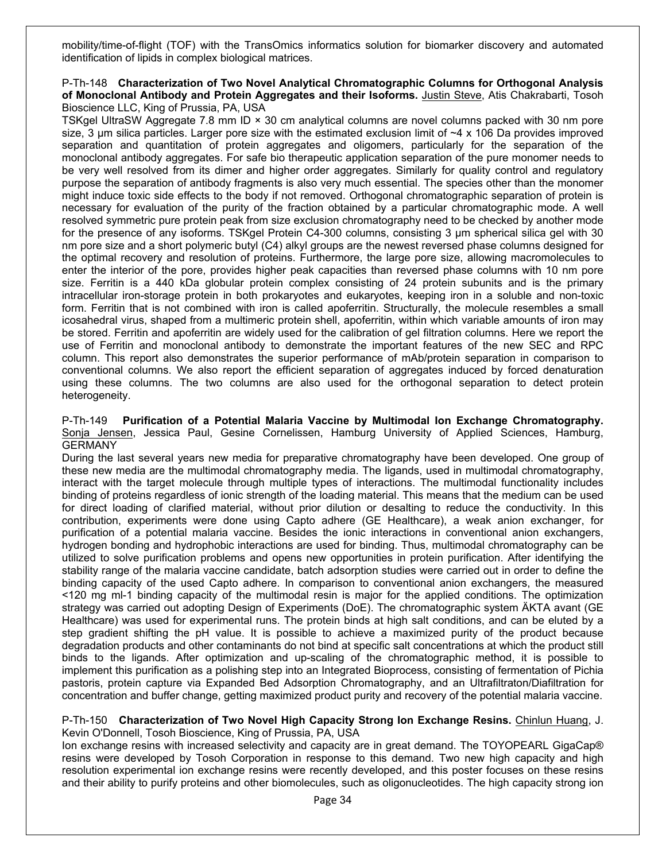mobility/time-of-flight (TOF) with the TransOmics informatics solution for biomarker discovery and automated identification of lipids in complex biological matrices.

#### P-Th-148 **Characterization of Two Novel Analytical Chromatographic Columns for Orthogonal Analysis of Monoclonal Antibody and Protein Aggregates and their Isoforms.** Justin Steve, Atis Chakrabarti, Tosoh Bioscience LLC, King of Prussia, PA, USA

TSKgel UltraSW Aggregate 7.8 mm ID × 30 cm analytical columns are novel columns packed with 30 nm pore size, 3  $\mu$ m silica particles. Larger pore size with the estimated exclusion limit of  $\sim$ 4 x 106 Da provides improved separation and quantitation of protein aggregates and oligomers, particularly for the separation of the monoclonal antibody aggregates. For safe bio therapeutic application separation of the pure monomer needs to be very well resolved from its dimer and higher order aggregates. Similarly for quality control and regulatory purpose the separation of antibody fragments is also very much essential. The species other than the monomer might induce toxic side effects to the body if not removed. Orthogonal chromatographic separation of protein is necessary for evaluation of the purity of the fraction obtained by a particular chromatographic mode. A well resolved symmetric pure protein peak from size exclusion chromatography need to be checked by another mode for the presence of any isoforms. TSKgel Protein C4-300 columns, consisting 3 μm spherical silica gel with 30 nm pore size and a short polymeric butyl (C4) alkyl groups are the newest reversed phase columns designed for the optimal recovery and resolution of proteins. Furthermore, the large pore size, allowing macromolecules to enter the interior of the pore, provides higher peak capacities than reversed phase columns with 10 nm pore size. Ferritin is a 440 kDa globular protein complex consisting of 24 protein subunits and is the primary intracellular iron-storage protein in both prokaryotes and eukaryotes, keeping iron in a soluble and non-toxic form. Ferritin that is not combined with iron is called apoferritin. Structurally, the molecule resembles a small icosahedral virus, shaped from a multimeric protein shell, apoferritin, within which variable amounts of iron may be stored. Ferritin and apoferritin are widely used for the calibration of gel filtration columns. Here we report the use of Ferritin and monoclonal antibody to demonstrate the important features of the new SEC and RPC column. This report also demonstrates the superior performance of mAb/protein separation in comparison to conventional columns. We also report the efficient separation of aggregates induced by forced denaturation using these columns. The two columns are also used for the orthogonal separation to detect protein heterogeneity.

P-Th-149 **Purification of a Potential Malaria Vaccine by Multimodal Ion Exchange Chromatography.** Sonja Jensen, Jessica Paul, Gesine Cornelissen, Hamburg University of Applied Sciences, Hamburg, GERMANY

During the last several years new media for preparative chromatography have been developed. One group of these new media are the multimodal chromatography media. The ligands, used in multimodal chromatography, interact with the target molecule through multiple types of interactions. The multimodal functionality includes binding of proteins regardless of ionic strength of the loading material. This means that the medium can be used for direct loading of clarified material, without prior dilution or desalting to reduce the conductivity. In this contribution, experiments were done using Capto adhere (GE Healthcare), a weak anion exchanger, for purification of a potential malaria vaccine. Besides the ionic interactions in conventional anion exchangers, hydrogen bonding and hydrophobic interactions are used for binding. Thus, multimodal chromatography can be utilized to solve purification problems and opens new opportunities in protein purification. After identifying the stability range of the malaria vaccine candidate, batch adsorption studies were carried out in order to define the binding capacity of the used Capto adhere. In comparison to conventional anion exchangers, the measured <120 mg ml-1 binding capacity of the multimodal resin is major for the applied conditions. The optimization strategy was carried out adopting Design of Experiments (DoE). The chromatographic system ÄKTA avant (GE Healthcare) was used for experimental runs. The protein binds at high salt conditions, and can be eluted by a step gradient shifting the pH value. It is possible to achieve a maximized purity of the product because degradation products and other contaminants do not bind at specific salt concentrations at which the product still binds to the ligands. After optimization and up-scaling of the chromatographic method, it is possible to implement this purification as a polishing step into an Integrated Bioprocess, consisting of fermentation of Pichia pastoris, protein capture via Expanded Bed Adsorption Chromatography, and an Ultrafiltraton/Diafiltration for concentration and buffer change, getting maximized product purity and recovery of the potential malaria vaccine.

#### P-Th-150 **Characterization of Two Novel High Capacity Strong Ion Exchange Resins.** Chinlun Huang, J. Kevin O'Donnell, Tosoh Bioscience, King of Prussia, PA, USA

Ion exchange resins with increased selectivity and capacity are in great demand. The TOYOPEARL GigaCap® resins were developed by Tosoh Corporation in response to this demand. Two new high capacity and high resolution experimental ion exchange resins were recently developed, and this poster focuses on these resins and their ability to purify proteins and other biomolecules, such as oligonucleotides. The high capacity strong ion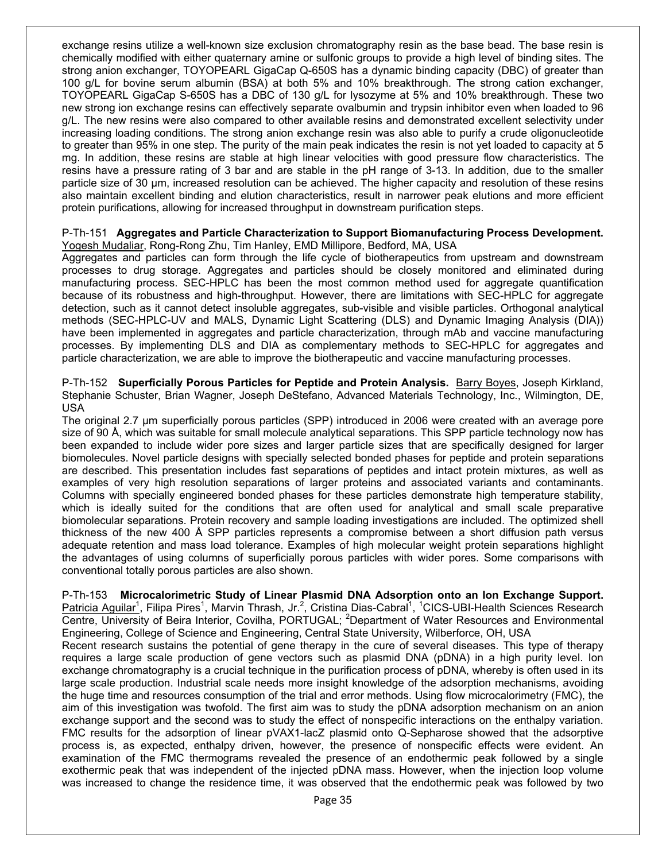exchange resins utilize a well-known size exclusion chromatography resin as the base bead. The base resin is chemically modified with either quaternary amine or sulfonic groups to provide a high level of binding sites. The strong anion exchanger, TOYOPEARL GigaCap Q-650S has a dynamic binding capacity (DBC) of greater than 100 g/L for bovine serum albumin (BSA) at both 5% and 10% breakthrough. The strong cation exchanger, TOYOPEARL GigaCap S-650S has a DBC of 130 g/L for lysozyme at 5% and 10% breakthrough. These two new strong ion exchange resins can effectively separate ovalbumin and trypsin inhibitor even when loaded to 96 g/L. The new resins were also compared to other available resins and demonstrated excellent selectivity under increasing loading conditions. The strong anion exchange resin was also able to purify a crude oligonucleotide to greater than 95% in one step. The purity of the main peak indicates the resin is not yet loaded to capacity at 5 mg. In addition, these resins are stable at high linear velocities with good pressure flow characteristics. The resins have a pressure rating of 3 bar and are stable in the pH range of 3-13. In addition, due to the smaller particle size of 30 µm, increased resolution can be achieved. The higher capacity and resolution of these resins also maintain excellent binding and elution characteristics, result in narrower peak elutions and more efficient protein purifications, allowing for increased throughput in downstream purification steps.

#### P-Th-151 **Aggregates and Particle Characterization to Support Biomanufacturing Process Development.** Yogesh Mudaliar, Rong-Rong Zhu, Tim Hanley, EMD Millipore, Bedford, MA, USA

Aggregates and particles can form through the life cycle of biotherapeutics from upstream and downstream processes to drug storage. Aggregates and particles should be closely monitored and eliminated during manufacturing process. SEC-HPLC has been the most common method used for aggregate quantification because of its robustness and high-throughput. However, there are limitations with SEC-HPLC for aggregate detection, such as it cannot detect insoluble aggregates, sub-visible and visible particles. Orthogonal analytical methods (SEC-HPLC-UV and MALS, Dynamic Light Scattering (DLS) and Dynamic Imaging Analysis (DIA)) have been implemented in aggregates and particle characterization, through mAb and vaccine manufacturing processes. By implementing DLS and DIA as complementary methods to SEC-HPLC for aggregates and particle characterization, we are able to improve the biotherapeutic and vaccine manufacturing processes.

P-Th-152 **Superficially Porous Particles for Peptide and Protein Analysis.** Barry Boyes, Joseph Kirkland, Stephanie Schuster, Brian Wagner, Joseph DeStefano, Advanced Materials Technology, Inc., Wilmington, DE, USA

The original 2.7 µm superficially porous particles (SPP) introduced in 2006 were created with an average pore size of 90 Å, which was suitable for small molecule analytical separations. This SPP particle technology now has been expanded to include wider pore sizes and larger particle sizes that are specifically designed for larger biomolecules. Novel particle designs with specially selected bonded phases for peptide and protein separations are described. This presentation includes fast separations of peptides and intact protein mixtures, as well as examples of very high resolution separations of larger proteins and associated variants and contaminants. Columns with specially engineered bonded phases for these particles demonstrate high temperature stability, which is ideally suited for the conditions that are often used for analytical and small scale preparative biomolecular separations. Protein recovery and sample loading investigations are included. The optimized shell thickness of the new 400 Å SPP particles represents a compromise between a short diffusion path versus adequate retention and mass load tolerance. Examples of high molecular weight protein separations highlight the advantages of using columns of superficially porous particles with wider pores. Some comparisons with conventional totally porous particles are also shown.

P-Th-153 **Microcalorimetric Study of Linear Plasmid DNA Adsorption onto an Ion Exchange Support.** Patricia Aguilar<sup>1</sup>, Filipa Pires<sup>1</sup>, Marvin Thrash, Jr.<sup>2</sup>, Cristina Dias-Cabral<sup>1</sup>, <sup>1</sup>CICS-UBI-Health Sciences Research Centre, University of Beira Interior, Covilha, PORTUGAL; <sup>2</sup>Department of Water Resources and Environmental Engineering, College of Science and Engineering, Central State University, Wilberforce, OH, USA Recent research sustains the potential of gene therapy in the cure of several diseases. This type of therapy requires a large scale production of gene vectors such as plasmid DNA (pDNA) in a high purity level. Ion exchange chromatography is a crucial technique in the purification process of pDNA, whereby is often used in its large scale production. Industrial scale needs more insight knowledge of the adsorption mechanisms, avoiding the huge time and resources consumption of the trial and error methods. Using flow microcalorimetry (FMC), the aim of this investigation was twofold. The first aim was to study the pDNA adsorption mechanism on an anion exchange support and the second was to study the effect of nonspecific interactions on the enthalpy variation. FMC results for the adsorption of linear pVAX1-lacZ plasmid onto Q-Sepharose showed that the adsorptive process is, as expected, enthalpy driven, however, the presence of nonspecific effects were evident. An examination of the FMC thermograms revealed the presence of an endothermic peak followed by a single exothermic peak that was independent of the injected pDNA mass. However, when the injection loop volume was increased to change the residence time, it was observed that the endothermic peak was followed by two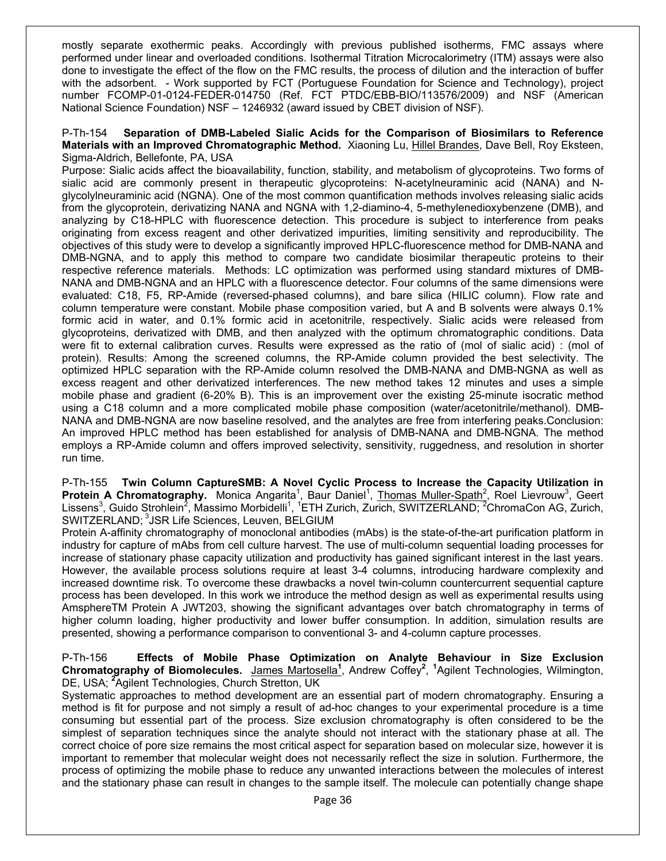mostly separate exothermic peaks. Accordingly with previous published isotherms, FMC assays where performed under linear and overloaded conditions. Isothermal Titration Microcalorimetry (ITM) assays were also done to investigate the effect of the flow on the FMC results, the process of dilution and the interaction of buffer with the adsorbent. - Work supported by FCT (Portuguese Foundation for Science and Technology), project number FCOMP-01-0124-FEDER-014750 (Ref. FCT PTDC/EBB-BIO/113576/2009) and NSF (American National Science Foundation) NSF – 1246932 (award issued by CBET division of NSF).

#### P-Th-154 **Separation of DMB-Labeled Sialic Acids for the Comparison of Biosimilars to Reference Materials with an Improved Chromatographic Method.** Xiaoning Lu, Hillel Brandes, Dave Bell, Roy Eksteen, Sigma-Aldrich, Bellefonte, PA, USA

Purpose: Sialic acids affect the bioavailability, function, stability, and metabolism of glycoproteins. Two forms of sialic acid are commonly present in therapeutic glycoproteins: N-acetylneuraminic acid (NANA) and Nglycolylneuraminic acid (NGNA). One of the most common quantification methods involves releasing sialic acids from the glycoprotein, derivatizing NANA and NGNA with 1,2-diamino-4, 5-methylenedioxybenzene (DMB), and analyzing by C18-HPLC with fluorescence detection. This procedure is subject to interference from peaks originating from excess reagent and other derivatized impurities, limiting sensitivity and reproducibility. The objectives of this study were to develop a significantly improved HPLC-fluorescence method for DMB-NANA and DMB-NGNA, and to apply this method to compare two candidate biosimilar therapeutic proteins to their respective reference materials. Methods: LC optimization was performed using standard mixtures of DMB-NANA and DMB-NGNA and an HPLC with a fluorescence detector. Four columns of the same dimensions were evaluated: C18, F5, RP-Amide (reversed-phased columns), and bare silica (HILIC column). Flow rate and column temperature were constant. Mobile phase composition varied, but A and B solvents were always 0.1% formic acid in water, and 0.1% formic acid in acetonitrile, respectively. Sialic acids were released from glycoproteins, derivatized with DMB, and then analyzed with the optimum chromatographic conditions. Data were fit to external calibration curves. Results were expressed as the ratio of (mol of sialic acid) : (mol of protein). Results: Among the screened columns, the RP-Amide column provided the best selectivity. The optimized HPLC separation with the RP-Amide column resolved the DMB-NANA and DMB-NGNA as well as excess reagent and other derivatized interferences. The new method takes 12 minutes and uses a simple mobile phase and gradient (6-20% B). This is an improvement over the existing 25-minute isocratic method using a C18 column and a more complicated mobile phase composition (water/acetonitrile/methanol). DMB-NANA and DMB-NGNA are now baseline resolved, and the analytes are free from interfering peaks.Conclusion: An improved HPLC method has been established for analysis of DMB-NANA and DMB-NGNA. The method employs a RP-Amide column and offers improved selectivity, sensitivity, ruggedness, and resolution in shorter run time.

P-Th-155 **Twin Column CaptureSMB: A Novel Cyclic Process to Increase the Capacity Utilization in**  Protein A Chromatography. Monica Angarita<sup>1</sup>, Baur Daniel<sup>1</sup>, Thomas Muller-Spath<sup>2</sup>, Roel Lievrouw<sup>3</sup>, Geert Lissens<sup>3</sup>, Guido Strohlein<sup>2</sup>, Massimo Morbidelli<sup>1</sup>, <sup>1</sup>ETH Zurich, Zurich, SWITZERLAND; <sup>2</sup>ChromaCon AG, Zurich, SWITZERLAND; <sup>3</sup>JSR Life Sciences, Leuven, BELGIUM

Protein A-affinity chromatography of monoclonal antibodies (mAbs) is the state-of-the-art purification platform in industry for capture of mAbs from cell culture harvest. The use of multi-column sequential loading processes for increase of stationary phase capacity utilization and productivity has gained significant interest in the last years. However, the available process solutions require at least 3-4 columns, introducing hardware complexity and increased downtime risk. To overcome these drawbacks a novel twin-column countercurrent sequential capture process has been developed. In this work we introduce the method design as well as experimental results using AmsphereTM Protein A JWT203, showing the significant advantages over batch chromatography in terms of higher column loading, higher productivity and lower buffer consumption. In addition, simulation results are presented, showing a performance comparison to conventional 3- and 4-column capture processes.

P-Th-156 **Effects of Mobile Phase Optimization on Analyte Behaviour in Size Exclusion Chromatography of Biomolecules.** James Martosella**<sup>1</sup>** , Andrew Coffey**<sup>2</sup>** , **1** Agilent Technologies, Wilmington, DE, USA; **<sup>2</sup>** Agilent Technologies, Church Stretton, UK

Systematic approaches to method development are an essential part of modern chromatography. Ensuring a method is fit for purpose and not simply a result of ad-hoc changes to your experimental procedure is a time consuming but essential part of the process. Size exclusion chromatography is often considered to be the simplest of separation techniques since the analyte should not interact with the stationary phase at all. The correct choice of pore size remains the most critical aspect for separation based on molecular size, however it is important to remember that molecular weight does not necessarily reflect the size in solution. Furthermore, the process of optimizing the mobile phase to reduce any unwanted interactions between the molecules of interest and the stationary phase can result in changes to the sample itself. The molecule can potentially change shape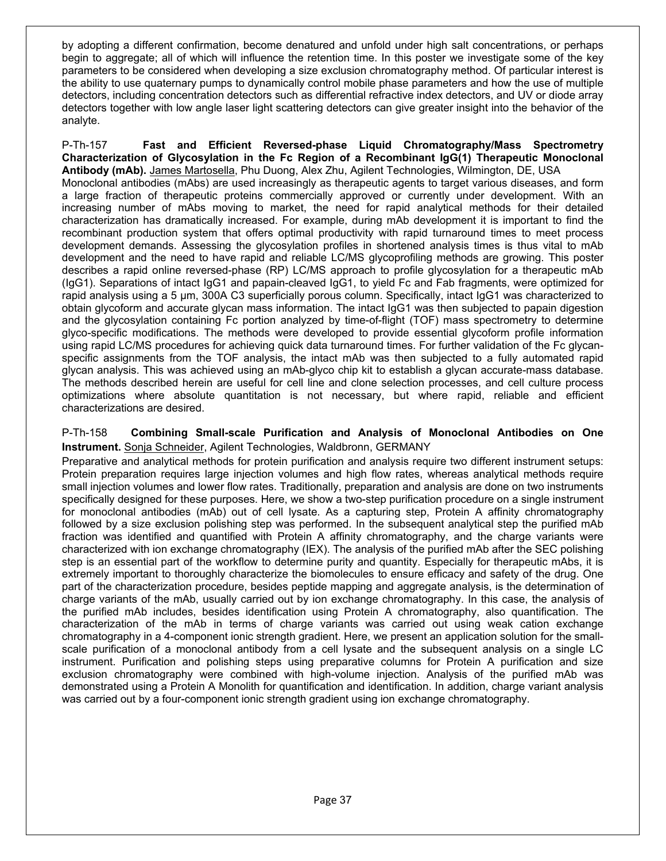by adopting a different confirmation, become denatured and unfold under high salt concentrations, or perhaps begin to aggregate; all of which will influence the retention time. In this poster we investigate some of the key parameters to be considered when developing a size exclusion chromatography method. Of particular interest is the ability to use quaternary pumps to dynamically control mobile phase parameters and how the use of multiple detectors, including concentration detectors such as differential refractive index detectors, and UV or diode array detectors together with low angle laser light scattering detectors can give greater insight into the behavior of the analyte.

P-Th-157 **Fast and Efficient Reversed-phase Liquid Chromatography/Mass Spectrometry Characterization of Glycosylation in the Fc Region of a Recombinant IgG(1) Therapeutic Monoclonal Antibody (mAb).** James Martosella, Phu Duong, Alex Zhu, Agilent Technologies, Wilmington, DE, USA Monoclonal antibodies (mAbs) are used increasingly as therapeutic agents to target various diseases, and form a large fraction of therapeutic proteins commercially approved or currently under development. With an increasing number of mAbs moving to market, the need for rapid analytical methods for their detailed characterization has dramatically increased. For example, during mAb development it is important to find the recombinant production system that offers optimal productivity with rapid turnaround times to meet process development demands. Assessing the glycosylation profiles in shortened analysis times is thus vital to mAb development and the need to have rapid and reliable LC/MS glycoprofiling methods are growing. This poster describes a rapid online reversed-phase (RP) LC/MS approach to profile glycosylation for a therapeutic mAb (IgG1). Separations of intact IgG1 and papain-cleaved IgG1, to yield Fc and Fab fragments, were optimized for rapid analysis using a 5 µm, 300A C3 superficially porous column. Specifically, intact IgG1 was characterized to obtain glycoform and accurate glycan mass information. The intact IgG1 was then subjected to papain digestion and the glycosylation containing Fc portion analyzed by time-of-flight (TOF) mass spectrometry to determine glyco-specific modifications. The methods were developed to provide essential glycoform profile information using rapid LC/MS procedures for achieving quick data turnaround times. For further validation of the Fc glycanspecific assignments from the TOF analysis, the intact mAb was then subjected to a fully automated rapid glycan analysis. This was achieved using an mAb-glyco chip kit to establish a glycan accurate-mass database. The methods described herein are useful for cell line and clone selection processes, and cell culture process optimizations where absolute quantitation is not necessary, but where rapid, reliable and efficient characterizations are desired.

#### P-Th-158 **Combining Small-scale Purification and Analysis of Monoclonal Antibodies on One Instrument.** Sonja Schneider, Agilent Technologies, Waldbronn, GERMANY

Preparative and analytical methods for protein purification and analysis require two different instrument setups: Protein preparation requires large injection volumes and high flow rates, whereas analytical methods require small injection volumes and lower flow rates. Traditionally, preparation and analysis are done on two instruments specifically designed for these purposes. Here, we show a two-step purification procedure on a single instrument for monoclonal antibodies (mAb) out of cell lysate. As a capturing step, Protein A affinity chromatography followed by a size exclusion polishing step was performed. In the subsequent analytical step the purified mAb fraction was identified and quantified with Protein A affinity chromatography, and the charge variants were characterized with ion exchange chromatography (IEX). The analysis of the purified mAb after the SEC polishing step is an essential part of the workflow to determine purity and quantity. Especially for therapeutic mAbs, it is extremely important to thoroughly characterize the biomolecules to ensure efficacy and safety of the drug. One part of the characterization procedure, besides peptide mapping and aggregate analysis, is the determination of charge variants of the mAb, usually carried out by ion exchange chromatography. In this case, the analysis of the purified mAb includes, besides identification using Protein A chromatography, also quantification. The characterization of the mAb in terms of charge variants was carried out using weak cation exchange chromatography in a 4-component ionic strength gradient. Here, we present an application solution for the smallscale purification of a monoclonal antibody from a cell lysate and the subsequent analysis on a single LC instrument. Purification and polishing steps using preparative columns for Protein A purification and size exclusion chromatography were combined with high-volume injection. Analysis of the purified mAb was demonstrated using a Protein A Monolith for quantification and identification. In addition, charge variant analysis was carried out by a four-component ionic strength gradient using ion exchange chromatography.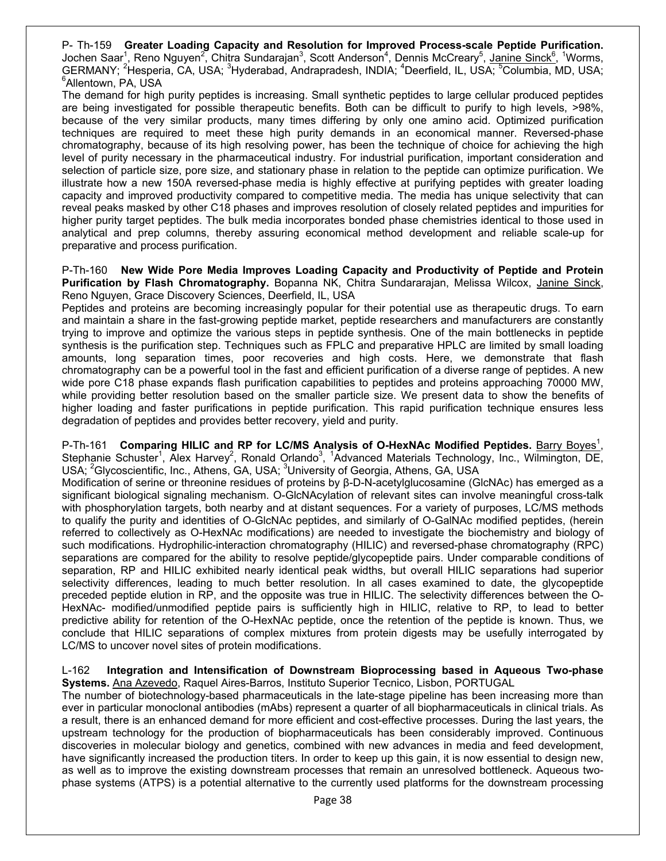P- Th-159 **Greater Loading Capacity and Resolution for Improved Process-scale Peptide Purification.**  Jochen Saar<sup>1</sup>, Reno Nguyen<sup>2</sup>, Chitra Sundarajan<sup>3</sup>, Scott Anderson<sup>4</sup>, Dennis McCreary<sup>5</sup>, <u>Janine Sinck<sup>6</sup>, 1</u>Worms, GERMANY; <sup>2</sup>Hesperia, CA, USA; <sup>3</sup>Hyderabad, Andrapradesh, INDIA; <sup>4</sup>Deerfield, IL, USA; <sup>5</sup>Columbia, MD, USA; 6 Allentown, PA, USA

The demand for high purity peptides is increasing. Small synthetic peptides to large cellular produced peptides are being investigated for possible therapeutic benefits. Both can be difficult to purify to high levels, >98%, because of the very similar products, many times differing by only one amino acid. Optimized purification techniques are required to meet these high purity demands in an economical manner. Reversed-phase chromatography, because of its high resolving power, has been the technique of choice for achieving the high level of purity necessary in the pharmaceutical industry. For industrial purification, important consideration and selection of particle size, pore size, and stationary phase in relation to the peptide can optimize purification. We illustrate how a new 150A reversed-phase media is highly effective at purifying peptides with greater loading capacity and improved productivity compared to competitive media. The media has unique selectivity that can reveal peaks masked by other C18 phases and improves resolution of closely related peptides and impurities for higher purity target peptides. The bulk media incorporates bonded phase chemistries identical to those used in analytical and prep columns, thereby assuring economical method development and reliable scale-up for preparative and process purification.

P-Th-160 **New Wide Pore Media Improves Loading Capacity and Productivity of Peptide and Protein**  Purification by Flash Chromatography. Bopanna NK, Chitra Sundararajan, Melissa Wilcox, Janine Sinck, Reno Nguyen, Grace Discovery Sciences, Deerfield, IL, USA

Peptides and proteins are becoming increasingly popular for their potential use as therapeutic drugs. To earn and maintain a share in the fast-growing peptide market, peptide researchers and manufacturers are constantly trying to improve and optimize the various steps in peptide synthesis. One of the main bottlenecks in peptide synthesis is the purification step. Techniques such as FPLC and preparative HPLC are limited by small loading amounts, long separation times, poor recoveries and high costs. Here, we demonstrate that flash chromatography can be a powerful tool in the fast and efficient purification of a diverse range of peptides. A new wide pore C18 phase expands flash purification capabilities to peptides and proteins approaching 70000 MW, while providing better resolution based on the smaller particle size. We present data to show the benefits of higher loading and faster purifications in peptide purification. This rapid purification technique ensures less degradation of peptides and provides better recovery, yield and purity.

P-Th-161 **Comparing HILIC and RP for LC/MS Analysis of O-HexNAc Modified Peptides.** Barry Boves<sup>1</sup> , Stephanie Schuster<sup>1</sup>, Alex Harvey<sup>2</sup>, Ronald Orlando<sup>3</sup>, <sup>1</sup>Advanced Materials Technology, Inc., Wilmington, DE, USA; <sup>2</sup>Glycoscientific, Inc., Athens, GA, USA; <sup>3</sup>University of Georgia, Athens, GA, USA

Modification of serine or threonine residues of proteins by β-D-N-acetylglucosamine (GlcNAc) has emerged as a significant biological signaling mechanism. O-GlcNAcylation of relevant sites can involve meaningful cross-talk with phosphorylation targets, both nearby and at distant sequences. For a variety of purposes, LC/MS methods to qualify the purity and identities of O-GlcNAc peptides, and similarly of O-GalNAc modified peptides, (herein referred to collectively as O-HexNAc modifications) are needed to investigate the biochemistry and biology of such modifications. Hydrophilic-interaction chromatography (HILIC) and reversed-phase chromatography (RPC) separations are compared for the ability to resolve peptide/glycopeptide pairs. Under comparable conditions of separation, RP and HILIC exhibited nearly identical peak widths, but overall HILIC separations had superior selectivity differences, leading to much better resolution. In all cases examined to date, the glycopeptide preceded peptide elution in RP, and the opposite was true in HILIC. The selectivity differences between the O-HexNAc- modified/unmodified peptide pairs is sufficiently high in HILIC, relative to RP, to lead to better predictive ability for retention of the O-HexNAc peptide, once the retention of the peptide is known. Thus, we conclude that HILIC separations of complex mixtures from protein digests may be usefully interrogated by LC/MS to uncover novel sites of protein modifications.

#### L-162 **Integration and Intensification of Downstream Bioprocessing based in Aqueous Two-phase Systems.** Ana Azevedo, Raquel Aires-Barros, Instituto Superior Tecnico, Lisbon, PORTUGAL

The number of biotechnology-based pharmaceuticals in the late-stage pipeline has been increasing more than ever in particular monoclonal antibodies (mAbs) represent a quarter of all biopharmaceuticals in clinical trials. As a result, there is an enhanced demand for more efficient and cost-effective processes. During the last years, the upstream technology for the production of biopharmaceuticals has been considerably improved. Continuous discoveries in molecular biology and genetics, combined with new advances in media and feed development, have significantly increased the production titers. In order to keep up this gain, it is now essential to design new, as well as to improve the existing downstream processes that remain an unresolved bottleneck. Aqueous twophase systems (ATPS) is a potential alternative to the currently used platforms for the downstream processing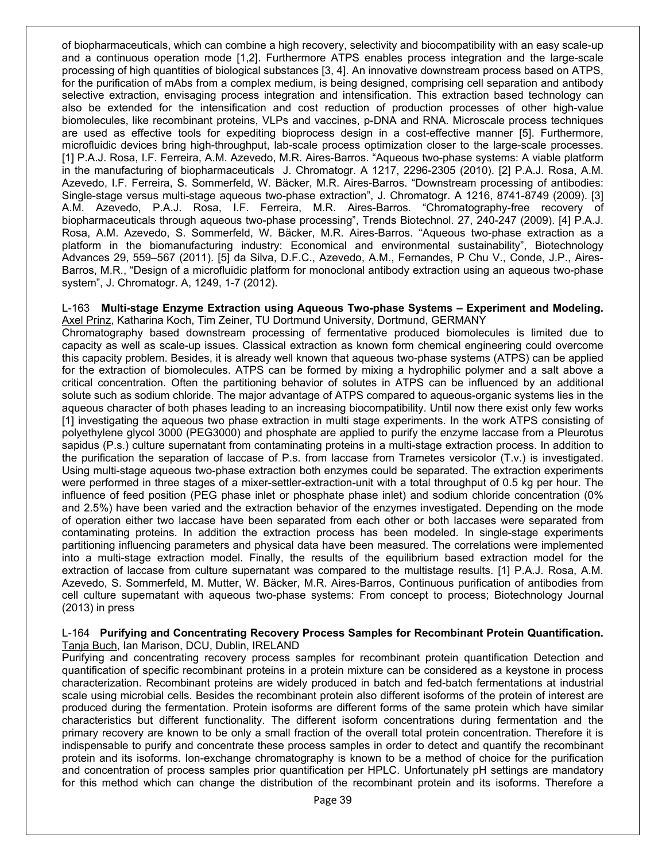of biopharmaceuticals, which can combine a high recovery, selectivity and biocompatibility with an easy scale-up and a continuous operation mode [1,2]. Furthermore ATPS enables process integration and the large-scale processing of high quantities of biological substances [3, 4]. An innovative downstream process based on ATPS, for the purification of mAbs from a complex medium, is being designed, comprising cell separation and antibody selective extraction, envisaging process integration and intensification. This extraction based technology can also be extended for the intensification and cost reduction of production processes of other high-value biomolecules, like recombinant proteins, VLPs and vaccines, p-DNA and RNA. Microscale process techniques are used as effective tools for expediting bioprocess design in a cost-effective manner [5]. Furthermore, microfluidic devices bring high-throughput, lab-scale process optimization closer to the large-scale processes. [1] P.A.J. Rosa, I.F. Ferreira, A.M. Azevedo, M.R. Aires-Barros. "Aqueous two-phase systems: A viable platform in the manufacturing of biopharmaceuticals J. Chromatogr. A 1217, 2296-2305 (2010). [2] P.A.J. Rosa, A.M. Azevedo, I.F. Ferreira, S. Sommerfeld, W. Bäcker, M.R. Aires-Barros. "Downstream processing of antibodies: Single-stage versus multi-stage aqueous two-phase extraction", J. Chromatogr. A 1216, 8741-8749 (2009). [3] A.M. Azevedo, P.A.J. Rosa, I.F. Ferreira, M.R. Aires-Barros. "Chromatography-free recovery of biopharmaceuticals through aqueous two-phase processing", Trends Biotechnol. 27, 240-247 (2009). [4] P.A.J. Rosa, A.M. Azevedo, S. Sommerfeld, W. Bäcker, M.R. Aires-Barros. "Aqueous two-phase extraction as a platform in the biomanufacturing industry: Economical and environmental sustainability", Biotechnology Advances 29, 559–567 (2011). [5] da Silva, D.F.C., Azevedo, A.M., Fernandes, P Chu V., Conde, J.P., Aires-Barros, M.R., "Design of a microfluidic platform for monoclonal antibody extraction using an aqueous two-phase system", J. Chromatogr. A, 1249, 1-7 (2012).

#### L-163 **Multi-stage Enzyme Extraction using Aqueous Two-phase Systems – Experiment and Modeling.** Axel Prinz, Katharina Koch, Tim Zeiner, TU Dortmund University, Dortmund, GERMANY

Chromatography based downstream processing of fermentative produced biomolecules is limited due to capacity as well as scale-up issues. Classical extraction as known form chemical engineering could overcome this capacity problem. Besides, it is already well known that aqueous two-phase systems (ATPS) can be applied for the extraction of biomolecules. ATPS can be formed by mixing a hydrophilic polymer and a salt above a critical concentration. Often the partitioning behavior of solutes in ATPS can be influenced by an additional solute such as sodium chloride. The major advantage of ATPS compared to aqueous-organic systems lies in the aqueous character of both phases leading to an increasing biocompatibility. Until now there exist only few works [1] investigating the aqueous two phase extraction in multi stage experiments. In the work ATPS consisting of polyethylene glycol 3000 (PEG3000) and phosphate are applied to purify the enzyme laccase from a Pleurotus sapidus (P.s.) culture supernatant from contaminating proteins in a multi-stage extraction process. In addition to the purification the separation of laccase of P.s. from laccase from Trametes versicolor (T.v.) is investigated. Using multi-stage aqueous two-phase extraction both enzymes could be separated. The extraction experiments were performed in three stages of a mixer-settler-extraction-unit with a total throughput of 0.5 kg per hour. The influence of feed position (PEG phase inlet or phosphate phase inlet) and sodium chloride concentration (0% and 2.5%) have been varied and the extraction behavior of the enzymes investigated. Depending on the mode of operation either two laccase have been separated from each other or both laccases were separated from contaminating proteins. In addition the extraction process has been modeled. In single-stage experiments partitioning influencing parameters and physical data have been measured. The correlations were implemented into a multi-stage extraction model. Finally, the results of the equilibrium based extraction model for the extraction of laccase from culture supernatant was compared to the multistage results. [1] P.A.J. Rosa, A.M. Azevedo, S. Sommerfeld, M. Mutter, W. Bäcker, M.R. Aires-Barros, Continuous purification of antibodies from cell culture supernatant with aqueous two-phase systems: From concept to process; Biotechnology Journal (2013) in press

#### L-164 **Purifying and Concentrating Recovery Process Samples for Recombinant Protein Quantification.** Tanja Buch, Ian Marison, DCU, Dublin, IRELAND

Purifying and concentrating recovery process samples for recombinant protein quantification Detection and quantification of specific recombinant proteins in a protein mixture can be considered as a keystone in process characterization. Recombinant proteins are widely produced in batch and fed-batch fermentations at industrial scale using microbial cells. Besides the recombinant protein also different isoforms of the protein of interest are produced during the fermentation. Protein isoforms are different forms of the same protein which have similar characteristics but different functionality. The different isoform concentrations during fermentation and the primary recovery are known to be only a small fraction of the overall total protein concentration. Therefore it is indispensable to purify and concentrate these process samples in order to detect and quantify the recombinant protein and its isoforms. Ion-exchange chromatography is known to be a method of choice for the purification and concentration of process samples prior quantification per HPLC. Unfortunately pH settings are mandatory for this method which can change the distribution of the recombinant protein and its isoforms. Therefore a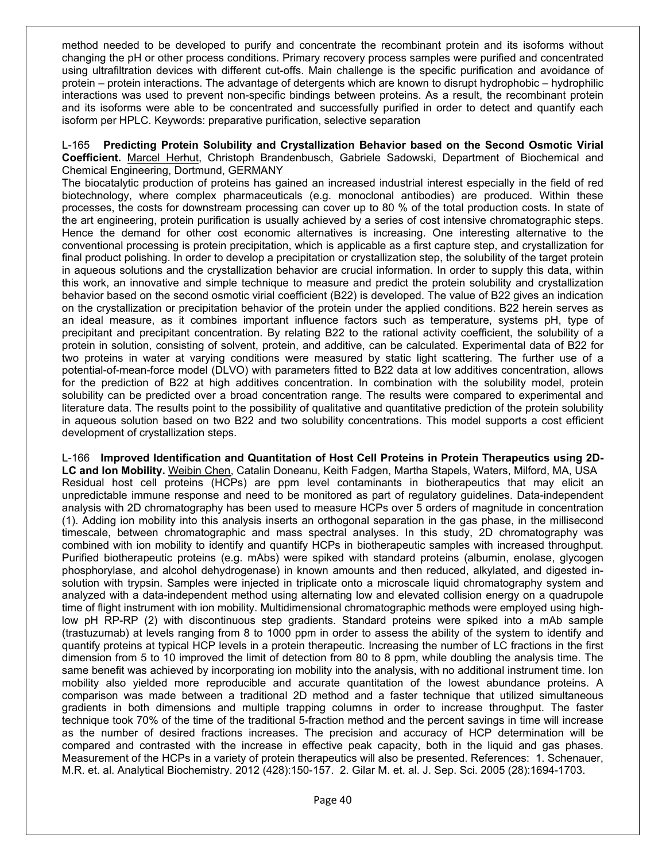method needed to be developed to purify and concentrate the recombinant protein and its isoforms without changing the pH or other process conditions. Primary recovery process samples were purified and concentrated using ultrafiltration devices with different cut-offs. Main challenge is the specific purification and avoidance of protein – protein interactions. The advantage of detergents which are known to disrupt hydrophobic – hydrophilic interactions was used to prevent non-specific bindings between proteins. As a result, the recombinant protein and its isoforms were able to be concentrated and successfully purified in order to detect and quantify each isoform per HPLC. Keywords: preparative purification, selective separation

L-165 **Predicting Protein Solubility and Crystallization Behavior based on the Second Osmotic Virial Coefficient.** Marcel Herhut, Christoph Brandenbusch, Gabriele Sadowski, Department of Biochemical and Chemical Engineering, Dortmund, GERMANY

The biocatalytic production of proteins has gained an increased industrial interest especially in the field of red biotechnology, where complex pharmaceuticals (e.g. monoclonal antibodies) are produced. Within these processes, the costs for downstream processing can cover up to 80 % of the total production costs. In state of the art engineering, protein purification is usually achieved by a series of cost intensive chromatographic steps. Hence the demand for other cost economic alternatives is increasing. One interesting alternative to the conventional processing is protein precipitation, which is applicable as a first capture step, and crystallization for final product polishing. In order to develop a precipitation or crystallization step, the solubility of the target protein in aqueous solutions and the crystallization behavior are crucial information. In order to supply this data, within this work, an innovative and simple technique to measure and predict the protein solubility and crystallization behavior based on the second osmotic virial coefficient (B22) is developed. The value of B22 gives an indication on the crystallization or precipitation behavior of the protein under the applied conditions. B22 herein serves as an ideal measure, as it combines important influence factors such as temperature, systems pH, type of precipitant and precipitant concentration. By relating B22 to the rational activity coefficient, the solubility of a protein in solution, consisting of solvent, protein, and additive, can be calculated. Experimental data of B22 for two proteins in water at varying conditions were measured by static light scattering. The further use of a potential-of-mean-force model (DLVO) with parameters fitted to B22 data at low additives concentration, allows for the prediction of B22 at high additives concentration. In combination with the solubility model, protein solubility can be predicted over a broad concentration range. The results were compared to experimental and literature data. The results point to the possibility of qualitative and quantitative prediction of the protein solubility in aqueous solution based on two B22 and two solubility concentrations. This model supports a cost efficient development of crystallization steps.

L-166 **Improved Identification and Quantitation of Host Cell Proteins in Protein Therapeutics using 2D-LC and Ion Mobility.** Weibin Chen, Catalin Doneanu, Keith Fadgen, Martha Stapels, Waters, Milford, MA, USA Residual host cell proteins (HCPs) are ppm level contaminants in biotherapeutics that may elicit an unpredictable immune response and need to be monitored as part of regulatory guidelines. Data-independent analysis with 2D chromatography has been used to measure HCPs over 5 orders of magnitude in concentration (1). Adding ion mobility into this analysis inserts an orthogonal separation in the gas phase, in the millisecond timescale, between chromatographic and mass spectral analyses. In this study, 2D chromatography was combined with ion mobility to identify and quantify HCPs in biotherapeutic samples with increased throughput. Purified biotherapeutic proteins (e.g. mAbs) were spiked with standard proteins (albumin, enolase, glycogen phosphorylase, and alcohol dehydrogenase) in known amounts and then reduced, alkylated, and digested insolution with trypsin. Samples were injected in triplicate onto a microscale liquid chromatography system and analyzed with a data-independent method using alternating low and elevated collision energy on a quadrupole time of flight instrument with ion mobility. Multidimensional chromatographic methods were employed using highlow pH RP-RP (2) with discontinuous step gradients. Standard proteins were spiked into a mAb sample (trastuzumab) at levels ranging from 8 to 1000 ppm in order to assess the ability of the system to identify and quantify proteins at typical HCP levels in a protein therapeutic. Increasing the number of LC fractions in the first dimension from 5 to 10 improved the limit of detection from 80 to 8 ppm, while doubling the analysis time. The same benefit was achieved by incorporating ion mobility into the analysis, with no additional instrument time. Ion mobility also yielded more reproducible and accurate quantitation of the lowest abundance proteins. A comparison was made between a traditional 2D method and a faster technique that utilized simultaneous gradients in both dimensions and multiple trapping columns in order to increase throughput. The faster technique took 70% of the time of the traditional 5-fraction method and the percent savings in time will increase as the number of desired fractions increases. The precision and accuracy of HCP determination will be compared and contrasted with the increase in effective peak capacity, both in the liquid and gas phases. Measurement of the HCPs in a variety of protein therapeutics will also be presented. References: 1. Schenauer, M.R. et. al. Analytical Biochemistry. 2012 (428):150-157. 2. Gilar M. et. al. J. Sep. Sci. 2005 (28):1694-1703.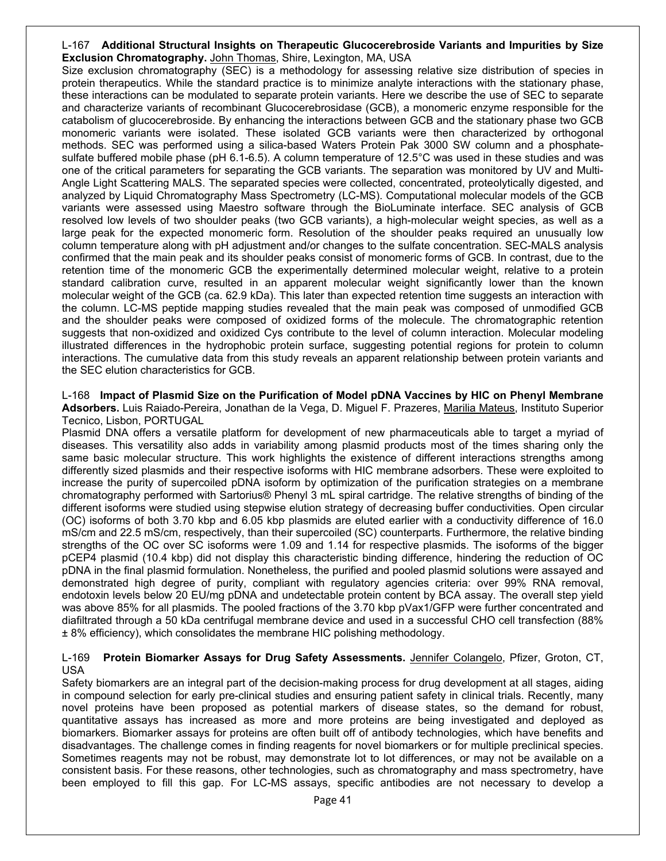#### L-167 **Additional Structural Insights on Therapeutic Glucocerebroside Variants and Impurities by Size Exclusion Chromatography.** John Thomas, Shire, Lexington, MA, USA

Size exclusion chromatography (SEC) is a methodology for assessing relative size distribution of species in protein therapeutics. While the standard practice is to minimize analyte interactions with the stationary phase, these interactions can be modulated to separate protein variants. Here we describe the use of SEC to separate and characterize variants of recombinant Glucocerebrosidase (GCB), a monomeric enzyme responsible for the catabolism of glucocerebroside. By enhancing the interactions between GCB and the stationary phase two GCB monomeric variants were isolated. These isolated GCB variants were then characterized by orthogonal methods. SEC was performed using a silica-based Waters Protein Pak 3000 SW column and a phosphatesulfate buffered mobile phase (pH 6.1-6.5). A column temperature of 12.5°C was used in these studies and was one of the critical parameters for separating the GCB variants. The separation was monitored by UV and Multi-Angle Light Scattering MALS. The separated species were collected, concentrated, proteolytically digested, and analyzed by Liquid Chromatography Mass Spectrometry (LC-MS). Computational molecular models of the GCB variants were assessed using Maestro software through the BioLuminate interface. SEC analysis of GCB resolved low levels of two shoulder peaks (two GCB variants), a high-molecular weight species, as well as a large peak for the expected monomeric form. Resolution of the shoulder peaks required an unusually low column temperature along with pH adjustment and/or changes to the sulfate concentration. SEC-MALS analysis confirmed that the main peak and its shoulder peaks consist of monomeric forms of GCB. In contrast, due to the retention time of the monomeric GCB the experimentally determined molecular weight, relative to a protein standard calibration curve, resulted in an apparent molecular weight significantly lower than the known molecular weight of the GCB (ca. 62.9 kDa). This later than expected retention time suggests an interaction with the column. LC-MS peptide mapping studies revealed that the main peak was composed of unmodified GCB and the shoulder peaks were composed of oxidized forms of the molecule. The chromatographic retention suggests that non-oxidized and oxidized Cys contribute to the level of column interaction. Molecular modeling illustrated differences in the hydrophobic protein surface, suggesting potential regions for protein to column interactions. The cumulative data from this study reveals an apparent relationship between protein variants and the SEC elution characteristics for GCB.

L-168 **Impact of Plasmid Size on the Purification of Model pDNA Vaccines by HIC on Phenyl Membrane Adsorbers.** Luis Raiado-Pereira, Jonathan de la Vega, D. Miguel F. Prazeres, Marilia Mateus, Instituto Superior Tecnico, Lisbon, PORTUGAL

Plasmid DNA offers a versatile platform for development of new pharmaceuticals able to target a myriad of diseases. This versatility also adds in variability among plasmid products most of the times sharing only the same basic molecular structure. This work highlights the existence of different interactions strengths among differently sized plasmids and their respective isoforms with HIC membrane adsorbers. These were exploited to increase the purity of supercoiled pDNA isoform by optimization of the purification strategies on a membrane chromatography performed with Sartorius® Phenyl 3 mL spiral cartridge. The relative strengths of binding of the different isoforms were studied using stepwise elution strategy of decreasing buffer conductivities. Open circular (OC) isoforms of both 3.70 kbp and 6.05 kbp plasmids are eluted earlier with a conductivity difference of 16.0 mS/cm and 22.5 mS/cm, respectively, than their supercoiled (SC) counterparts. Furthermore, the relative binding strengths of the OC over SC isoforms were 1.09 and 1.14 for respective plasmids. The isoforms of the bigger pCEP4 plasmid (10.4 kbp) did not display this characteristic binding difference, hindering the reduction of OC pDNA in the final plasmid formulation. Nonetheless, the purified and pooled plasmid solutions were assayed and demonstrated high degree of purity, compliant with regulatory agencies criteria: over 99% RNA removal, endotoxin levels below 20 EU/mg pDNA and undetectable protein content by BCA assay. The overall step yield was above 85% for all plasmids. The pooled fractions of the 3.70 kbp pVax1/GFP were further concentrated and diafiltrated through a 50 kDa centrifugal membrane device and used in a successful CHO cell transfection (88% ± 8% efficiency), which consolidates the membrane HIC polishing methodology.

#### L-169 **Protein Biomarker Assays for Drug Safety Assessments.** Jennifer Colangelo, Pfizer, Groton, CT, USA

Safety biomarkers are an integral part of the decision-making process for drug development at all stages, aiding in compound selection for early pre-clinical studies and ensuring patient safety in clinical trials. Recently, many novel proteins have been proposed as potential markers of disease states, so the demand for robust, quantitative assays has increased as more and more proteins are being investigated and deployed as biomarkers. Biomarker assays for proteins are often built off of antibody technologies, which have benefits and disadvantages. The challenge comes in finding reagents for novel biomarkers or for multiple preclinical species. Sometimes reagents may not be robust, may demonstrate lot to lot differences, or may not be available on a consistent basis. For these reasons, other technologies, such as chromatography and mass spectrometry, have been employed to fill this gap. For LC-MS assays, specific antibodies are not necessary to develop a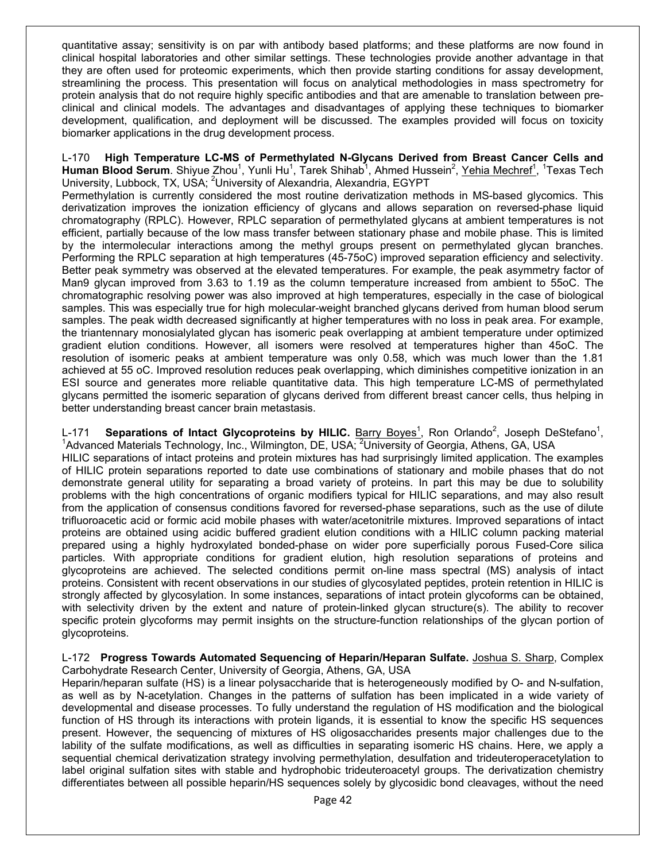quantitative assay; sensitivity is on par with antibody based platforms; and these platforms are now found in clinical hospital laboratories and other similar settings. These technologies provide another advantage in that they are often used for proteomic experiments, which then provide starting conditions for assay development, streamlining the process. This presentation will focus on analytical methodologies in mass spectrometry for protein analysis that do not require highly specific antibodies and that are amenable to translation between preclinical and clinical models. The advantages and disadvantages of applying these techniques to biomarker development, qualification, and deployment will be discussed. The examples provided will focus on toxicity biomarker applications in the drug development process.

L-170 **High Temperature LC-MS of Permethylated N-Glycans Derived from Breast Cancer Cells and**  Human Blood Serum. Shiyue Zhou<sup>1</sup>, Yunli Hu<sup>1</sup>, Tarek Shihab<sup>1</sup>, Ahmed Hussein<sup>2</sup>, <u>Yehia Mechref<sup>1</sup>, 1</u>Texas Tech University, Lubbock, TX, USA; <sup>2</sup>University of Alexandria, Alexandria, EGYPT

Permethylation is currently considered the most routine derivatization methods in MS-based glycomics. This derivatization improves the ionization efficiency of glycans and allows separation on reversed-phase liquid chromatography (RPLC). However, RPLC separation of permethylated glycans at ambient temperatures is not efficient, partially because of the low mass transfer between stationary phase and mobile phase. This is limited by the intermolecular interactions among the methyl groups present on permethylated glycan branches. Performing the RPLC separation at high temperatures (45-75oC) improved separation efficiency and selectivity. Better peak symmetry was observed at the elevated temperatures. For example, the peak asymmetry factor of Man9 glycan improved from 3.63 to 1.19 as the column temperature increased from ambient to 55oC. The chromatographic resolving power was also improved at high temperatures, especially in the case of biological samples. This was especially true for high molecular-weight branched glycans derived from human blood serum samples. The peak width decreased significantly at higher temperatures with no loss in peak area. For example, the triantennary monosialylated glycan has isomeric peak overlapping at ambient temperature under optimized gradient elution conditions. However, all isomers were resolved at temperatures higher than 45oC. The resolution of isomeric peaks at ambient temperature was only 0.58, which was much lower than the 1.81 achieved at 55 oC. Improved resolution reduces peak overlapping, which diminishes competitive ionization in an ESI source and generates more reliable quantitative data. This high temperature LC-MS of permethylated glycans permitted the isomeric separation of glycans derived from different breast cancer cells, thus helping in better understanding breast cancer brain metastasis.

L-171 **Separations of Intact Glycoproteins by HILIC.** Barry Boyes<sup>1</sup>, Ron Orlando<sup>2</sup>, Joseph DeStefano<sup>1</sup>, Lating and Materials Technology Inc. Wilmington DE LISA: <sup>2</sup>University of Constitution CA LISA Advanced Materials Technology, Inc., Wilmington, DE, USA; <sup>2</sup>University of Georgia, Athens, GA, USA HILIC separations of intact proteins and protein mixtures has had surprisingly limited application. The examples of HILIC protein separations reported to date use combinations of stationary and mobile phases that do not demonstrate general utility for separating a broad variety of proteins. In part this may be due to solubility problems with the high concentrations of organic modifiers typical for HILIC separations, and may also result from the application of consensus conditions favored for reversed-phase separations, such as the use of dilute trifluoroacetic acid or formic acid mobile phases with water/acetonitrile mixtures. Improved separations of intact proteins are obtained using acidic buffered gradient elution conditions with a HILIC column packing material prepared using a highly hydroxylated bonded-phase on wider pore superficially porous Fused-Core silica particles. With appropriate conditions for gradient elution, high resolution separations of proteins and glycoproteins are achieved. The selected conditions permit on-line mass spectral (MS) analysis of intact proteins. Consistent with recent observations in our studies of glycosylated peptides, protein retention in HILIC is strongly affected by glycosylation. In some instances, separations of intact protein glycoforms can be obtained, with selectivity driven by the extent and nature of protein-linked glycan structure(s). The ability to recover specific protein glycoforms may permit insights on the structure-function relationships of the glycan portion of glycoproteins.

L-172 **Progress Towards Automated Sequencing of Heparin/Heparan Sulfate.** Joshua S. Sharp, Complex Carbohydrate Research Center, University of Georgia, Athens, GA, USA

Heparin/heparan sulfate (HS) is a linear polysaccharide that is heterogeneously modified by O- and N-sulfation, as well as by N-acetylation. Changes in the patterns of sulfation has been implicated in a wide variety of developmental and disease processes. To fully understand the regulation of HS modification and the biological function of HS through its interactions with protein ligands, it is essential to know the specific HS sequences present. However, the sequencing of mixtures of HS oligosaccharides presents major challenges due to the lability of the sulfate modifications, as well as difficulties in separating isomeric HS chains. Here, we apply a sequential chemical derivatization strategy involving permethylation, desulfation and trideuteroperacetylation to label original sulfation sites with stable and hydrophobic trideuteroacetyl groups. The derivatization chemistry differentiates between all possible heparin/HS sequences solely by glycosidic bond cleavages, without the need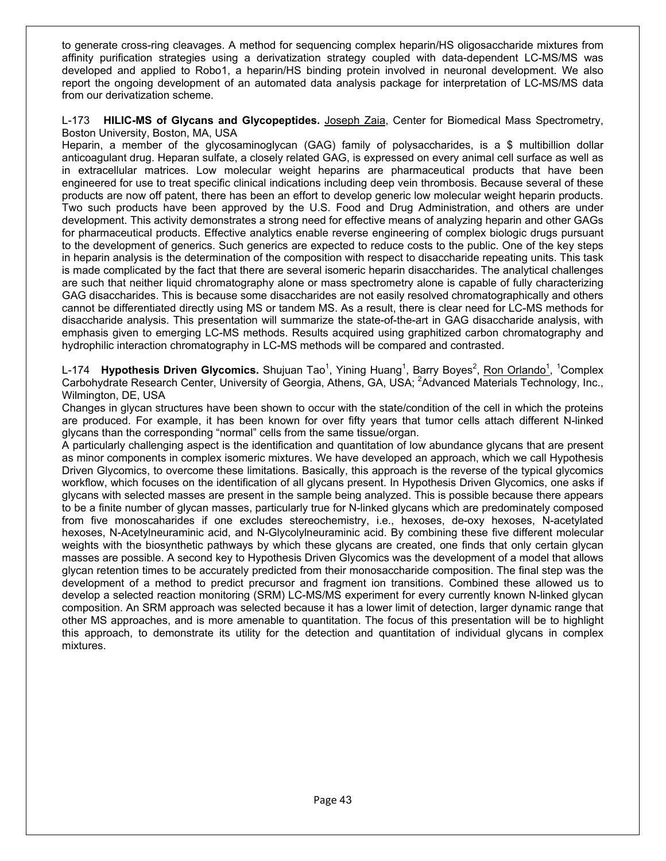to generate cross-ring cleavages. A method for sequencing complex heparin/HS oligosaccharide mixtures from affinity purification strategies using a derivatization strategy coupled with data-dependent LC-MS/MS was developed and applied to Robo1, a heparin/HS binding protein involved in neuronal development. We also report the ongoing development of an automated data analysis package for interpretation of LC-MS/MS data from our derivatization scheme.

#### L-173 **HILIC-MS of Glycans and Glycopeptides.** Joseph Zaia, Center for Biomedical Mass Spectrometry, Boston University, Boston, MA, USA

Heparin, a member of the glycosaminoglycan (GAG) family of polysaccharides, is a \$ multibillion dollar anticoagulant drug. Heparan sulfate, a closely related GAG, is expressed on every animal cell surface as well as in extracellular matrices. Low molecular weight heparins are pharmaceutical products that have been engineered for use to treat specific clinical indications including deep vein thrombosis. Because several of these products are now off patent, there has been an effort to develop generic low molecular weight heparin products. Two such products have been approved by the U.S. Food and Drug Administration, and others are under development. This activity demonstrates a strong need for effective means of analyzing heparin and other GAGs for pharmaceutical products. Effective analytics enable reverse engineering of complex biologic drugs pursuant to the development of generics. Such generics are expected to reduce costs to the public. One of the key steps in heparin analysis is the determination of the composition with respect to disaccharide repeating units. This task is made complicated by the fact that there are several isomeric heparin disaccharides. The analytical challenges are such that neither liquid chromatography alone or mass spectrometry alone is capable of fully characterizing GAG disaccharides. This is because some disaccharides are not easily resolved chromatographically and others cannot be differentiated directly using MS or tandem MS. As a result, there is clear need for LC-MS methods for disaccharide analysis. This presentation will summarize the state-of-the-art in GAG disaccharide analysis, with emphasis given to emerging LC-MS methods. Results acquired using graphitized carbon chromatography and hydrophilic interaction chromatography in LC-MS methods will be compared and contrasted.

L-174 **Hypothesis Driven Glycomics.** Shujuan Tao<sup>1</sup>, Yining Huang<sup>1</sup>, Barry Boyes<sup>2</sup>, <u>Ron Orlando<sup>1</sup>, 1</mark>Complex</u> Carbohydrate Research Center, University of Georgia, Athens, GA, USA; <sup>2</sup>Advanced Materials Technology, Inc., Wilmington, DE, USA

Changes in glycan structures have been shown to occur with the state/condition of the cell in which the proteins are produced. For example, it has been known for over fifty years that tumor cells attach different N-linked glycans than the corresponding "normal" cells from the same tissue/organ.

A particularly challenging aspect is the identification and quantitation of low abundance glycans that are present as minor components in complex isomeric mixtures. We have developed an approach, which we call Hypothesis Driven Glycomics, to overcome these limitations. Basically, this approach is the reverse of the typical glycomics workflow, which focuses on the identification of all glycans present. In Hypothesis Driven Glycomics, one asks if glycans with selected masses are present in the sample being analyzed. This is possible because there appears to be a finite number of glycan masses, particularly true for N-linked glycans which are predominately composed from five monoscaharides if one excludes stereochemistry, i.e., hexoses, de-oxy hexoses, N-acetylated hexoses, N-Acetylneuraminic acid, and N-Glycolylneuraminic acid. By combining these five different molecular weights with the biosynthetic pathways by which these glycans are created, one finds that only certain glycan masses are possible. A second key to Hypothesis Driven Glycomics was the development of a model that allows glycan retention times to be accurately predicted from their monosaccharide composition. The final step was the development of a method to predict precursor and fragment ion transitions. Combined these allowed us to develop a selected reaction monitoring (SRM) LC-MS/MS experiment for every currently known N-linked glycan composition. An SRM approach was selected because it has a lower limit of detection, larger dynamic range that other MS approaches, and is more amenable to quantitation. The focus of this presentation will be to highlight this approach, to demonstrate its utility for the detection and quantitation of individual glycans in complex mixtures.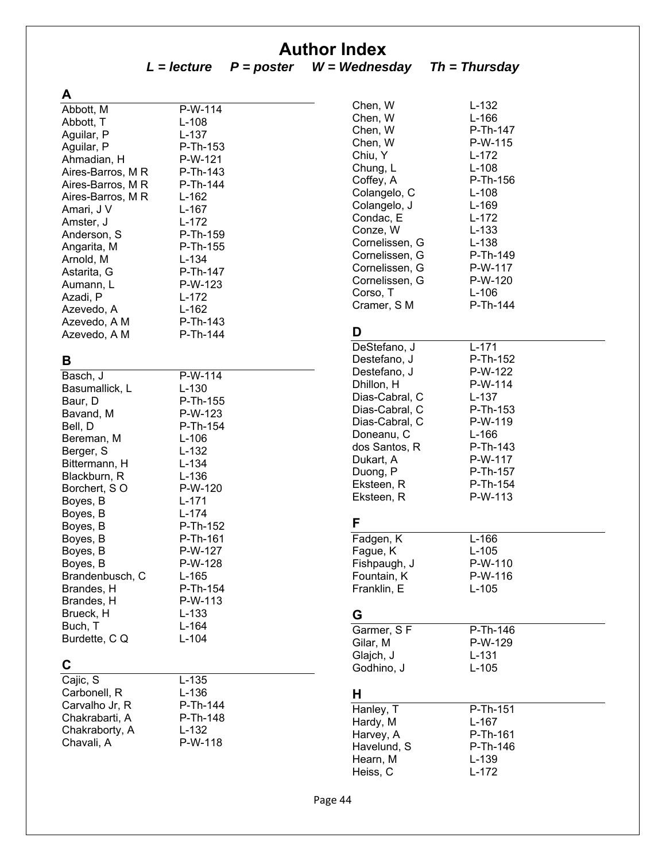## **Author Index**

*L = lecture P = poster W = Wednesday Th = Thursday* 

| A                 |                       |
|-------------------|-----------------------|
| Abbott, M         | $\overline{P}$ -W-114 |
| Abbott, T         | L-108                 |
| Aguilar, P        | L-137                 |
| Aguilar, P        | P-Th-153              |
| Ahmadian, H       | P-W-121               |
| Aires-Barros, M R | P-Th-143              |
| Aires-Barros, M R | P-Th-144              |
| Aires-Barros, M R | L-162                 |
| Amari, J V        | L-167                 |
| Amster, J         | L-172                 |
| Anderson, S       | P-Th-159              |
| Angarita, M       | P-Th-155              |
| Arnold, M         | L-134                 |
| Astarita, G       | P-Th-147              |
| Aumann, L         | P-W-123               |
| Azadi, P          | L-172                 |
| Azevedo, A        | L-162                 |
| Azevedo, A M      | P-Th-143              |
| Azevedo, A M      | P-Th-144              |
|                   |                       |
| В                 |                       |
| Basch, J          | P-W-114               |
| Basumallick, L    | $L-130$               |
| Baur, D           | P-Th-155              |
| Bavand, M         | P-W-123               |
| Bell, D           | P-Th-154              |
| Bereman, M        | L-106                 |
| Berger, S         | L-132                 |
| Bittermann, H     | L-134                 |
| Blackburn, R      | $L-136$               |
| Borchert, SO      | P-W-120               |
| Boyes, B          | L-171                 |
| Roves R           | l -174                |

| Basch, J        | P-W-114  |
|-----------------|----------|
| Basumallick, L  | L-130    |
| Baur, D         | P-Th-155 |
| Bavand, M       | P-W-123  |
| Bell, D         | P-Th-154 |
| Bereman, M      | L-106    |
| Berger, S       | L-132    |
| Bittermann, H   | L-134    |
| Blackburn, R    | L-136    |
| Borchert, SO    | P-W-120  |
| Boyes, B        | L-171    |
| Boyes, B        | L-174    |
| Boyes, B        | P-Th-152 |
| Boyes, B        | P-Th-161 |
| Boyes, B        | P-W-127  |
| Boyes, B        | P-W-128  |
| Brandenbusch, C | L-165    |
| Brandes, H      | P-Th-154 |
| Brandes, H      | P-W-113  |
| Brueck, H       | L-133    |
| Buch, T         | L-164    |
| Burdette, C Q   | L-104    |

| C              |           |
|----------------|-----------|
| Cajic, S       | $L - 135$ |
| Carbonell, R   | L-136     |
| Carvalho Jr, R | P-Th-144  |
| Chakrabarti, A | P-Th-148  |
| Chakraborty, A | L-132     |
| Chavali, A     | P-W-118   |

| Chen, W        | L-132     |
|----------------|-----------|
| Chen, W        | $L-166$   |
| Chen, W        | P-Th-147  |
| Chen, W        | P-W-115   |
| Chiu, Y        | $L-172$   |
| Chung, L       | $L-108$   |
| Coffey, A      | P-Th-156  |
| Colangelo, C   | L-108     |
| Colangelo, J   | L-169     |
| Condac, E      | L-172     |
| Conze, W       | $L-133$   |
| Cornelissen, G | $L-138$   |
| Cornelissen, G | P-Th-149  |
| Cornelissen, G | P-W-117   |
| Cornelissen, G | P-W-120   |
| Corso, T       | $L-106$   |
| Cramer, SM     | P-Th-144  |
| D              |           |
| DeStefano, J   | $L - 171$ |
| Destefano, J   | P-Th-152  |
| Destefano, J   | P-W-122   |
| Dhillon, H     | P-W-114   |
| Dias-Cabral, C | L-137     |
| Dias-Cabral, C | P-Th-153  |
| Dias-Cabral, C | P-W-119   |
| Doneanu, C     | $L-166$   |
| dos Santos, R  | P-Th-143  |
| Dukart, A      | P-W-117   |
| Duong, P       | P-Th-157  |
| Eksteen, R     | P-Th-154  |
| Eksteen, R     | P-W-113   |
| F              |           |
| Fadgen, K      | $L-166$   |
| Fague, K       | $L-105$   |
| Fishpaugh, J   | P-W-110   |
| Fountain, K    | P-W-116   |
| Franklin, E    | L-105     |
| G              |           |
| Garmer, SF     | P-Th-146  |
| Gilar, M       | P-W-129   |
| Glajch, J      | $L-131$   |
| Godhino, J     | $L-105$   |
| н              |           |
| Hanley, T      | P-Th-151  |
| Hardy, M       | $L-167$   |
| Harvey, A      | P-Th-161  |
| Havelund, S    | P-Th-146  |
| Hearn, M       | L-139     |
| Heiss, C       | L-172     |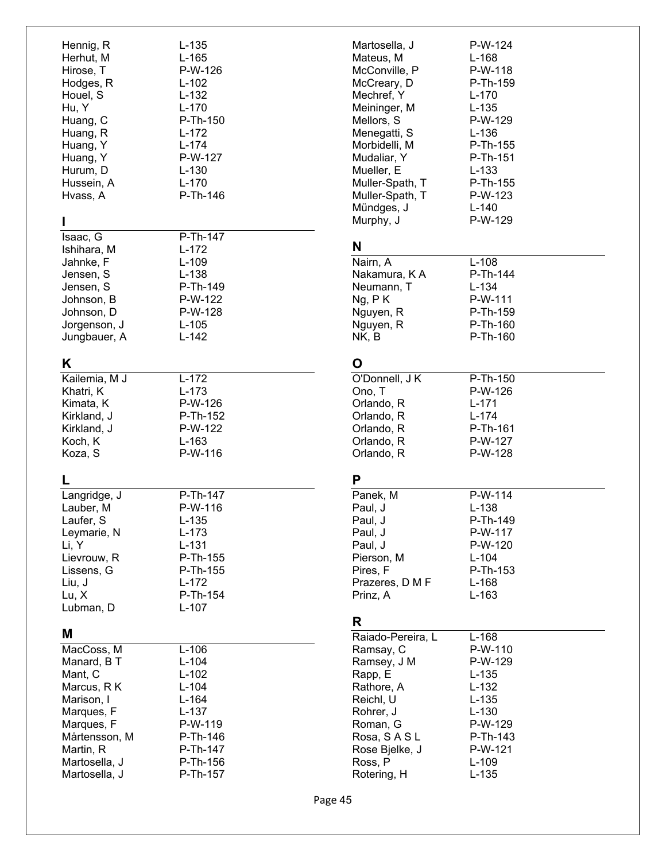| Hennig, R<br>Herhut, M<br>Hirose, T<br>Hodges, R<br>Houel, S<br>Hu, Y<br>Huang, C<br>Huang, R<br>Huang, Y<br>Huang, Y<br>Hurum, D<br>Hussein, A<br>Hvass, A        | L-135<br>L-165<br>P-W-126<br>L-102<br>L-132<br>L-170<br>P-Th-150<br>L-172<br>L-174<br>P-W-127<br>L-130<br>$L-170$<br>P-Th-146 |
|--------------------------------------------------------------------------------------------------------------------------------------------------------------------|-------------------------------------------------------------------------------------------------------------------------------|
| ı<br>Isaac, G<br>Ishihara, M<br>Jahnke, F<br>Jensen, S<br>Jensen, S<br>Johnson, B<br>Johnson, D<br>Jorgenson, J<br>Jungbauer, A                                    | P-Th-147<br>L-172<br>$L-109$<br>$L-138$<br>P-Th-149<br>P-W-122<br>P-W-128<br>L-105<br>L-142                                   |
| Κ<br>Kailemia, M J<br>Khatri, K<br>Kimata, K<br>Kirkland, J<br>Kirkland, J<br>Koch, K<br>Koza, S<br>L                                                              | $\overline{L-1}$ 72<br>$L-173$<br>P-W-126<br>P-Th-152<br>P-W-122<br>L-163<br>P-W-116                                          |
| Langridge, J<br>Lauber, M<br>Laufer, S<br>Leymarie, N<br>Li, Y<br>Lievrouw, R<br>Lissens, G<br>Liu, J<br>Lu, X<br>Lubman, D                                        | P-Th-147<br>P-W-116<br>L-135<br>L-173<br>$L-131$<br>P-Th-155<br>P-Th-155<br>L-172<br>P-Th-154<br>L-107                        |
| Μ<br>MacCoss, M<br>Manard, B T<br>Mant, C<br>Marcus, R K<br>Marison, I<br>Marques, F<br>Marques, F<br>Mårtensson, M<br>Martin, R<br>Martosella, J<br>Martosella, J | $L-106$<br>L-104<br>L-102<br>L-104<br>L-164<br>$L-137$<br>P-W-119<br>P-Th-146<br>P-Th-147<br>P-Th-156<br>P-Th-157             |

| Martosella, J     | P-W-124   |
|-------------------|-----------|
| Mateus, M         | L-168     |
| McConville, P     | P-W-118   |
| McCreary, D       | P-Th-159  |
| Mechref, Y        | L-170     |
| Meininger, M      | $L-135$   |
| Mellors, S        | P-W-129   |
| Menegatti, S      | L-136     |
| Morbidelli, M     | P-Th-155  |
| Mudaliar, Y       | P-Th-151  |
| Mueller, E        | $L-133$   |
| Muller-Spath, T   | P-Th-155  |
| Muller-Spath, T   | P-W-123   |
| Mündges, J        | $L-140$   |
| Murphy, J         | P-W-129   |
| N                 |           |
| Nairn, A          | L-108     |
| Nakamura, K A     | P-Th-144  |
| Neumann, T        | $L-134$   |
| Ng, P K           | P-W-111   |
| Nguyen, R         | P-Th-159  |
| Nguyen, R         | P-Th-160  |
| NK, B             | P-Th-160  |
| O                 |           |
| O'Donnell, J K    | P-Th-150  |
| Ono, T            | P-W-126   |
| Orlando, R        | $L - 171$ |
| Orlando, R        | $L-174$   |
| Orlando, R        | P-Th-161  |
| Orlando, R        | P-W-127   |
| Orlando, R        | P-W-128   |
| Р                 |           |
| Panek, M          | P-W-114   |
| Paul, J           | $L-138$   |
| Paul, J           | P-Th-149  |
| Paul, J           | P-W-117   |
| Paul, J           | P-W-120   |
| Pierson, M        | L-104     |
| Pires, F          | P-Th-153  |
| Prazeres, D M F   | L-168     |
| Prinz, A          | L-163     |
| R                 |           |
| Raiado-Pereira, L | L-168     |
| Ramsay, C         | P-W-110   |
| Ramsey, J M       | P-W-129   |
| Rapp, E           | L-135     |
| Rathore, A        | L-132     |
| Reichl, U         | $L-135$   |
| Rohrer, J         | $L-130$   |
| Roman, G          | P-W-129   |
| Rosa, SASL        | P-Th-143  |
| Rose Bjelke, J    | P-W-121   |
| Ross, P           | L-109     |
| Rotering, H       | $L-135$   |